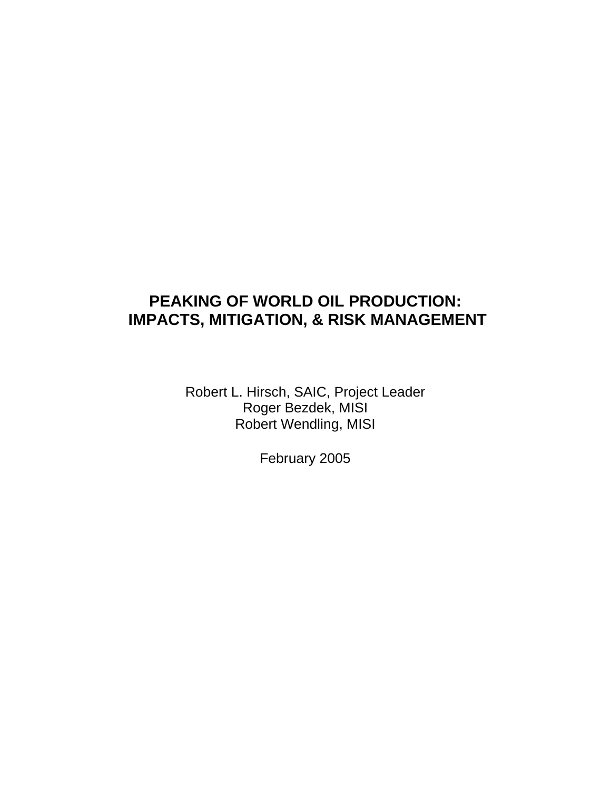# **PEAKING OF WORLD OIL PRODUCTION: IMPACTS, MITIGATION, & RISK MANAGEMENT**

Robert L. Hirsch, SAIC, Project Leader Roger Bezdek, MISI Robert Wendling, MISI

February 2005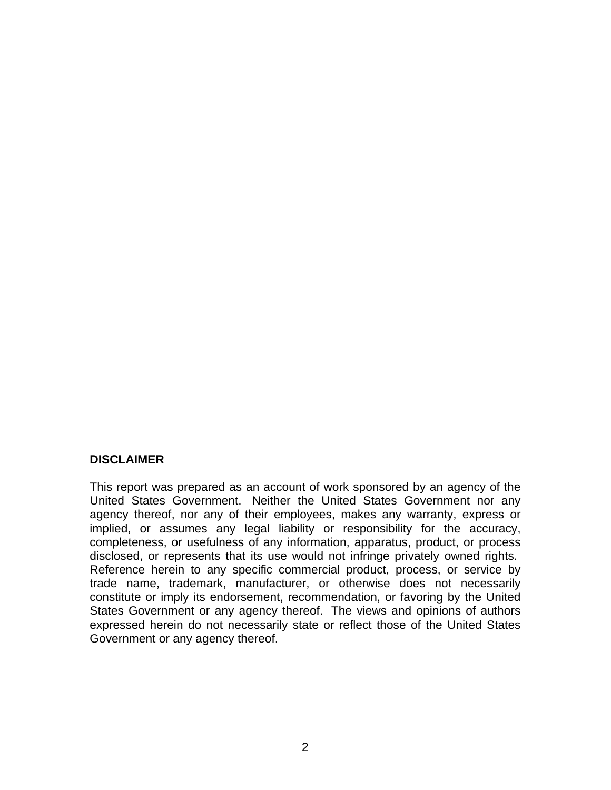#### **DISCLAIMER**

This report was prepared as an account of work sponsored by an agency of the United States Government. Neither the United States Government nor any agency thereof, nor any of their employees, makes any warranty, express or implied, or assumes any legal liability or responsibility for the accuracy, completeness, or usefulness of any information, apparatus, product, or process disclosed, or represents that its use would not infringe privately owned rights. Reference herein to any specific commercial product, process, or service by trade name, trademark, manufacturer, or otherwise does not necessarily constitute or imply its endorsement, recommendation, or favoring by the United States Government or any agency thereof. The views and opinions of authors expressed herein do not necessarily state or reflect those of the United States Government or any agency thereof.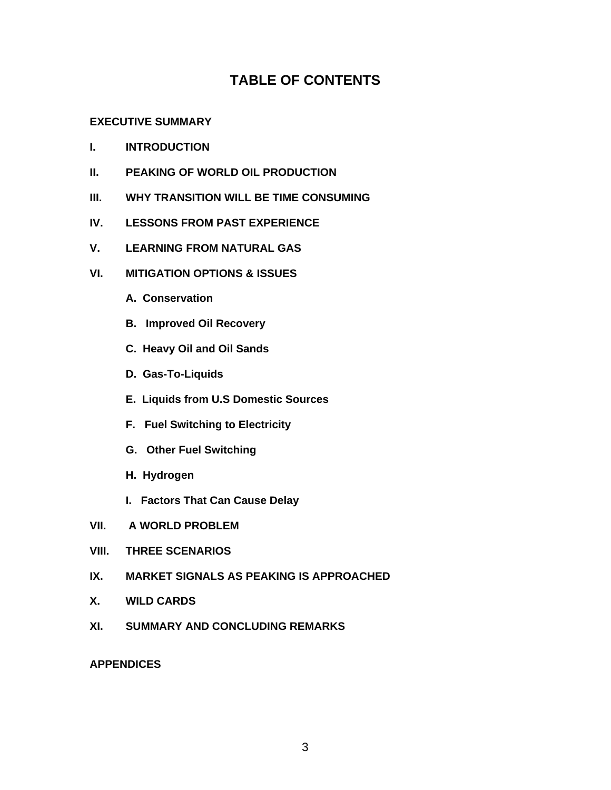## **TABLE OF CONTENTS**

#### **EXECUTIVE SUMMARY**

- **I. INTRODUCTION**
- **II. PEAKING OF WORLD OIL PRODUCTION**
- **III. WHY TRANSITION WILL BE TIME CONSUMING**
- **IV. LESSONS FROM PAST EXPERIENCE**
- **V. LEARNING FROM NATURAL GAS**
- **VI. MITIGATION OPTIONS & ISSUES** 
	- **A. Conservation**
	- **B. Improved Oil Recovery**
	- **C. Heavy Oil and Oil Sands**
	- **D. Gas-To-Liquids**
	- **E. Liquids from U.S Domestic Sources**
	- **F. Fuel Switching to Electricity**
	- **G. Other Fuel Switching**
	- **H. Hydrogen**
	- **I. Factors That Can Cause Delay**
- **VII. A WORLD PROBLEM**
- **VIII. THREE SCENARIOS**
- **IX. MARKET SIGNALS AS PEAKING IS APPROACHED**
- **X. WILD CARDS**
- **XI. SUMMARY AND CONCLUDING REMARKS**

#### **APPENDICES**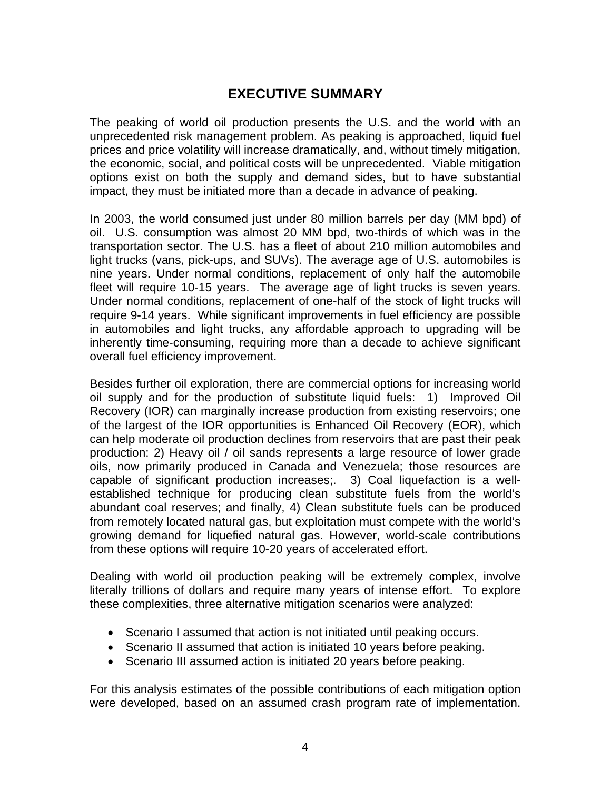# **EXECUTIVE SUMMARY**

The peaking of world oil production presents the U.S. and the world with an unprecedented risk management problem. As peaking is approached, liquid fuel prices and price volatility will increase dramatically, and, without timely mitigation, the economic, social, and political costs will be unprecedented. Viable mitigation options exist on both the supply and demand sides, but to have substantial impact, they must be initiated more than a decade in advance of peaking.

In 2003, the world consumed just under 80 million barrels per day (MM bpd) of oil. U.S. consumption was almost 20 MM bpd, two-thirds of which was in the transportation sector. The U.S. has a fleet of about 210 million automobiles and light trucks (vans, pick-ups, and SUVs). The average age of U.S. automobiles is nine years. Under normal conditions, replacement of only half the automobile fleet will require 10-15 years. The average age of light trucks is seven years. Under normal conditions, replacement of one-half of the stock of light trucks will require 9-14 years. While significant improvements in fuel efficiency are possible in automobiles and light trucks, any affordable approach to upgrading will be inherently time-consuming, requiring more than a decade to achieve significant overall fuel efficiency improvement.

Besides further oil exploration, there are commercial options for increasing world oil supply and for the production of substitute liquid fuels: 1) Improved Oil Recovery (IOR) can marginally increase production from existing reservoirs; one of the largest of the IOR opportunities is Enhanced Oil Recovery (EOR), which can help moderate oil production declines from reservoirs that are past their peak production: 2) Heavy oil / oil sands represents a large resource of lower grade oils, now primarily produced in Canada and Venezuela; those resources are capable of significant production increases;. 3) Coal liquefaction is a wellestablished technique for producing clean substitute fuels from the world's abundant coal reserves; and finally, 4) Clean substitute fuels can be produced from remotely located natural gas, but exploitation must compete with the world's growing demand for liquefied natural gas. However, world-scale contributions from these options will require 10-20 years of accelerated effort.

Dealing with world oil production peaking will be extremely complex, involve literally trillions of dollars and require many years of intense effort. To explore these complexities, three alternative mitigation scenarios were analyzed:

- Scenario I assumed that action is not initiated until peaking occurs.
- Scenario II assumed that action is initiated 10 years before peaking.
- Scenario III assumed action is initiated 20 years before peaking.

For this analysis estimates of the possible contributions of each mitigation option were developed, based on an assumed crash program rate of implementation.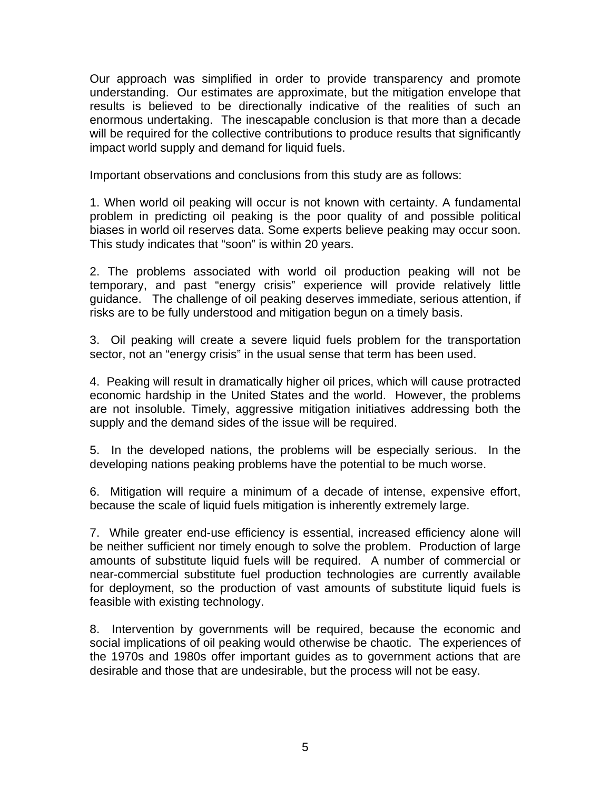Our approach was simplified in order to provide transparency and promote understanding. Our estimates are approximate, but the mitigation envelope that results is believed to be directionally indicative of the realities of such an enormous undertaking. The inescapable conclusion is that more than a decade will be required for the collective contributions to produce results that significantly impact world supply and demand for liquid fuels.

Important observations and conclusions from this study are as follows:

1. When world oil peaking will occur is not known with certainty. A fundamental problem in predicting oil peaking is the poor quality of and possible political biases in world oil reserves data. Some experts believe peaking may occur soon. This study indicates that "soon" is within 20 years.

2. The problems associated with world oil production peaking will not be temporary, and past "energy crisis" experience will provide relatively little guidance. The challenge of oil peaking deserves immediate, serious attention, if risks are to be fully understood and mitigation begun on a timely basis.

3. Oil peaking will create a severe liquid fuels problem for the transportation sector, not an "energy crisis" in the usual sense that term has been used.

4. Peaking will result in dramatically higher oil prices, which will cause protracted economic hardship in the United States and the world. However, the problems are not insoluble. Timely, aggressive mitigation initiatives addressing both the supply and the demand sides of the issue will be required.

5. In the developed nations, the problems will be especially serious. In the developing nations peaking problems have the potential to be much worse.

6. Mitigation will require a minimum of a decade of intense, expensive effort, because the scale of liquid fuels mitigation is inherently extremely large.

7. While greater end-use efficiency is essential, increased efficiency alone will be neither sufficient nor timely enough to solve the problem. Production of large amounts of substitute liquid fuels will be required. A number of commercial or near-commercial substitute fuel production technologies are currently available for deployment, so the production of vast amounts of substitute liquid fuels is feasible with existing technology.

8. Intervention by governments will be required, because the economic and social implications of oil peaking would otherwise be chaotic. The experiences of the 1970s and 1980s offer important guides as to government actions that are desirable and those that are undesirable, but the process will not be easy.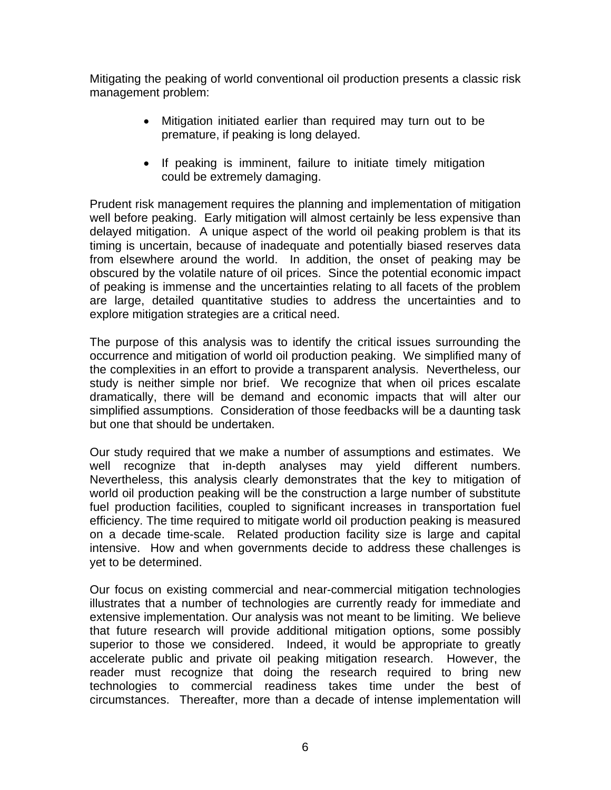Mitigating the peaking of world conventional oil production presents a classic risk management problem:

- Mitigation initiated earlier than required may turn out to be premature, if peaking is long delayed.
- If peaking is imminent, failure to initiate timely mitigation could be extremely damaging.

Prudent risk management requires the planning and implementation of mitigation well before peaking. Early mitigation will almost certainly be less expensive than delayed mitigation. A unique aspect of the world oil peaking problem is that its timing is uncertain, because of inadequate and potentially biased reserves data from elsewhere around the world. In addition, the onset of peaking may be obscured by the volatile nature of oil prices. Since the potential economic impact of peaking is immense and the uncertainties relating to all facets of the problem are large, detailed quantitative studies to address the uncertainties and to explore mitigation strategies are a critical need.

The purpose of this analysis was to identify the critical issues surrounding the occurrence and mitigation of world oil production peaking. We simplified many of the complexities in an effort to provide a transparent analysis. Nevertheless, our study is neither simple nor brief. We recognize that when oil prices escalate dramatically, there will be demand and economic impacts that will alter our simplified assumptions. Consideration of those feedbacks will be a daunting task but one that should be undertaken.

Our study required that we make a number of assumptions and estimates. We well recognize that in-depth analyses may yield different numbers. Nevertheless, this analysis clearly demonstrates that the key to mitigation of world oil production peaking will be the construction a large number of substitute fuel production facilities, coupled to significant increases in transportation fuel efficiency. The time required to mitigate world oil production peaking is measured on a decade time-scale. Related production facility size is large and capital intensive. How and when governments decide to address these challenges is yet to be determined.

Our focus on existing commercial and near-commercial mitigation technologies illustrates that a number of technologies are currently ready for immediate and extensive implementation. Our analysis was not meant to be limiting. We believe that future research will provide additional mitigation options, some possibly superior to those we considered. Indeed, it would be appropriate to greatly accelerate public and private oil peaking mitigation research. However, the reader must recognize that doing the research required to bring new technologies to commercial readiness takes time under the best of circumstances. Thereafter, more than a decade of intense implementation will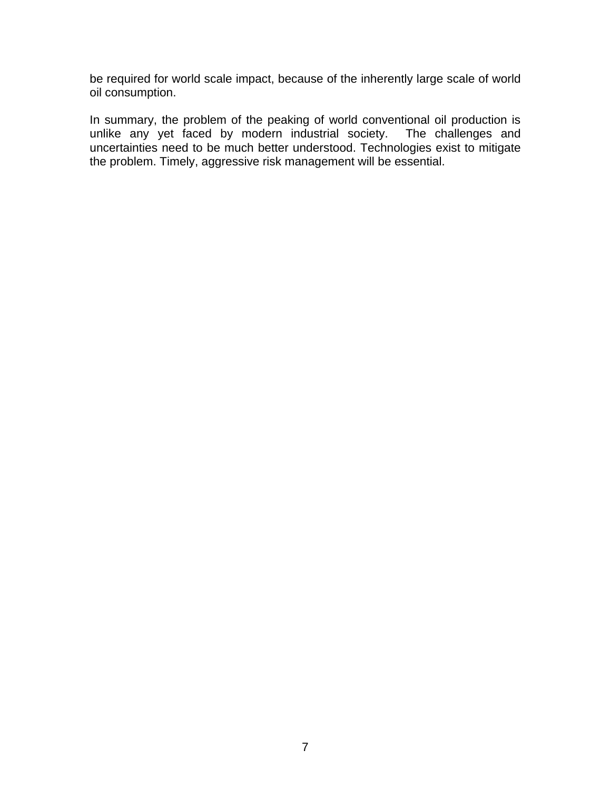be required for world scale impact, because of the inherently large scale of world oil consumption.

In summary, the problem of the peaking of world conventional oil production is unlike any yet faced by modern industrial society. The challenges and uncertainties need to be much better understood. Technologies exist to mitigate the problem. Timely, aggressive risk management will be essential.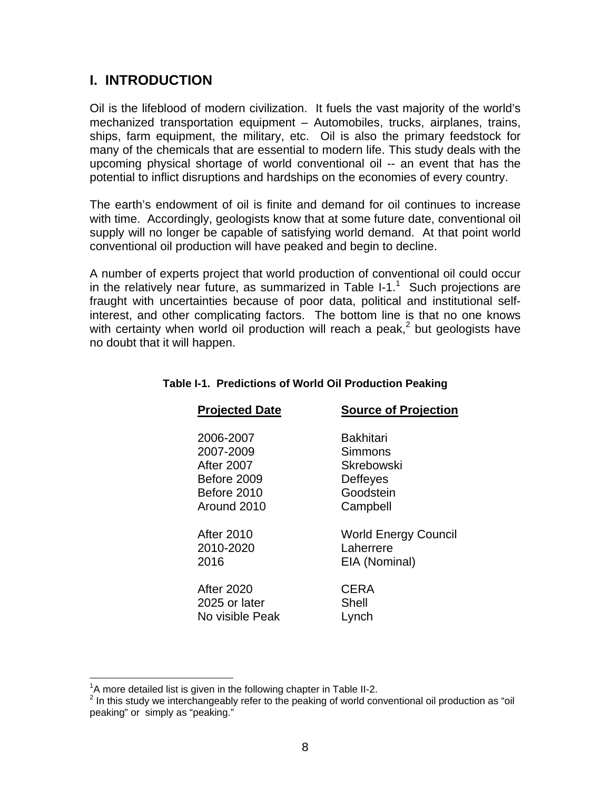## **I. INTRODUCTION**

Oil is the lifeblood of modern civilization. It fuels the vast majority of the world's mechanized transportation equipment – Automobiles, trucks, airplanes, trains, ships, farm equipment, the military, etc. Oil is also the primary feedstock for many of the chemicals that are essential to modern life. This study deals with the upcoming physical shortage of world conventional oil -- an event that has the potential to inflict disruptions and hardships on the economies of every country.

The earth's endowment of oil is finite and demand for oil continues to increase with time. Accordingly, geologists know that at some future date, conventional oil supply will no longer be capable of satisfying world demand. At that point world conventional oil production will have peaked and begin to decline.

A number of experts project that world production of conventional oil could occur in the relatively near future, as summarized in Table  $I-1$ <sup>1</sup> Such projections are fraught with uncertainties because of poor data, political and institutional selfinterest, and other complicating factors. The bottom line is that no one knows with certainty when world oil production will reach a peak, $^2$  but geologists have no doubt that it will happen.

| <b>Projected Date</b>                                                                    | <b>Source of Projection</b>                                                                  |
|------------------------------------------------------------------------------------------|----------------------------------------------------------------------------------------------|
| 2006-2007<br>2007-2009<br><b>After 2007</b><br>Before 2009<br>Before 2010<br>Around 2010 | <b>Bakhitari</b><br><b>Simmons</b><br><b>Skrebowski</b><br>Deffeyes<br>Goodstein<br>Campbell |
| <b>After 2010</b><br>2010-2020<br>2016                                                   | <b>World Energy Council</b><br>Laherrere<br>EIA (Nominal)                                    |
| <b>After 2020</b><br>2025 or later<br>No visible Peak                                    | <b>CERA</b><br>Shell<br>Lynch                                                                |

#### **Table I-1. Predictions of World Oil Production Peaking**

1

 $1$ A more detailed list is given in the following chapter in Table II-2.

 $2$  In this study we interchangeably refer to the peaking of world conventional oil production as "oil peaking" or simply as "peaking."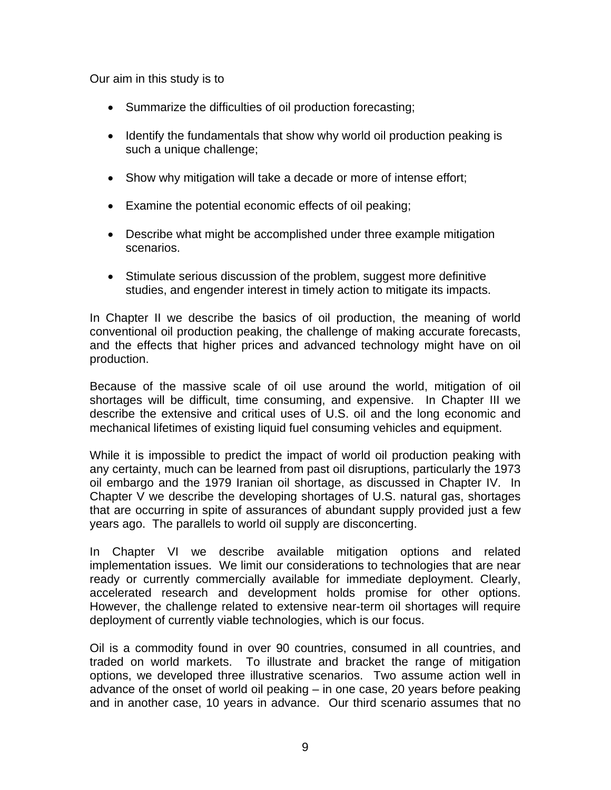Our aim in this study is to

- Summarize the difficulties of oil production forecasting;
- Identify the fundamentals that show why world oil production peaking is such a unique challenge;
- Show why mitigation will take a decade or more of intense effort;
- Examine the potential economic effects of oil peaking;
- Describe what might be accomplished under three example mitigation scenarios.
- Stimulate serious discussion of the problem, suggest more definitive studies, and engender interest in timely action to mitigate its impacts.

In Chapter II we describe the basics of oil production, the meaning of world conventional oil production peaking, the challenge of making accurate forecasts, and the effects that higher prices and advanced technology might have on oil production.

Because of the massive scale of oil use around the world, mitigation of oil shortages will be difficult, time consuming, and expensive. In Chapter III we describe the extensive and critical uses of U.S. oil and the long economic and mechanical lifetimes of existing liquid fuel consuming vehicles and equipment.

While it is impossible to predict the impact of world oil production peaking with any certainty, much can be learned from past oil disruptions, particularly the 1973 oil embargo and the 1979 Iranian oil shortage, as discussed in Chapter IV. In Chapter V we describe the developing shortages of U.S. natural gas, shortages that are occurring in spite of assurances of abundant supply provided just a few years ago. The parallels to world oil supply are disconcerting.

In Chapter VI we describe available mitigation options and related implementation issues. We limit our considerations to technologies that are near ready or currently commercially available for immediate deployment. Clearly, accelerated research and development holds promise for other options. However, the challenge related to extensive near-term oil shortages will require deployment of currently viable technologies, which is our focus.

Oil is a commodity found in over 90 countries, consumed in all countries, and traded on world markets. To illustrate and bracket the range of mitigation options, we developed three illustrative scenarios. Two assume action well in advance of the onset of world oil peaking – in one case, 20 years before peaking and in another case, 10 years in advance. Our third scenario assumes that no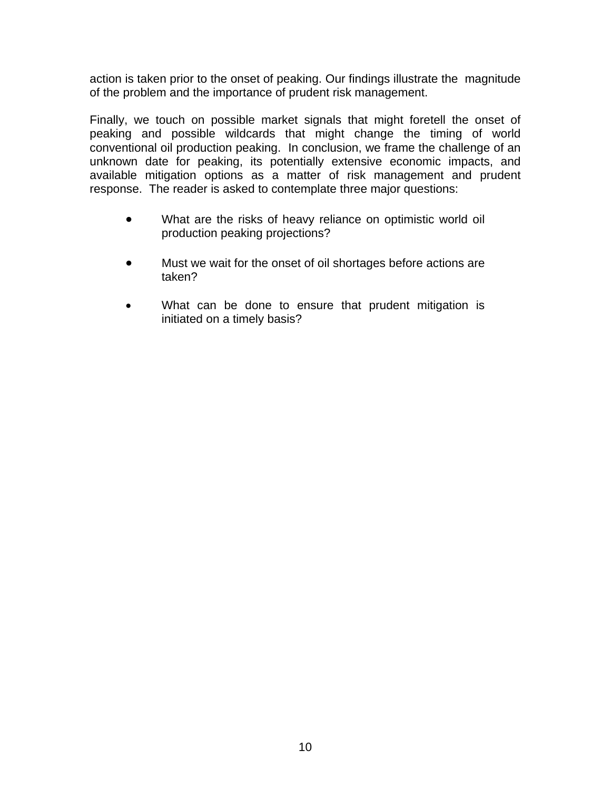action is taken prior to the onset of peaking. Our findings illustrate the magnitude of the problem and the importance of prudent risk management.

Finally, we touch on possible market signals that might foretell the onset of peaking and possible wildcards that might change the timing of world conventional oil production peaking. In conclusion, we frame the challenge of an unknown date for peaking, its potentially extensive economic impacts, and available mitigation options as a matter of risk management and prudent response. The reader is asked to contemplate three major questions:

- What are the risks of heavy reliance on optimistic world oil production peaking projections?
- Must we wait for the onset of oil shortages before actions are taken?
- What can be done to ensure that prudent mitigation is initiated on a timely basis?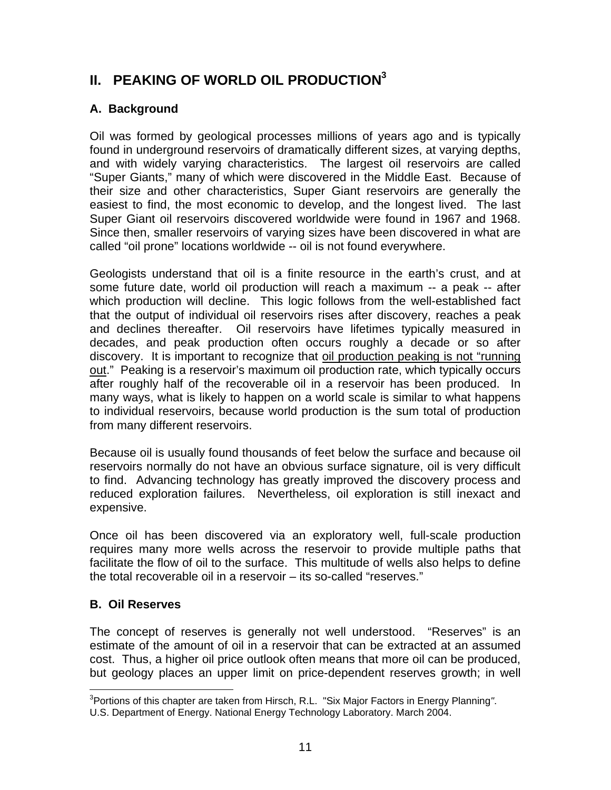# **II. PEAKING OF WORLD OIL PRODUCTION3**

#### **A. Background**

Oil was formed by geological processes millions of years ago and is typically found in underground reservoirs of dramatically different sizes, at varying depths, and with widely varying characteristics. The largest oil reservoirs are called "Super Giants," many of which were discovered in the Middle East. Because of their size and other characteristics, Super Giant reservoirs are generally the easiest to find, the most economic to develop, and the longest lived. The last Super Giant oil reservoirs discovered worldwide were found in 1967 and 1968. Since then, smaller reservoirs of varying sizes have been discovered in what are called "oil prone" locations worldwide -- oil is not found everywhere.

Geologists understand that oil is a finite resource in the earth's crust, and at some future date, world oil production will reach a maximum -- a peak -- after which production will decline. This logic follows from the well-established fact that the output of individual oil reservoirs rises after discovery, reaches a peak and declines thereafter. Oil reservoirs have lifetimes typically measured in decades, and peak production often occurs roughly a decade or so after discovery. It is important to recognize that oil production peaking is not "running out." Peaking is a reservoir's maximum oil production rate, which typically occurs after roughly half of the recoverable oil in a reservoir has been produced. In many ways, what is likely to happen on a world scale is similar to what happens to individual reservoirs, because world production is the sum total of production from many different reservoirs.

Because oil is usually found thousands of feet below the surface and because oil reservoirs normally do not have an obvious surface signature, oil is very difficult to find. Advancing technology has greatly improved the discovery process and reduced exploration failures. Nevertheless, oil exploration is still inexact and expensive.

Once oil has been discovered via an exploratory well, full-scale production requires many more wells across the reservoir to provide multiple paths that facilitate the flow of oil to the surface. This multitude of wells also helps to define the total recoverable oil in a reservoir – its so-called "reserves."

#### **B. Oil Reserves**

The concept of reserves is generally not well understood. "Reserves" is an estimate of the amount of oil in a reservoir that can be extracted at an assumed cost. Thus, a higher oil price outlook often means that more oil can be produced, but geology places an upper limit on price-dependent reserves growth; in well

 $\overline{a}$ 3 Portions of this chapter are taken from Hirsch, R.L. "Six Major Factors in Energy Planning*"*.

U.S. Department of Energy. National Energy Technology Laboratory. March 2004.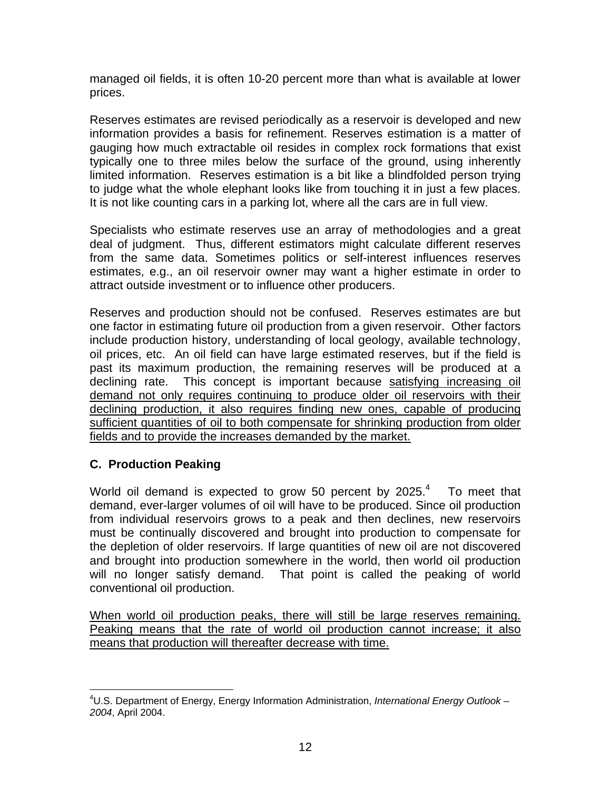managed oil fields, it is often 10-20 percent more than what is available at lower prices.

Reserves estimates are revised periodically as a reservoir is developed and new information provides a basis for refinement. Reserves estimation is a matter of gauging how much extractable oil resides in complex rock formations that exist typically one to three miles below the surface of the ground, using inherently limited information. Reserves estimation is a bit like a blindfolded person trying to judge what the whole elephant looks like from touching it in just a few places. It is not like counting cars in a parking lot, where all the cars are in full view.

Specialists who estimate reserves use an array of methodologies and a great deal of judgment. Thus, different estimators might calculate different reserves from the same data. Sometimes politics or self-interest influences reserves estimates, e.g., an oil reservoir owner may want a higher estimate in order to attract outside investment or to influence other producers.

Reserves and production should not be confused. Reserves estimates are but one factor in estimating future oil production from a given reservoir. Other factors include production history, understanding of local geology, available technology, oil prices, etc. An oil field can have large estimated reserves, but if the field is past its maximum production, the remaining reserves will be produced at a declining rate. This concept is important because satisfying increasing oil demand not only requires continuing to produce older oil reservoirs with their declining production, it also requires finding new ones, capable of producing sufficient quantities of oil to both compensate for shrinking production from older fields and to provide the increases demanded by the market.

#### **C. Production Peaking**

World oil demand is expected to grow 50 percent by  $2025.^4$  To meet that demand, ever-larger volumes of oil will have to be produced. Since oil production from individual reservoirs grows to a peak and then declines, new reservoirs must be continually discovered and brought into production to compensate for the depletion of older reservoirs. If large quantities of new oil are not discovered and brought into production somewhere in the world, then world oil production will no longer satisfy demand. That point is called the peaking of world conventional oil production.

When world oil production peaks, there will still be large reserves remaining. Peaking means that the rate of world oil production cannot increase; it also means that production will thereafter decrease with time.

 $\overline{a}$ 4 U.S. Department of Energy, Energy Information Administration, *International Energy Outlook – 2004*, April 2004.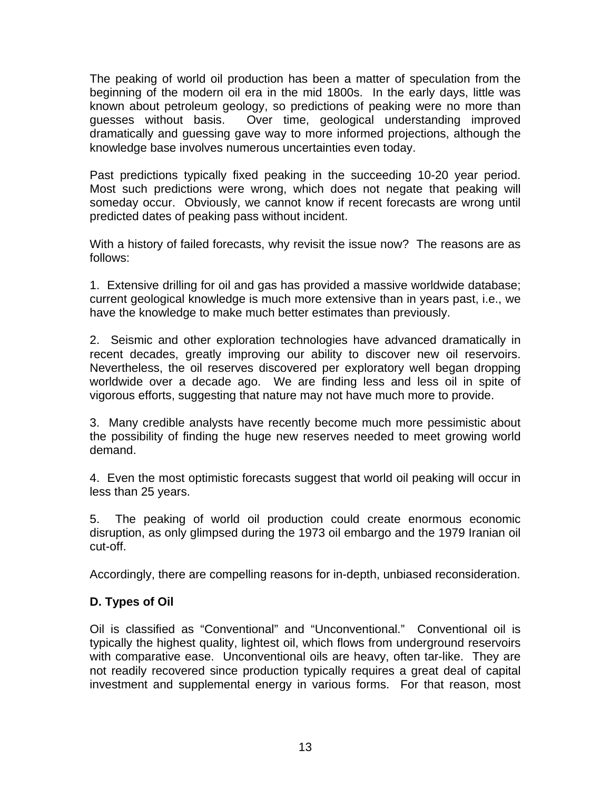The peaking of world oil production has been a matter of speculation from the beginning of the modern oil era in the mid 1800s. In the early days, little was known about petroleum geology, so predictions of peaking were no more than guesses without basis. Over time, geological understanding improved dramatically and guessing gave way to more informed projections, although the knowledge base involves numerous uncertainties even today.

Past predictions typically fixed peaking in the succeeding 10-20 year period. Most such predictions were wrong, which does not negate that peaking will someday occur. Obviously, we cannot know if recent forecasts are wrong until predicted dates of peaking pass without incident.

With a history of failed forecasts, why revisit the issue now? The reasons are as follows:

1. Extensive drilling for oil and gas has provided a massive worldwide database; current geological knowledge is much more extensive than in years past, i.e., we have the knowledge to make much better estimates than previously.

2. Seismic and other exploration technologies have advanced dramatically in recent decades, greatly improving our ability to discover new oil reservoirs. Nevertheless, the oil reserves discovered per exploratory well began dropping worldwide over a decade ago. We are finding less and less oil in spite of vigorous efforts, suggesting that nature may not have much more to provide.

3. Many credible analysts have recently become much more pessimistic about the possibility of finding the huge new reserves needed to meet growing world demand.

4. Even the most optimistic forecasts suggest that world oil peaking will occur in less than 25 years.

5. The peaking of world oil production could create enormous economic disruption, as only glimpsed during the 1973 oil embargo and the 1979 Iranian oil cut-off.

Accordingly, there are compelling reasons for in-depth, unbiased reconsideration.

#### **D. Types of Oil**

Oil is classified as "Conventional" and "Unconventional." Conventional oil is typically the highest quality, lightest oil, which flows from underground reservoirs with comparative ease. Unconventional oils are heavy, often tar-like. They are not readily recovered since production typically requires a great deal of capital investment and supplemental energy in various forms. For that reason, most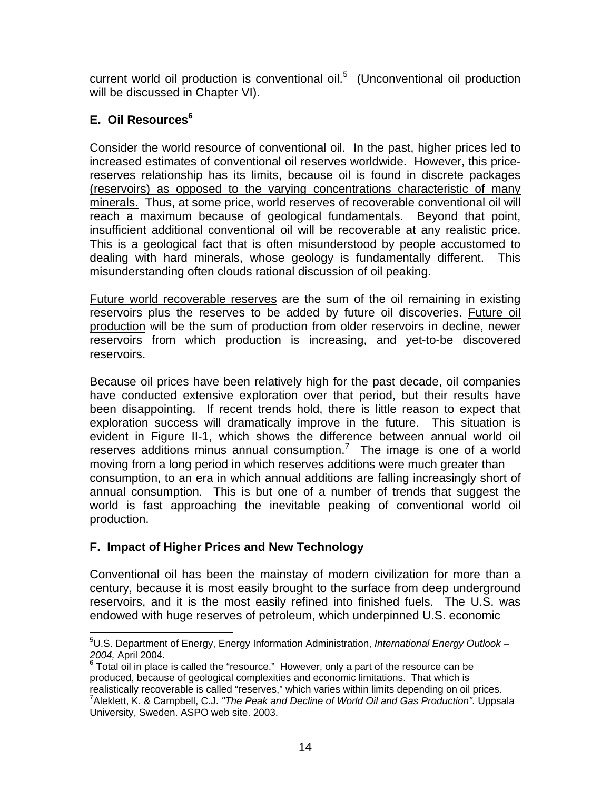current world oil production is conventional oil. $5$  (Unconventional oil production will be discussed in Chapter VI).

## **E. Oil Resources<sup>6</sup>**

Consider the world resource of conventional oil. In the past, higher prices led to increased estimates of conventional oil reserves worldwide. However, this pricereserves relationship has its limits, because oil is found in discrete packages (reservoirs) as opposed to the varying concentrations characteristic of many minerals. Thus, at some price, world reserves of recoverable conventional oil will reach a maximum because of geological fundamentals. Beyond that point, insufficient additional conventional oil will be recoverable at any realistic price. This is a geological fact that is often misunderstood by people accustomed to dealing with hard minerals, whose geology is fundamentally different. This misunderstanding often clouds rational discussion of oil peaking.

Future world recoverable reserves are the sum of the oil remaining in existing reservoirs plus the reserves to be added by future oil discoveries. Future oil production will be the sum of production from older reservoirs in decline, newer reservoirs from which production is increasing, and yet-to-be discovered reservoirs.

Because oil prices have been relatively high for the past decade, oil companies have conducted extensive exploration over that period, but their results have been disappointing. If recent trends hold, there is little reason to expect that exploration success will dramatically improve in the future. This situation is evident in Figure II-1, which shows the difference between annual world oil reserves additions minus annual consumption.<sup>7</sup> The image is one of a world moving from a long period in which reserves additions were much greater than consumption, to an era in which annual additions are falling increasingly short of annual consumption. This is but one of a number of trends that suggest the world is fast approaching the inevitable peaking of conventional world oil production.

## **F. Impact of Higher Prices and New Technology**

Conventional oil has been the mainstay of modern civilization for more than a century, because it is most easily brought to the surface from deep underground reservoirs, and it is the most easily refined into finished fuels. The U.S. was endowed with huge reserves of petroleum, which underpinned U.S. economic

 $\overline{a}$ 5 U.S. Department of Energy, Energy Information Administration, *International Energy Outlook – 2004,* April 2004. 6

 $6$  Total oil in place is called the "resource." However, only a part of the resource can be produced, because of geological complexities and economic limitations. That which is realistically recoverable is called "reserves," which varies within limits depending on oil prices. 7 <sup>7</sup> Aleklett, K. & Campbell, C.J. "The Peak and Decline of World Oil and Gas Production". Uppsala University, Sweden. ASPO web site. 2003.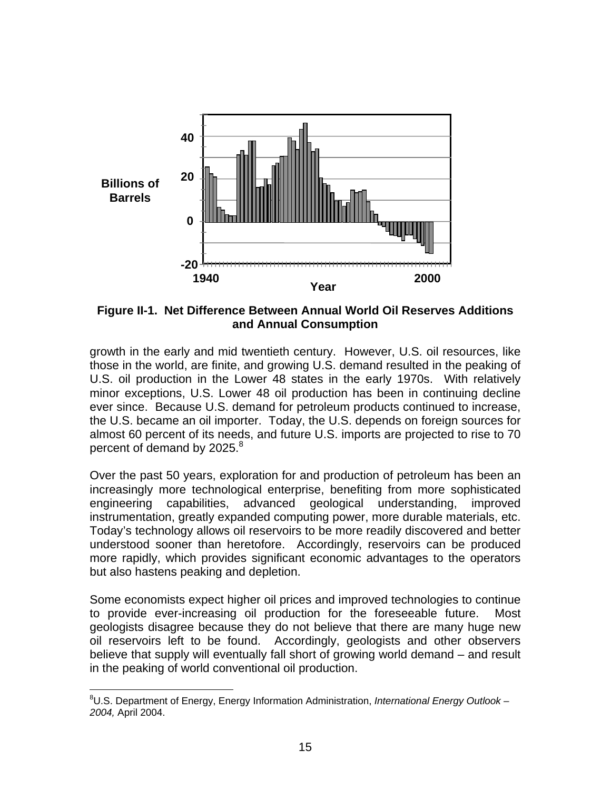

**Figure II-1. Net Difference Between Annual World Oil Reserves Additions and Annual Consumption** 

growth in the early and mid twentieth century. However, U.S. oil resources, like those in the world, are finite, and growing U.S. demand resulted in the peaking of U.S. oil production in the Lower 48 states in the early 1970s. With relatively minor exceptions, U.S. Lower 48 oil production has been in continuing decline ever since. Because U.S. demand for petroleum products continued to increase, the U.S. became an oil importer. Today, the U.S. depends on foreign sources for almost 60 percent of its needs, and future U.S. imports are projected to rise to 70 percent of demand by 2025.<sup>8</sup>

Over the past 50 years, exploration for and production of petroleum has been an increasingly more technological enterprise, benefiting from more sophisticated engineering capabilities, advanced geological understanding, improved instrumentation, greatly expanded computing power, more durable materials, etc. Today's technology allows oil reservoirs to be more readily discovered and better understood sooner than heretofore. Accordingly, reservoirs can be produced more rapidly, which provides significant economic advantages to the operators but also hastens peaking and depletion.

Some economists expect higher oil prices and improved technologies to continue to provide ever-increasing oil production for the foreseeable future. Most geologists disagree because they do not believe that there are many huge new oil reservoirs left to be found. Accordingly, geologists and other observers believe that supply will eventually fall short of growing world demand – and result in the peaking of world conventional oil production.

 $\overline{a}$ 

<sup>8</sup> U.S. Department of Energy, Energy Information Administration, *International Energy Outlook – 2004,* April 2004.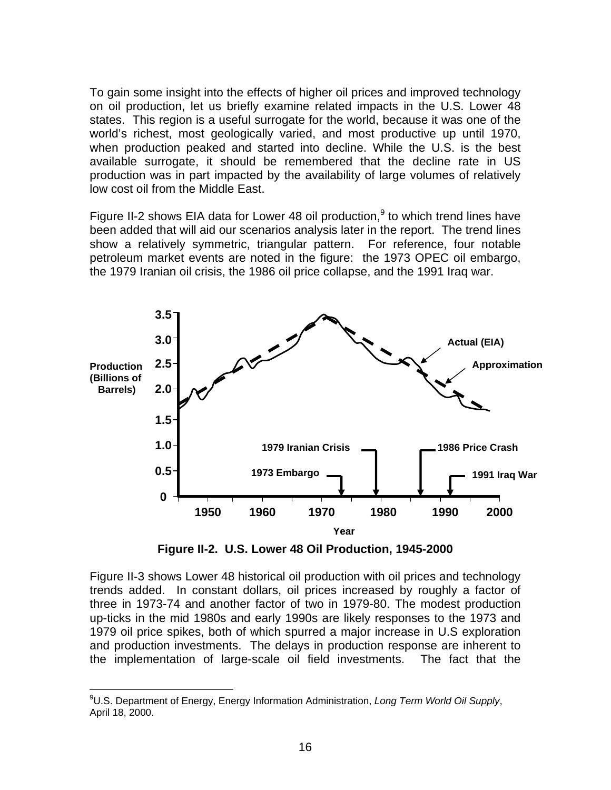To gain some insight into the effects of higher oil prices and improved technology on oil production, let us briefly examine related impacts in the U.S. Lower 48 states. This region is a useful surrogate for the world, because it was one of the world's richest, most geologically varied, and most productive up until 1970, when production peaked and started into decline. While the U.S. is the best available surrogate, it should be remembered that the decline rate in US production was in part impacted by the availability of large volumes of relatively low cost oil from the Middle East.

Figure II-2 shows EIA data for Lower 48 oil production, $9$  to which trend lines have been added that will aid our scenarios analysis later in the report. The trend lines show a relatively symmetric, triangular pattern. For reference, four notable petroleum market events are noted in the figure: the 1973 OPEC oil embargo, the 1979 Iranian oil crisis, the 1986 oil price collapse, and the 1991 Iraq war.



**Figure II-2. U.S. Lower 48 Oil Production, 1945-2000**

Figure II-3 shows Lower 48 historical oil production with oil prices and technology trends added. In constant dollars, oil prices increased by roughly a factor of three in 1973-74 and another factor of two in 1979-80. The modest production up-ticks in the mid 1980s and early 1990s are likely responses to the 1973 and 1979 oil price spikes, both of which spurred a major increase in U.S exploration and production investments. The delays in production response are inherent to the implementation of large-scale oil field investments. The fact that the

 $\overline{a}$ 

<sup>9</sup> U.S. Department of Energy, Energy Information Administration, *Long Term World Oil Supply*, April 18, 2000.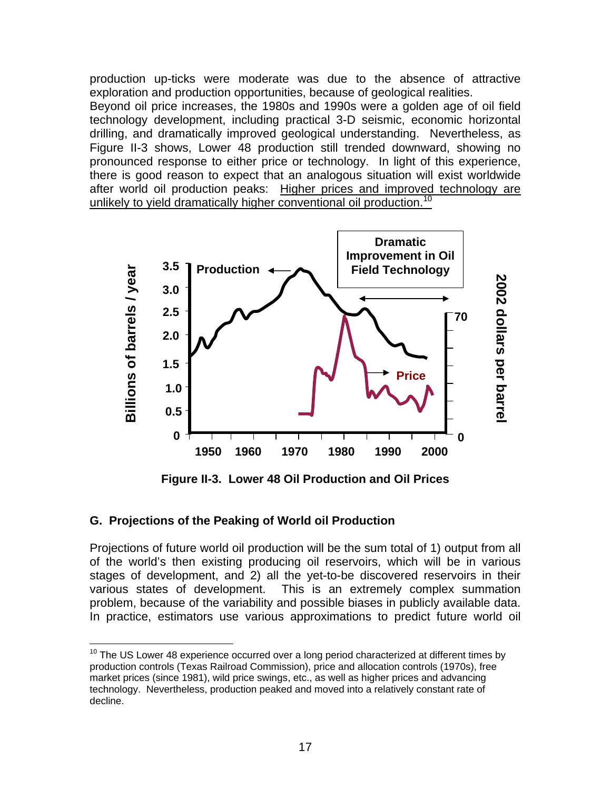production up-ticks were moderate was due to the absence of attractive exploration and production opportunities, because of geological realities.

Beyond oil price increases, the 1980s and 1990s were a golden age of oil field technology development, including practical 3-D seismic, economic horizontal drilling, and dramatically improved geological understanding. Nevertheless, as Figure II-3 shows, Lower 48 production still trended downward, showing no pronounced response to either price or technology. In light of this experience, there is good reason to expect that an analogous situation will exist worldwide after world oil production peaks: Higher prices and improved technology are unlikely to yield dramatically higher conventional oil production.<sup>10</sup>



**Figure II-3. Lower 48 Oil Production and Oil Prices** 

#### **G. Projections of the Peaking of World oil Production**

 $\overline{a}$ 

Projections of future world oil production will be the sum total of 1) output from all of the world's then existing producing oil reservoirs, which will be in various stages of development, and 2) all the yet-to-be discovered reservoirs in their various states of development. This is an extremely complex summation problem, because of the variability and possible biases in publicly available data. In practice, estimators use various approximations to predict future world oil

 $10$  The US Lower 48 experience occurred over a long period characterized at different times by production controls (Texas Railroad Commission), price and allocation controls (1970s), free market prices (since 1981), wild price swings, etc., as well as higher prices and advancing technology. Nevertheless, production peaked and moved into a relatively constant rate of decline.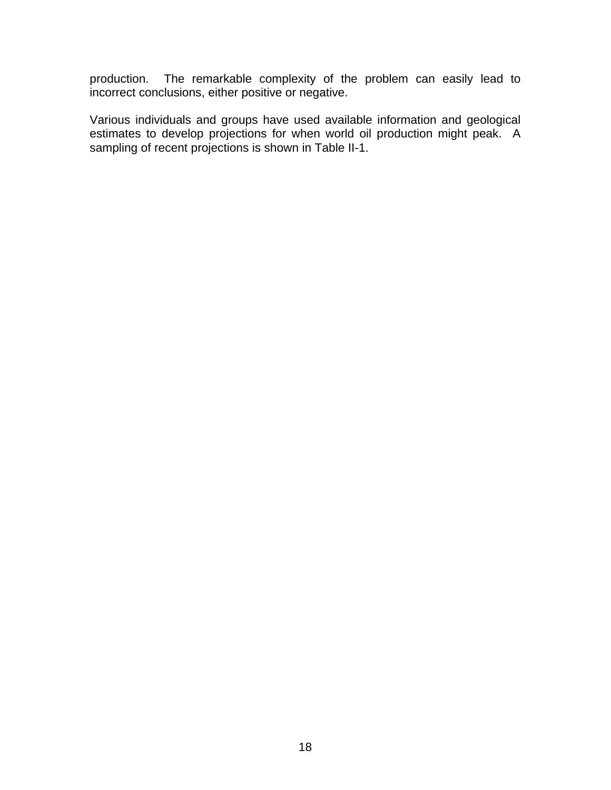production. The remarkable complexity of the problem can easily lead to incorrect conclusions, either positive or negative.

Various individuals and groups have used available information and geological estimates to develop projections for when world oil production might peak. A sampling of recent projections is shown in Table II-1.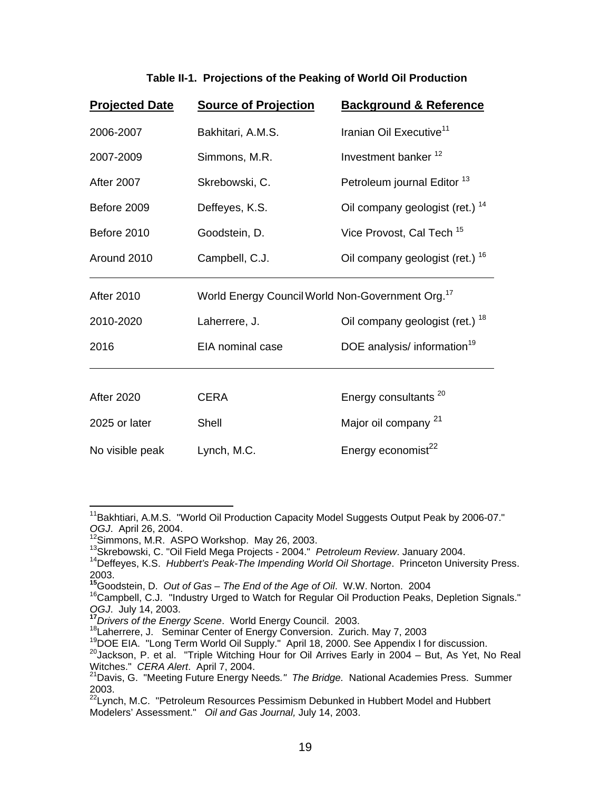| <b>Projected Date</b> | <b>Source of Projection</b>                                  | <b>Background &amp; Reference</b>          |  |  |
|-----------------------|--------------------------------------------------------------|--------------------------------------------|--|--|
| 2006-2007             | Bakhitari, A.M.S.                                            | Iranian Oil Executive <sup>11</sup>        |  |  |
| 2007-2009             | Simmons, M.R.                                                | Investment banker <sup>12</sup>            |  |  |
| <b>After 2007</b>     | Skrebowski, C.                                               | Petroleum journal Editor <sup>13</sup>     |  |  |
| Before 2009           | Deffeyes, K.S.                                               | Oil company geologist (ret.) <sup>14</sup> |  |  |
| Before 2010           | Goodstein, D.                                                | Vice Provost, Cal Tech <sup>15</sup>       |  |  |
| Around 2010           | Campbell, C.J.                                               | Oil company geologist (ret.) <sup>16</sup> |  |  |
|                       | World Energy Council World Non-Government Org. <sup>17</sup> |                                            |  |  |
| <b>After 2010</b>     |                                                              |                                            |  |  |
| 2010-2020             | Laherrere, J.                                                | Oil company geologist (ret.) <sup>18</sup> |  |  |
| 2016                  | EIA nominal case                                             | DOE analysis/ information <sup>19</sup>    |  |  |
|                       |                                                              |                                            |  |  |
| <b>After 2020</b>     | <b>CERA</b>                                                  | Energy consultants <sup>20</sup>           |  |  |
| 2025 or later         | Shell                                                        | Major oil company <sup>21</sup>            |  |  |

#### **Table II-1. Projections of the Peaking of World Oil Production**

 $\overline{a}$ 

<sup>&</sup>lt;sup>11</sup> Bakhtiari, A.M.S. "World Oil Production Capacity Model Suggests Output Peak by 2006-07." OGJ. April 26, 2004.<br><sup>12</sup>Simmons, M.R. ASPO Workshop. May 26, 2003.<br><sup>13</sup>Skrebowski, C. "Oil Field Mega Projects - 2004." *Petroleum Review*. January 2004.<br><sup>14</sup>Deffeves, K.S. *Hubbert's Peak-The Impending World Oil Shortage* 

<sup>2003.</sup> 

**<sup>15</sup>**Goodstein, D. *Out of Gas – The End of the Age of Oil*. W.W. Norton. 2004

<sup>&</sup>lt;sup>16</sup>Campbell, C.J. "Industry Urged to Watch for Regular Oil Production Peaks, Depletion Signals."<br>OGJ. July 14, 2003.

<sup>&</sup>lt;sup>17</sup>Drivers of the Energy Scene. World Energy Council. 2003.<br><sup>18</sup>Laherrere, J. Seminar Center of Energy Conversion. Zurich. May 7, 2003<br><sup>19</sup>DOE EIA. "Long Term World Oil Supply." April 18, 2000. See Appendix I for discussi

Witches." *CERA Alert.* April 7, 2004.<br><sup>21</sup>Davis, G. "Meeting Future Energy Needs*." The Bridge.* National Academies Press. Summer 2003.

<sup>&</sup>lt;sup>22</sup>Lynch, M.C. "Petroleum Resources Pessimism Debunked in Hubbert Model and Hubbert Modelers' Assessment." *Oil and Gas Journal,* July 14, 2003.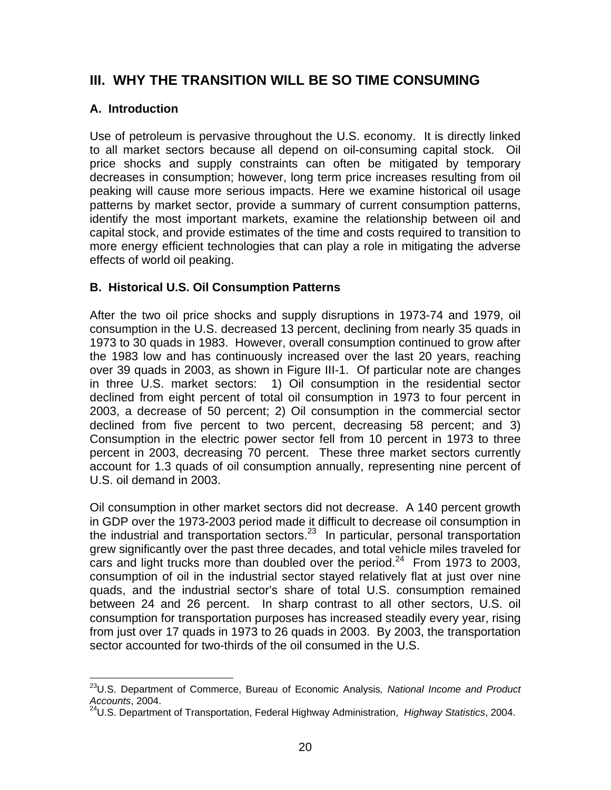## **III. WHY THE TRANSITION WILL BE SO TIME CONSUMING**

#### **A. Introduction**

Use of petroleum is pervasive throughout the U.S. economy. It is directly linked to all market sectors because all depend on oil-consuming capital stock. Oil price shocks and supply constraints can often be mitigated by temporary decreases in consumption; however, long term price increases resulting from oil peaking will cause more serious impacts. Here we examine historical oil usage patterns by market sector, provide a summary of current consumption patterns, identify the most important markets, examine the relationship between oil and capital stock, and provide estimates of the time and costs required to transition to more energy efficient technologies that can play a role in mitigating the adverse effects of world oil peaking.

#### **B. Historical U.S. Oil Consumption Patterns**

After the two oil price shocks and supply disruptions in 1973-74 and 1979, oil consumption in the U.S. decreased 13 percent, declining from nearly 35 quads in 1973 to 30 quads in 1983. However, overall consumption continued to grow after the 1983 low and has continuously increased over the last 20 years, reaching over 39 quads in 2003, as shown in Figure III-1. Of particular note are changes in three U.S. market sectors: 1) Oil consumption in the residential sector declined from eight percent of total oil consumption in 1973 to four percent in 2003, a decrease of 50 percent; 2) Oil consumption in the commercial sector declined from five percent to two percent, decreasing 58 percent; and 3) Consumption in the electric power sector fell from 10 percent in 1973 to three percent in 2003, decreasing 70 percent. These three market sectors currently account for 1.3 quads of oil consumption annually, representing nine percent of U.S. oil demand in 2003.

Oil consumption in other market sectors did not decrease. A 140 percent growth in GDP over the 1973-2003 period made it difficult to decrease oil consumption in the industrial and transportation sectors. $23$  In particular, personal transportation grew significantly over the past three decades, and total vehicle miles traveled for cars and light trucks more than doubled over the period.<sup>24</sup> From 1973 to 2003, consumption of oil in the industrial sector stayed relatively flat at just over nine quads, and the industrial sector's share of total U.S. consumption remained between 24 and 26 percent. In sharp contrast to all other sectors, U.S. oil consumption for transportation purposes has increased steadily every year, rising from just over 17 quads in 1973 to 26 quads in 2003. By 2003, the transportation sector accounted for two-thirds of the oil consumed in the U.S.

 $\overline{a}$ 23U.S. Department of Commerce, Bureau of Economic Analysis*, National Income and Product Accounts*, 2004.

<sup>24</sup>U.S. Department of Transportation, Federal Highway Administration, *Highway Statistics*, 2004.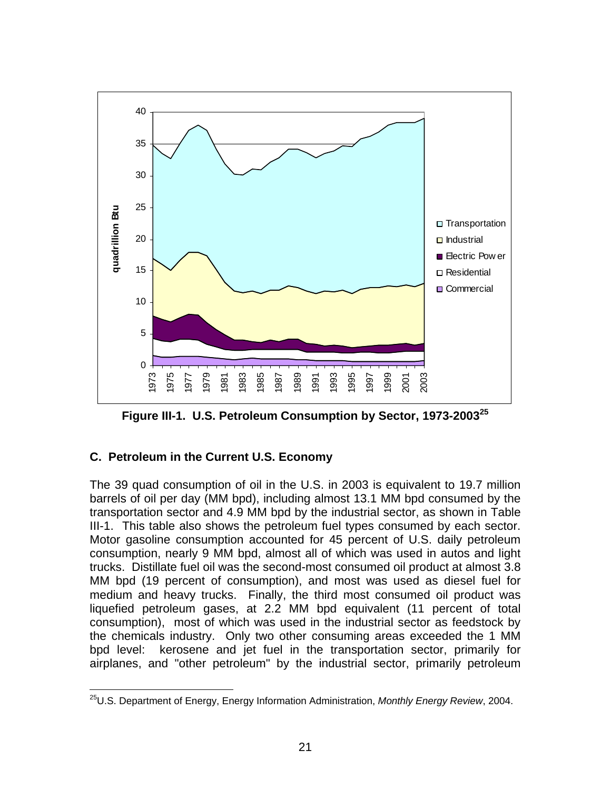

**Figure III-1. U.S. Petroleum Consumption by Sector, 1973-2003<sup>25</sup>**

#### **C. Petroleum in the Current U.S. Economy**

The 39 quad consumption of oil in the U.S. in 2003 is equivalent to 19.7 million barrels of oil per day (MM bpd), including almost 13.1 MM bpd consumed by the transportation sector and 4.9 MM bpd by the industrial sector, as shown in Table III-1. This table also shows the petroleum fuel types consumed by each sector. Motor gasoline consumption accounted for 45 percent of U.S. daily petroleum consumption, nearly 9 MM bpd, almost all of which was used in autos and light trucks. Distillate fuel oil was the second-most consumed oil product at almost 3.8 MM bpd (19 percent of consumption), and most was used as diesel fuel for medium and heavy trucks. Finally, the third most consumed oil product was liquefied petroleum gases, at 2.2 MM bpd equivalent (11 percent of total consumption), most of which was used in the industrial sector as feedstock by the chemicals industry. Only two other consuming areas exceeded the 1 MM bpd level: kerosene and jet fuel in the transportation sector, primarily for airplanes, and "other petroleum" by the industrial sector, primarily petroleum

 $\overline{a}$ 25U.S. Department of Energy, Energy Information Administration, *Monthly Energy Review*, 2004.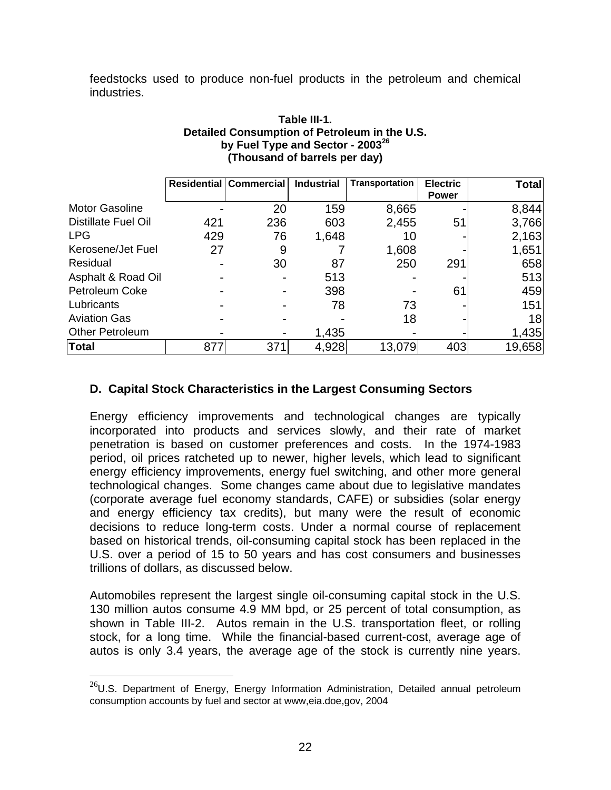feedstocks used to produce non-fuel products in the petroleum and chemical industries.

| Detailed Consumption of Fetroleum in the U.S.<br>by Fuel Type and Sector - 2003 <sup>26</sup><br>(Thousand of barrels per day) |     |                               |                   |                       |                 |        |  |
|--------------------------------------------------------------------------------------------------------------------------------|-----|-------------------------------|-------------------|-----------------------|-----------------|--------|--|
|                                                                                                                                |     | <b>Residential Commercial</b> | <b>Industrial</b> | <b>Transportation</b> | <b>Electric</b> | Total  |  |
| <b>Motor Gasoline</b>                                                                                                          |     | 20                            | 159               | 8,665                 | <b>Power</b>    | 8,844  |  |
| <b>Distillate Fuel Oil</b>                                                                                                     | 421 | 236                           | 603               | 2,455                 | 51              | 3,766  |  |
| <b>LPG</b>                                                                                                                     | 429 | 76                            | 1,648             | 10                    |                 | 2,163  |  |
| Kerosene/Jet Fuel                                                                                                              | 27  | 9                             |                   | 1,608                 |                 | 1,651  |  |
| Residual                                                                                                                       |     | 30                            | 87                | 250                   | 291             | 658    |  |
| Asphalt & Road Oil                                                                                                             |     |                               | 513               |                       |                 | 513    |  |
| Petroleum Coke                                                                                                                 |     |                               | 398               |                       | 61              | 459    |  |
| Lubricants                                                                                                                     |     |                               | 78                | 73                    |                 | 151    |  |
| <b>Aviation Gas</b>                                                                                                            |     |                               |                   | 18                    |                 | 18     |  |
| <b>Other Petroleum</b>                                                                                                         |     |                               | 1,435             |                       |                 | 1,435  |  |
| <b>Total</b>                                                                                                                   | 877 | 371                           | 4,928             | 13,079                | 403             | 19,658 |  |

# **Table III-1. Detailed Consumption of Petroleum in the U.S.**

#### **D. Capital Stock Characteristics in the Largest Consuming Sectors**

Energy efficiency improvements and technological changes are typically incorporated into products and services slowly, and their rate of market penetration is based on customer preferences and costs. In the 1974-1983 period, oil prices ratcheted up to newer, higher levels, which lead to significant energy efficiency improvements, energy fuel switching, and other more general technological changes. Some changes came about due to legislative mandates (corporate average fuel economy standards, CAFE) or subsidies (solar energy and energy efficiency tax credits), but many were the result of economic decisions to reduce long-term costs. Under a normal course of replacement based on historical trends, oil-consuming capital stock has been replaced in the U.S. over a period of 15 to 50 years and has cost consumers and businesses trillions of dollars, as discussed below.

Automobiles represent the largest single oil-consuming capital stock in the U.S. 130 million autos consume 4.9 MM bpd, or 25 percent of total consumption, as shown in Table III-2. Autos remain in the U.S. transportation fleet, or rolling stock, for a long time. While the financial-based current-cost, average age of autos is only 3.4 years, the average age of the stock is currently nine years.

 $\overline{a}$ 

 $^{26}$ U.S. Department of Energy, Energy Information Administration, Detailed annual petroleum consumption accounts by fuel and sector at www,eia.doe,gov, 2004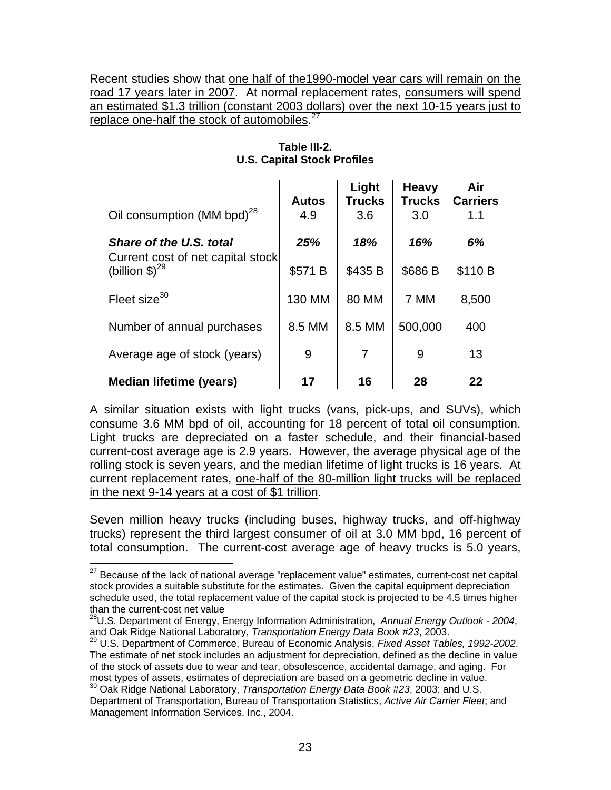Recent studies show that one half of the1990-model year cars will remain on the road 17 years later in 2007. At normal replacement rates, consumers will spend an estimated \$1.3 trillion (constant 2003 dollars) over the next 10-15 years just to replace one-half the stock of automobiles.<sup>27</sup>

|                                        |              | Light         | <b>Heavy</b>  | Air             |
|----------------------------------------|--------------|---------------|---------------|-----------------|
|                                        | <b>Autos</b> | <b>Trucks</b> | <b>Trucks</b> | <b>Carriers</b> |
| Oil consumption (MM bpd) <sup>28</sup> | 4.9          | 3.6           | 3.0           | 1.1             |
| Share of the U.S. total                | 25%          | 18%           | 16%           | 6%              |
| Current cost of net capital stock      |              |               |               |                 |
| (billion $$)^{29}$                     | \$571 B      | \$435 B       | \$686 B       | \$110 B         |
| Fleet size <sup>30</sup>               | 130 MM       | 80 MM         | 7 MM          | 8,500           |
| Number of annual purchases             | 8.5 MM       | 8.5 MM        | 500,000       | 400             |
| Average age of stock (years)           | 9            | 7             | 9             | 13              |
| Median lifetime (years)                | 17           | 16            | 28            | 22              |

#### **Table III-2. U.S. Capital Stock Profiles**

A similar situation exists with light trucks (vans, pick-ups, and SUVs), which consume 3.6 MM bpd of oil, accounting for 18 percent of total oil consumption. Light trucks are depreciated on a faster schedule, and their financial-based current-cost average age is 2.9 years. However, the average physical age of the rolling stock is seven years, and the median lifetime of light trucks is 16 years. At current replacement rates, one-half of the 80-million light trucks will be replaced in the next 9-14 years at a cost of \$1 trillion.

Seven million heavy trucks (including buses, highway trucks, and off-highway trucks) represent the third largest consumer of oil at 3.0 MM bpd, 16 percent of total consumption. The current-cost average age of heavy trucks is 5.0 years,

 $\overline{a}$  $27$  Because of the lack of national average "replacement value" estimates, current-cost net capital stock provides a suitable substitute for the estimates. Given the capital equipment depreciation schedule used, the total replacement value of the capital stock is projected to be 4.5 times higher than the current-cost net value

<sup>28</sup>U.S. Department of Energy, Energy Information Administration, *Annual Energy Outlook - 2004*, and Oak Ridge National Laboratory, *Transportation Energy Data Book #23*, 2003.

<sup>29</sup> U.S. Department of Commerce, Bureau of Economic Analysis, *Fixed Asset Tables, 1992-2002*. The estimate of net stock includes an adjustment for depreciation, defined as the decline in value of the stock of assets due to wear and tear, obsolescence, accidental damage, and aging. For most types of assets, estimates of depreciation are based on a geometric decline in value.

<sup>&</sup>lt;sup>30</sup> Oak Ridge National Laboratory, *Transportation Energy Data Book #23*, 2003; and U.S. Department of Transportation, Bureau of Transportation Statistics, *Active Air Carrier Fleet*; and Management Information Services, Inc., 2004.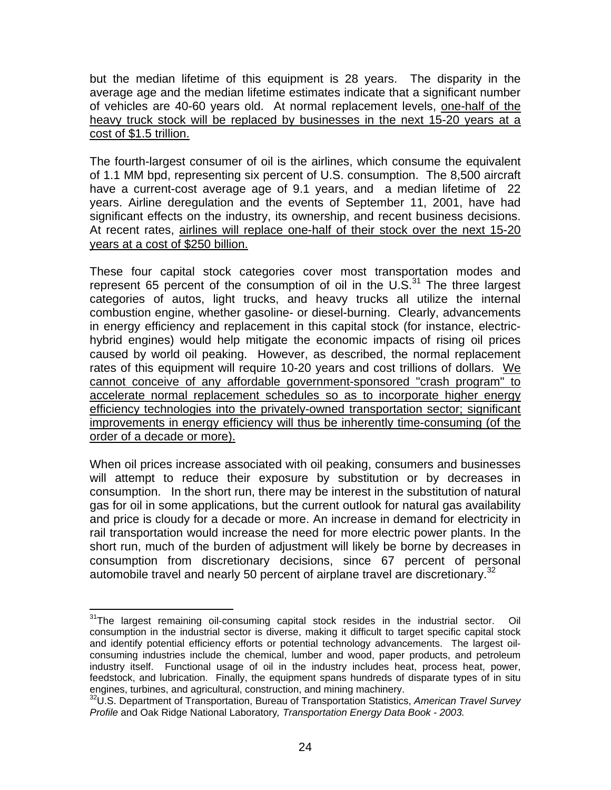but the median lifetime of this equipment is 28 years. The disparity in the average age and the median lifetime estimates indicate that a significant number of vehicles are 40-60 years old. At normal replacement levels, one-half of the heavy truck stock will be replaced by businesses in the next 15-20 years at a cost of \$1.5 trillion.

The fourth-largest consumer of oil is the airlines, which consume the equivalent of 1.1 MM bpd, representing six percent of U.S. consumption. The 8,500 aircraft have a current-cost average age of 9.1 years, and a median lifetime of 22 years. Airline deregulation and the events of September 11, 2001, have had significant effects on the industry, its ownership, and recent business decisions. At recent rates, airlines will replace one-half of their stock over the next 15-20 years at a cost of \$250 billion.

These four capital stock categories cover most transportation modes and represent 65 percent of the consumption of oil in the U.S. $31$  The three largest categories of autos, light trucks, and heavy trucks all utilize the internal combustion engine, whether gasoline- or diesel-burning. Clearly, advancements in energy efficiency and replacement in this capital stock (for instance, electrichybrid engines) would help mitigate the economic impacts of rising oil prices caused by world oil peaking. However, as described, the normal replacement rates of this equipment will require 10-20 years and cost trillions of dollars. We cannot conceive of any affordable government-sponsored "crash program" to accelerate normal replacement schedules so as to incorporate higher energy efficiency technologies into the privately-owned transportation sector; significant improvements in energy efficiency will thus be inherently time-consuming (of the order of a decade or more).

When oil prices increase associated with oil peaking, consumers and businesses will attempt to reduce their exposure by substitution or by decreases in consumption. In the short run, there may be interest in the substitution of natural gas for oil in some applications, but the current outlook for natural gas availability and price is cloudy for a decade or more. An increase in demand for electricity in rail transportation would increase the need for more electric power plants. In the short run, much of the burden of adjustment will likely be borne by decreases in consumption from discretionary decisions, since 67 percent of personal automobile travel and nearly 50 percent of airplane travel are discretionary.<sup>32</sup>

<sup>1</sup>  $31$ The largest remaining oil-consuming capital stock resides in the industrial sector. Oil consumption in the industrial sector is diverse, making it difficult to target specific capital stock and identify potential efficiency efforts or potential technology advancements. The largest oilconsuming industries include the chemical, lumber and wood, paper products, and petroleum industry itself. Functional usage of oil in the industry includes heat, process heat, power, feedstock, and lubrication. Finally, the equipment spans hundreds of disparate types of in situ engines, turbines, and agricultural, construction, and mining machinery.

<sup>32</sup>U.S. Department of Transportation, Bureau of Transportation Statistics, *American Travel Survey Profile* and Oak Ridge National Laboratory*, Transportation Energy Data Book - 2003.*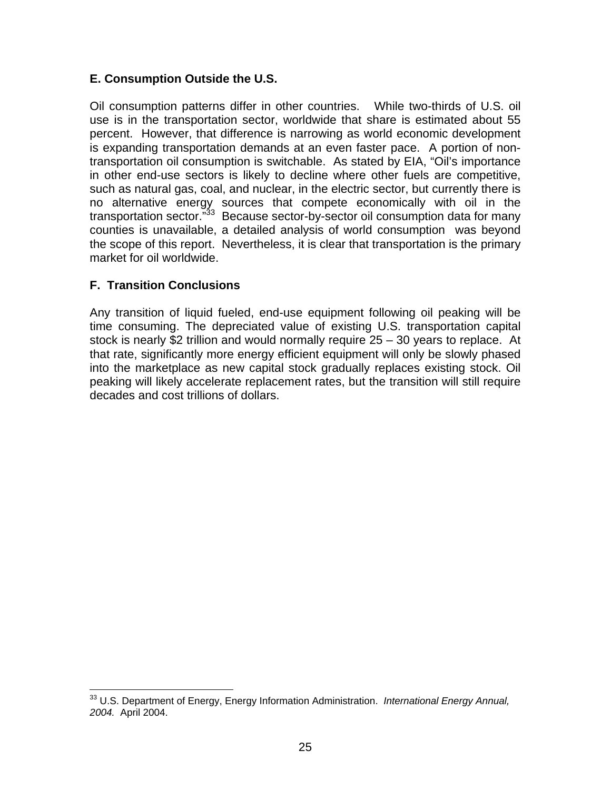#### **E. Consumption Outside the U.S.**

Oil consumption patterns differ in other countries. While two-thirds of U.S. oil use is in the transportation sector, worldwide that share is estimated about 55 percent. However, that difference is narrowing as world economic development is expanding transportation demands at an even faster pace. A portion of nontransportation oil consumption is switchable. As stated by EIA, "Oil's importance in other end-use sectors is likely to decline where other fuels are competitive, such as natural gas, coal, and nuclear, in the electric sector, but currently there is no alternative energy sources that compete economically with oil in the transportation sector.<sup>"33</sup> Because sector-by-sector oil consumption data for many counties is unavailable, a detailed analysis of world consumption was beyond the scope of this report. Nevertheless, it is clear that transportation is the primary market for oil worldwide.

#### **F. Transition Conclusions**

 $\overline{a}$ 

Any transition of liquid fueled, end-use equipment following oil peaking will be time consuming. The depreciated value of existing U.S. transportation capital stock is nearly \$2 trillion and would normally require 25 – 30 years to replace. At that rate, significantly more energy efficient equipment will only be slowly phased into the marketplace as new capital stock gradually replaces existing stock. Oil peaking will likely accelerate replacement rates, but the transition will still require decades and cost trillions of dollars.

<sup>33</sup> U.S. Department of Energy, Energy Information Administration. *International Energy Annual, 2004.* April 2004.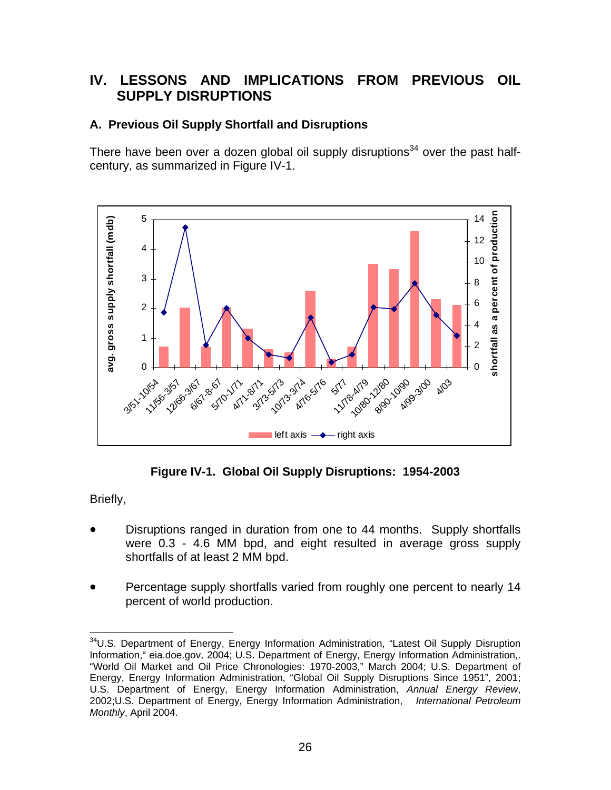## **IV. LESSONS AND IMPLICATIONS FROM PREVIOUS OIL SUPPLY DISRUPTIONS**

#### **A. Previous Oil Supply Shortfall and Disruptions**

There have been over a dozen global oil supply disruptions<sup>34</sup> over the past halfcentury, as summarized in Figure IV-1.



**Figure IV-1. Global Oil Supply Disruptions: 1954-2003**

Briefly,

- Disruptions ranged in duration from one to 44 months. Supply shortfalls were 0.3 - 4.6 MM bpd, and eight resulted in average gross supply shortfalls of at least 2 MM bpd.
- Percentage supply shortfalls varied from roughly one percent to nearly 14 percent of world production.

 $\overline{a}$ <sup>34</sup>U.S. Department of Energy, Energy Information Administration, "Latest Oil Supply Disruption Information," eia.doe.gov, 2004; U.S. Department of Energy, Energy Information Administration,. "World Oil Market and Oil Price Chronologies: 1970-2003," March 2004; U.S. Department of Energy, Energy Information Administration, "Global Oil Supply Disruptions Since 1951", 2001; U.S. Department of Energy, Energy Information Administration, *Annual Energy Review*, 2002;U.S. Department of Energy, Energy Information Administration, *International Petroleum Monthly*, April 2004.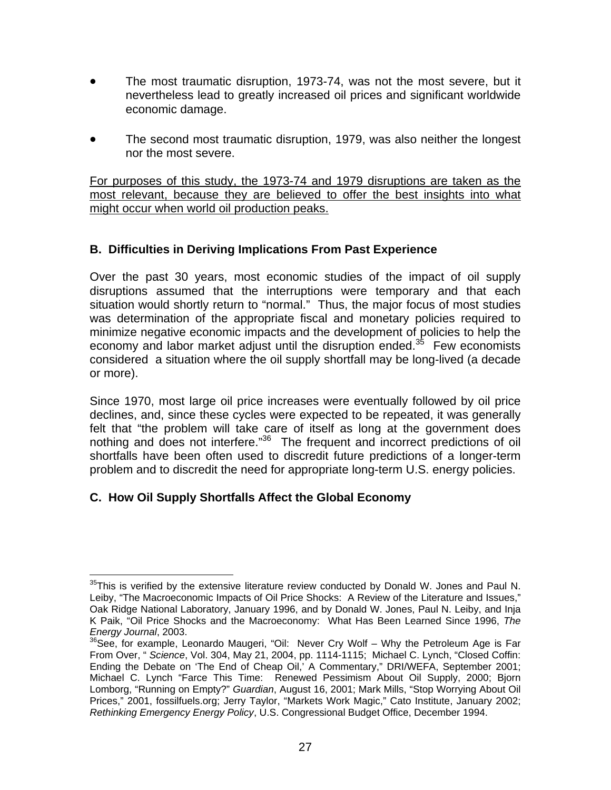- The most traumatic disruption, 1973-74, was not the most severe, but it nevertheless lead to greatly increased oil prices and significant worldwide economic damage.
- The second most traumatic disruption, 1979, was also neither the longest nor the most severe.

For purposes of this study, the 1973-74 and 1979 disruptions are taken as the most relevant, because they are believed to offer the best insights into what might occur when world oil production peaks.

#### **B. Difficulties in Deriving Implications From Past Experience**

Over the past 30 years, most economic studies of the impact of oil supply disruptions assumed that the interruptions were temporary and that each situation would shortly return to "normal." Thus, the major focus of most studies was determination of the appropriate fiscal and monetary policies required to minimize negative economic impacts and the development of policies to help the economy and labor market adjust until the disruption ended. $35$  Few economists considered a situation where the oil supply shortfall may be long-lived (a decade or more).

Since 1970, most large oil price increases were eventually followed by oil price declines, and, since these cycles were expected to be repeated, it was generally felt that "the problem will take care of itself as long at the government does nothing and does not interfere."36 The frequent and incorrect predictions of oil shortfalls have been often used to discredit future predictions of a longer-term problem and to discredit the need for appropriate long-term U.S. energy policies.

#### **C. How Oil Supply Shortfalls Affect the Global Economy**

 $\overline{a}$ <sup>35</sup>This is verified by the extensive literature review conducted by Donald W. Jones and Paul N. Leiby, "The Macroeconomic Impacts of Oil Price Shocks: A Review of the Literature and Issues," Oak Ridge National Laboratory, January 1996, and by Donald W. Jones, Paul N. Leiby, and Inja K Paik, "Oil Price Shocks and the Macroeconomy: What Has Been Learned Since 1996, *The Energy Journal*, 2003.

<sup>36</sup>See, for example, Leonardo Maugeri, "Oil: Never Cry Wolf – Why the Petroleum Age is Far From Over, " *Science*, Vol. 304, May 21, 2004, pp. 1114-1115; Michael C. Lynch, "Closed Coffin: Ending the Debate on 'The End of Cheap Oil,' A Commentary," DRI/WEFA, September 2001; Michael C. Lynch "Farce This Time: Renewed Pessimism About Oil Supply, 2000; Bjorn Lomborg, "Running on Empty?" *Guardian*, August 16, 2001; Mark Mills, "Stop Worrying About Oil Prices," 2001, fossilfuels.org; Jerry Taylor, "Markets Work Magic," Cato Institute, January 2002; *Rethinking Emergency Energy Policy*, U.S. Congressional Budget Office, December 1994.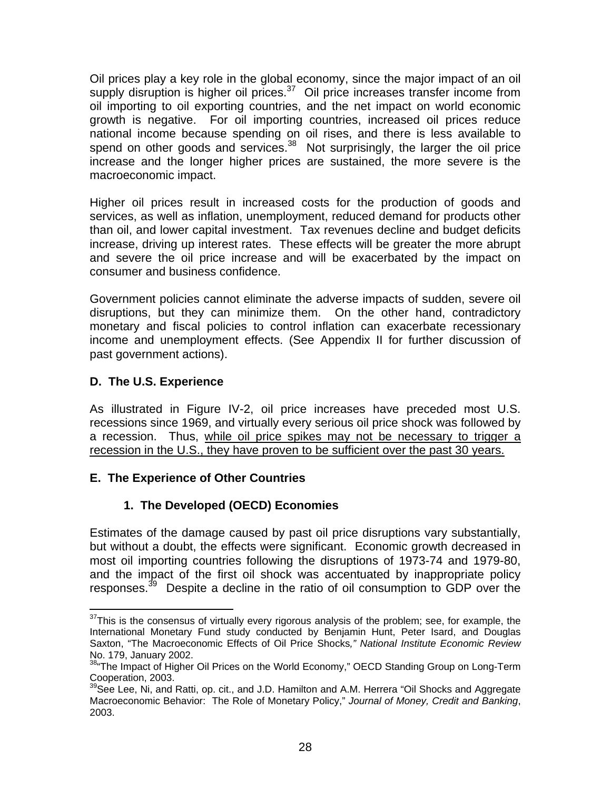Oil prices play a key role in the global economy, since the major impact of an oil supply disruption is higher oil prices. $37$  Oil price increases transfer income from oil importing to oil exporting countries, and the net impact on world economic growth is negative. For oil importing countries, increased oil prices reduce national income because spending on oil rises, and there is less available to spend on other goods and services. $38$  Not surprisingly, the larger the oil price increase and the longer higher prices are sustained, the more severe is the macroeconomic impact.

Higher oil prices result in increased costs for the production of goods and services, as well as inflation, unemployment, reduced demand for products other than oil, and lower capital investment. Tax revenues decline and budget deficits increase, driving up interest rates. These effects will be greater the more abrupt and severe the oil price increase and will be exacerbated by the impact on consumer and business confidence.

Government policies cannot eliminate the adverse impacts of sudden, severe oil disruptions, but they can minimize them. On the other hand, contradictory monetary and fiscal policies to control inflation can exacerbate recessionary income and unemployment effects. (See Appendix II for further discussion of past government actions).

## **D. The U.S. Experience**

As illustrated in Figure IV-2, oil price increases have preceded most U.S. recessions since 1969, and virtually every serious oil price shock was followed by a recession. Thus, while oil price spikes may not be necessary to trigger a recession in the U.S., they have proven to be sufficient over the past 30 years.

## **E. The Experience of Other Countries**

## **1. The Developed (OECD) Economies**

Estimates of the damage caused by past oil price disruptions vary substantially, but without a doubt, the effects were significant. Economic growth decreased in most oil importing countries following the disruptions of 1973-74 and 1979-80, and the impact of the first oil shock was accentuated by inappropriate policy responses.<sup>39</sup> Despite a decline in the ratio of oil consumption to GDP over the

 $\overline{a}$  $37$ This is the consensus of virtually every rigorous analysis of the problem; see, for example, the International Monetary Fund study conducted by Benjamin Hunt, Peter Isard, and Douglas Saxton, "The Macroeconomic Effects of Oil Price Shocks*," National Institute Economic Review*  No. 179, January 2002.

<sup>38&</sup>quot;The Impact of Higher Oil Prices on the World Economy," OECD Standing Group on Long-Term Cooperation, 2003.

<sup>&</sup>lt;sup>39</sup>See Lee, Ni, and Ratti, op. cit., and J.D. Hamilton and A.M. Herrera "Oil Shocks and Aggregate Macroeconomic Behavior: The Role of Monetary Policy," *Journal of Money, Credit and Banking*, 2003.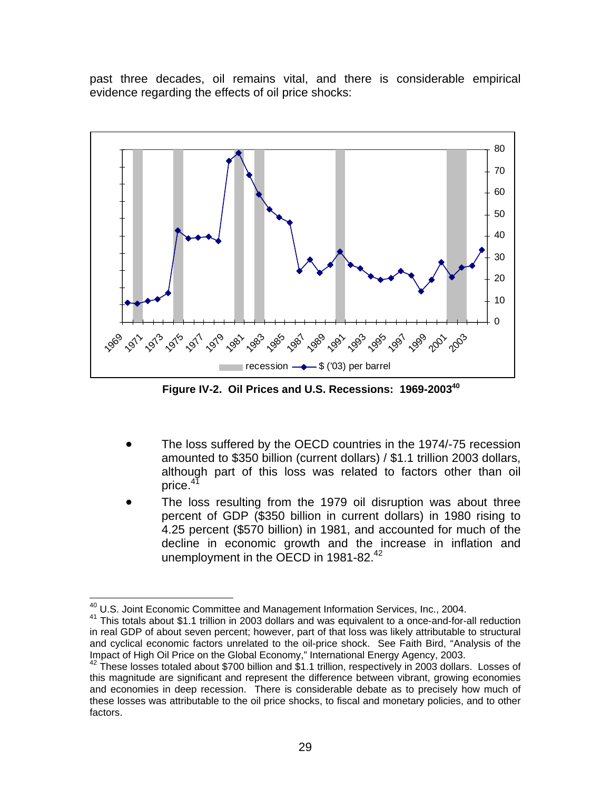past three decades, oil remains vital, and there is considerable empirical evidence regarding the effects of oil price shocks:



 **Figure IV-2. Oil Prices and U.S. Recessions: 1969-200340**

- The loss suffered by the OECD countries in the 1974/-75 recession amounted to \$350 billion (current dollars) / \$1.1 trillion 2003 dollars, although part of this loss was related to factors other than oil price.<sup>41</sup>
- The loss resulting from the 1979 oil disruption was about three percent of GDP (\$350 billion in current dollars) in 1980 rising to 4.25 percent (\$570 billion) in 1981, and accounted for much of the decline in economic growth and the increase in inflation and unemployment in the OECD in 1981-82.<sup>42</sup>

<sup>&</sup>lt;sup>40</sup> U.S. Joint Economic Committee and Management Information Services, Inc., 2004.

 $41$  This totals about \$1.1 trillion in 2003 dollars and was equivalent to a once-and-for-all reduction in real GDP of about seven percent; however, part of that loss was likely attributable to structural and cyclical economic factors unrelated to the oil-price shock. See Faith Bird, "Analysis of the Impact of High Oil Price on the Global Economy," International Energy Agency, 2003.

<sup>&</sup>lt;sup>42</sup> These losses totaled about \$700 billion and \$1.1 trillion, respectively in 2003 dollars. Losses of this magnitude are significant and represent the difference between vibrant, growing economies and economies in deep recession. There is considerable debate as to precisely how much of these losses was attributable to the oil price shocks, to fiscal and monetary policies, and to other factors.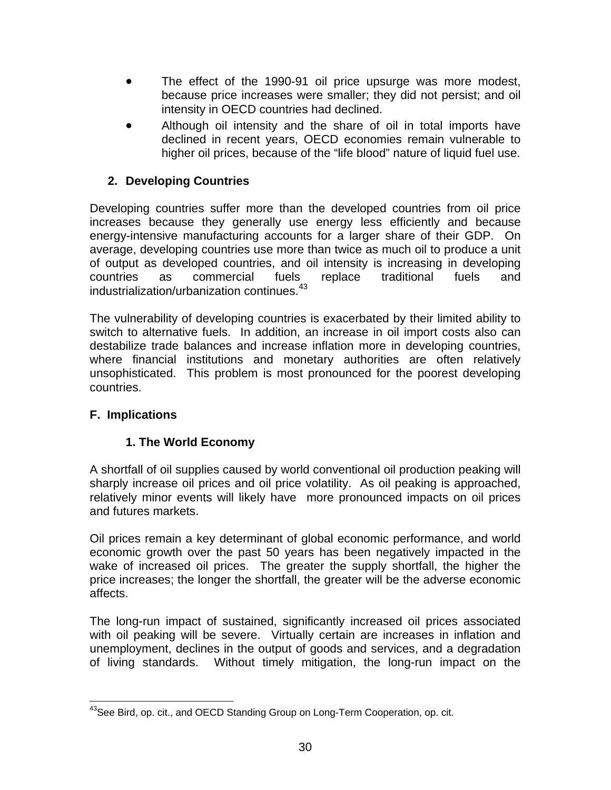- The effect of the 1990-91 oil price upsurge was more modest, because price increases were smaller; they did not persist; and oil intensity in OECD countries had declined.
- Although oil intensity and the share of oil in total imports have declined in recent years, OECD economies remain vulnerable to higher oil prices, because of the "life blood" nature of liquid fuel use.

#### **2. Developing Countries**

Developing countries suffer more than the developed countries from oil price increases because they generally use energy less efficiently and because energy-intensive manufacturing accounts for a larger share of their GDP. On average, developing countries use more than twice as much oil to produce a unit of output as developed countries, and oil intensity is increasing in developing countries as commercial fuels replace traditional fuels and industrialization/urbanization continues.<sup>43</sup>

The vulnerability of developing countries is exacerbated by their limited ability to switch to alternative fuels. In addition, an increase in oil import costs also can destabilize trade balances and increase inflation more in developing countries, where financial institutions and monetary authorities are often relatively unsophisticated. This problem is most pronounced for the poorest developing countries.

#### **F. Implications**

#### **1. The World Economy**

A shortfall of oil supplies caused by world conventional oil production peaking will sharply increase oil prices and oil price volatility. As oil peaking is approached, relatively minor events will likely have more pronounced impacts on oil prices and futures markets.

Oil prices remain a key determinant of global economic performance, and world economic growth over the past 50 years has been negatively impacted in the wake of increased oil prices. The greater the supply shortfall, the higher the price increases; the longer the shortfall, the greater will be the adverse economic affects.

The long-run impact of sustained, significantly increased oil prices associated with oil peaking will be severe. Virtually certain are increases in inflation and unemployment, declines in the output of goods and services, and a degradation of living standards. Without timely mitigation, the long-run impact on the

 $\overline{a}$  $43$ See Bird, op. cit., and OECD Standing Group on Long-Term Cooperation, op. cit.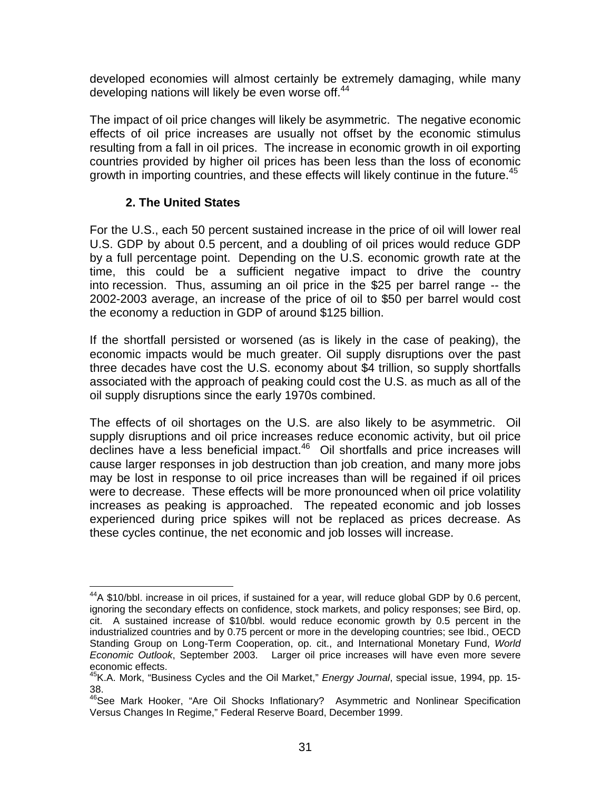developed economies will almost certainly be extremely damaging, while many developing nations will likely be even worse off.<sup>44</sup>

The impact of oil price changes will likely be asymmetric. The negative economic effects of oil price increases are usually not offset by the economic stimulus resulting from a fall in oil prices. The increase in economic growth in oil exporting countries provided by higher oil prices has been less than the loss of economic growth in importing countries, and these effects will likely continue in the future.<sup>45</sup>

#### **2. The United States**

1

For the U.S., each 50 percent sustained increase in the price of oil will lower real U.S. GDP by about 0.5 percent, and a doubling of oil prices would reduce GDP by a full percentage point. Depending on the U.S. economic growth rate at the time, this could be a sufficient negative impact to drive the country into recession. Thus, assuming an oil price in the \$25 per barrel range -- the 2002-2003 average, an increase of the price of oil to \$50 per barrel would cost the economy a reduction in GDP of around \$125 billion.

If the shortfall persisted or worsened (as is likely in the case of peaking), the economic impacts would be much greater. Oil supply disruptions over the past three decades have cost the U.S. economy about \$4 trillion, so supply shortfalls associated with the approach of peaking could cost the U.S. as much as all of the oil supply disruptions since the early 1970s combined.

The effects of oil shortages on the U.S. are also likely to be asymmetric. Oil supply disruptions and oil price increases reduce economic activity, but oil price declines have a less beneficial impact.<sup>46</sup> Oil shortfalls and price increases will cause larger responses in job destruction than job creation, and many more jobs may be lost in response to oil price increases than will be regained if oil prices were to decrease. These effects will be more pronounced when oil price volatility increases as peaking is approached. The repeated economic and job losses experienced during price spikes will not be replaced as prices decrease. As these cycles continue, the net economic and job losses will increase.

<sup>&</sup>lt;sup>44</sup>A \$10/bbl. increase in oil prices, if sustained for a year, will reduce global GDP by 0.6 percent, ignoring the secondary effects on confidence, stock markets, and policy responses; see Bird, op. cit. A sustained increase of \$10/bbl. would reduce economic growth by 0.5 percent in the industrialized countries and by 0.75 percent or more in the developing countries; see Ibid., OECD Standing Group on Long-Term Cooperation, op. cit., and International Monetary Fund, *World Economic Outlook*, September 2003. Larger oil price increases will have even more severe economic effects.

<sup>45</sup>K.A. Mork, "Business Cycles and the Oil Market," *Energy Journal*, special issue, 1994, pp. 15- 38.

<sup>&</sup>lt;sup>46</sup>See Mark Hooker, "Are Oil Shocks Inflationary? Asymmetric and Nonlinear Specification Versus Changes In Regime," Federal Reserve Board, December 1999.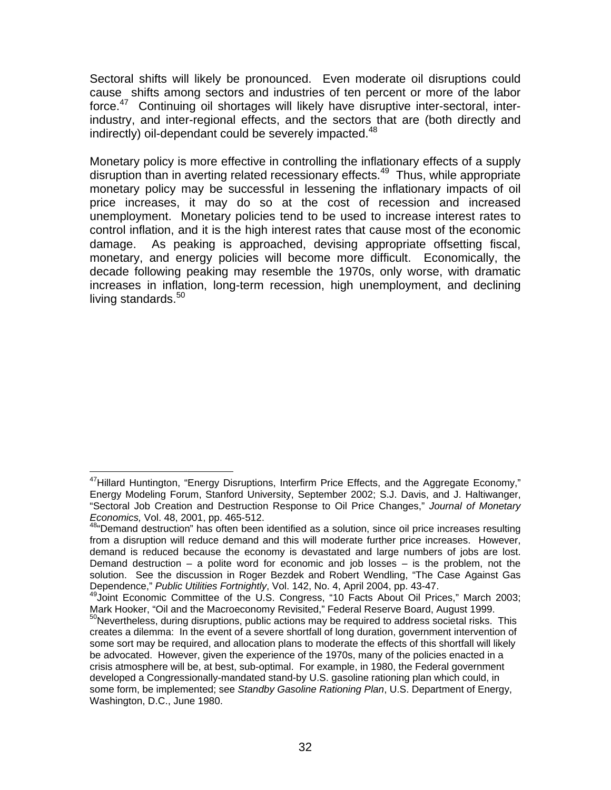Sectoral shifts will likely be pronounced. Even moderate oil disruptions could cause shifts among sectors and industries of ten percent or more of the labor force.47 Continuing oil shortages will likely have disruptive inter-sectoral, interindustry, and inter-regional effects, and the sectors that are (both directly and indirectly) oil-dependant could be severely impacted.<sup>48</sup>

Monetary policy is more effective in controlling the inflationary effects of a supply disruption than in averting related recessionary effects.<sup>49</sup> Thus, while appropriate monetary policy may be successful in lessening the inflationary impacts of oil price increases, it may do so at the cost of recession and increased unemployment. Monetary policies tend to be used to increase interest rates to control inflation, and it is the high interest rates that cause most of the economic damage. As peaking is approached, devising appropriate offsetting fiscal, monetary, and energy policies will become more difficult. Economically, the decade following peaking may resemble the 1970s, only worse, with dramatic increases in inflation, long-term recession, high unemployment, and declining living standards.<sup>50</sup>

 $\overline{a}$ <sup>47</sup>Hillard Huntington, "Energy Disruptions, Interfirm Price Effects, and the Aggregate Economy," Energy Modeling Forum, Stanford University, September 2002; S.J. Davis, and J. Haltiwanger, "Sectoral Job Creation and Destruction Response to Oil Price Changes," *Journal of Monetary Economics,* Vol. 48, 2001, pp. 465-512.<br><sup>48</sup>"Demand destruction" has often been identified as a solution, since oil price increases resulting

from a disruption will reduce demand and this will moderate further price increases. However, demand is reduced because the economy is devastated and large numbers of jobs are lost. Demand destruction – a polite word for economic and job losses – is the problem, not the solution. See the discussion in Roger Bezdek and Robert Wendling, "The Case Against Gas

Dependence," *Public Utilities Fortnightly*, Vol. 142, No. 4, April 2004, pp. 43-47.<br><sup>49</sup>Joint Economic Committee of the U.S. Congress, "10 Facts About Oil Prices," March 2003;<br>Mark Hooker, "Oil and the Macroeconomy Revisi  $50$ Nevertheless, during disruptions, public actions may be required to address societal risks. This creates a dilemma: In the event of a severe shortfall of long duration, government intervention of some sort may be required, and allocation plans to moderate the effects of this shortfall will likely be advocated. However, given the experience of the 1970s, many of the policies enacted in a crisis atmosphere will be, at best, sub-optimal. For example, in 1980, the Federal government

developed a Congressionally-mandated stand-by U.S. gasoline rationing plan which could, in some form, be implemented; see *Standby Gasoline Rationing Plan*, U.S. Department of Energy, Washington, D.C., June 1980.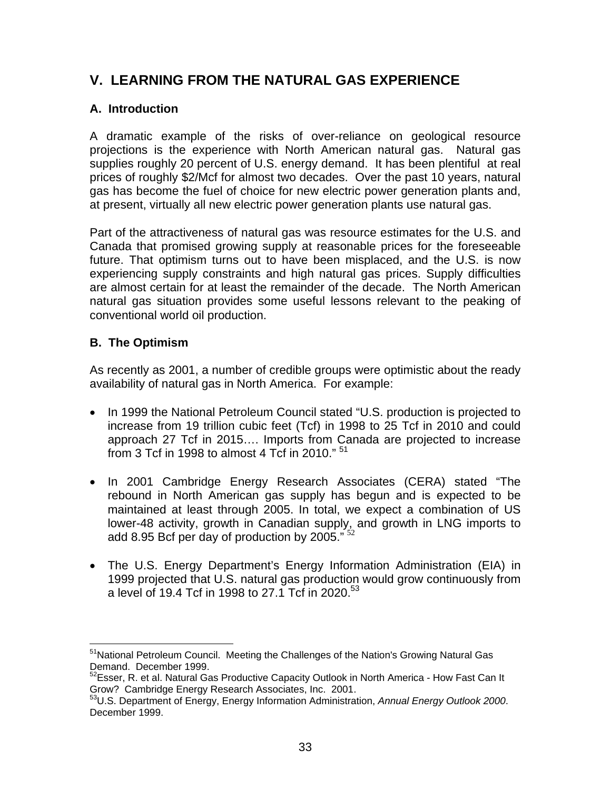# **V. LEARNING FROM THE NATURAL GAS EXPERIENCE**

#### **A. Introduction**

A dramatic example of the risks of over-reliance on geological resource projections is the experience with North American natural gas. Natural gas supplies roughly 20 percent of U.S. energy demand. It has been plentiful at real prices of roughly \$2/Mcf for almost two decades. Over the past 10 years, natural gas has become the fuel of choice for new electric power generation plants and, at present, virtually all new electric power generation plants use natural gas.

Part of the attractiveness of natural gas was resource estimates for the U.S. and Canada that promised growing supply at reasonable prices for the foreseeable future. That optimism turns out to have been misplaced, and the U.S. is now experiencing supply constraints and high natural gas prices. Supply difficulties are almost certain for at least the remainder of the decade. The North American natural gas situation provides some useful lessons relevant to the peaking of conventional world oil production.

#### **B. The Optimism**

1

As recently as 2001, a number of credible groups were optimistic about the ready availability of natural gas in North America. For example:

- In 1999 the National Petroleum Council stated "U.S. production is projected to increase from 19 trillion cubic feet (Tcf) in 1998 to 25 Tcf in 2010 and could approach 27 Tcf in 2015…. Imports from Canada are projected to increase from 3 Tcf in 1998 to almost 4 Tcf in 2010." 51
- In 2001 Cambridge Energy Research Associates (CERA) stated "The rebound in North American gas supply has begun and is expected to be maintained at least through 2005. In total, we expect a combination of US lower-48 activity, growth in Canadian supply, and growth in LNG imports to add 8.95 Bcf per day of production by 2005." <sup>52</sup>
- The U.S. Energy Department's Energy Information Administration (EIA) in 1999 projected that U.S. natural gas production would grow continuously from a level of 19.4 Tcf in 1998 to 27.1 Tcf in 2020.<sup>53</sup>

<sup>&</sup>lt;sup>51</sup>National Petroleum Council. Meeting the Challenges of the Nation's Growing Natural Gas Demand. December 1999.

<sup>52</sup>Esser, R. et al. Natural Gas Productive Capacity Outlook in North America - How Fast Can It Grow? Cambridge Energy Research Associates, Inc. 2001.

<sup>53</sup>U.S. Department of Energy, Energy Information Administration, *Annual Energy Outlook 2000*. December 1999.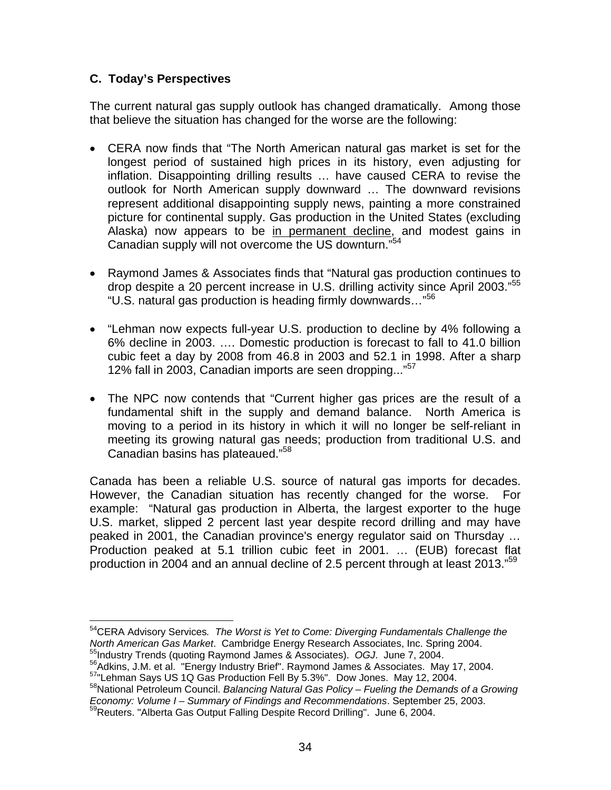#### **C. Today's Perspectives**

 $\overline{a}$ 

The current natural gas supply outlook has changed dramatically. Among those that believe the situation has changed for the worse are the following:

- CERA now finds that "The North American natural gas market is set for the longest period of sustained high prices in its history, even adjusting for inflation. Disappointing drilling results … have caused CERA to revise the outlook for North American supply downward … The downward revisions represent additional disappointing supply news, painting a more constrained picture for continental supply. Gas production in the United States (excluding Alaska) now appears to be in permanent decline, and modest gains in Canadian supply will not overcome the US downturn."54
- Raymond James & Associates finds that "Natural gas production continues to drop despite a 20 percent increase in U.S. drilling activity since April 2003."55 "U.S. natural gas production is heading firmly downwards…"<sup>56</sup>
- "Lehman now expects full-year U.S. production to decline by 4% following a 6% decline in 2003. …. Domestic production is forecast to fall to 41.0 billion cubic feet a day by 2008 from 46.8 in 2003 and 52.1 in 1998. After a sharp 12% fall in 2003, Canadian imports are seen dropping..."<sup>57</sup>
- The NPC now contends that "Current higher gas prices are the result of a fundamental shift in the supply and demand balance. North America is moving to a period in its history in which it will no longer be self-reliant in meeting its growing natural gas needs; production from traditional U.S. and Canadian basins has plateaued."<sup>58</sup>

Canada has been a reliable U.S. source of natural gas imports for decades. However, the Canadian situation has recently changed for the worse. For example: "Natural gas production in Alberta, the largest exporter to the huge U.S. market, slipped 2 percent last year despite record drilling and may have peaked in 2001, the Canadian province's energy regulator said on Thursday … Production peaked at 5.1 trillion cubic feet in 2001. … (EUB) forecast flat production in 2004 and an annual decline of 2.5 percent through at least 2013."<sup>59</sup>

54CERA Advisory Services*. The Worst is Yet to Come: Diverging Fundamentals Challenge the North American Gas Market*. Cambridge Energy Research Associates, Inc. Spring 2004.<br><sup>55</sup>Industry Trends (quoting Raymond James & Associates). *OGJ*. June 7, 2004.<br><sup>56</sup>Adkins, J.M. et al. "Energy Industry Brief". Raymond J

<sup>57</sup> Lehman Says US 1Q Gas Production Fell By 5.3%". Dow Jones. May 12, 2004.<br><sup>58</sup> National Petroleum Council. Balancing Natural Gas Policy – Fueling the Demands of a Growing *Economy: Volume I – Summary of Findings and Recommendations*. September 25, 2003.<br><sup>59</sup>Reuters. "Alberta Gas Output Falling Despite Record Drilling". June 6, 2004.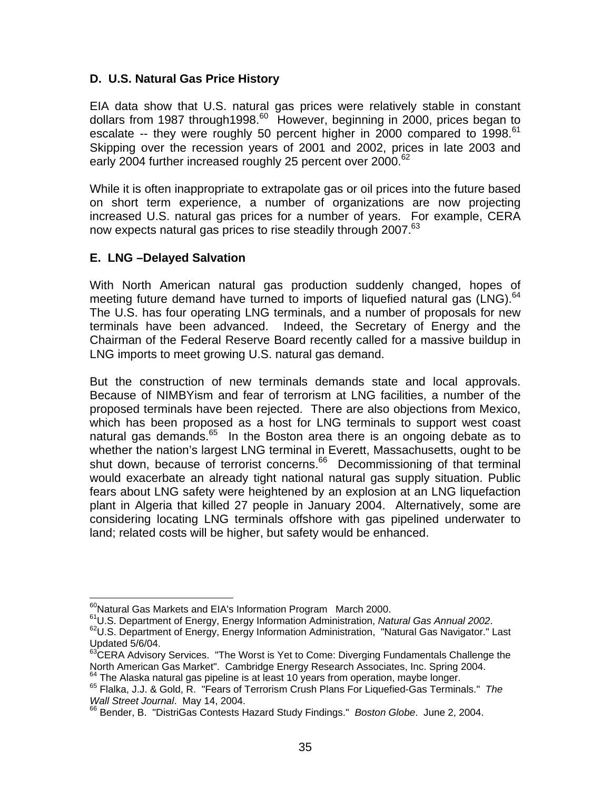#### **D. U.S. Natural Gas Price History**

EIA data show that U.S. natural gas prices were relatively stable in constant dollars from 1987 through 1998.<sup>60</sup> However, beginning in 2000, prices began to escalate -- they were roughly 50 percent higher in 2000 compared to 1998.<sup>61</sup> Skipping over the recession years of 2001 and 2002, prices in late 2003 and early 2004 further increased roughly 25 percent over 2000.<sup>62</sup>

While it is often inappropriate to extrapolate gas or oil prices into the future based on short term experience, a number of organizations are now projecting increased U.S. natural gas prices for a number of years. For example, CERA now expects natural gas prices to rise steadily through 2007.<sup>63</sup>

#### **E. LNG –Delayed Salvation**

With North American natural gas production suddenly changed, hopes of meeting future demand have turned to imports of liquefied natural gas (LNG).  $64$ The U.S. has four operating LNG terminals, and a number of proposals for new terminals have been advanced. Indeed, the Secretary of Energy and the Chairman of the Federal Reserve Board recently called for a massive buildup in LNG imports to meet growing U.S. natural gas demand.

But the construction of new terminals demands state and local approvals. Because of NIMBYism and fear of terrorism at LNG facilities, a number of the proposed terminals have been rejected. There are also objections from Mexico, which has been proposed as a host for LNG terminals to support west coast natural gas demands. $65$  In the Boston area there is an ongoing debate as to whether the nation's largest LNG terminal in Everett, Massachusetts, ought to be shut down, because of terrorist concerns.<sup>66</sup> Decommissioning of that terminal would exacerbate an already tight national natural gas supply situation. Public fears about LNG safety were heightened by an explosion at an LNG liquefaction plant in Algeria that killed 27 people in January 2004. Alternatively, some are considering locating LNG terminals offshore with gas pipelined underwater to land; related costs will be higher, but safety would be enhanced.

<sup>&</sup>lt;sup>60</sup>Natural Gas Markets and EIA's Information Program March 2000.

<sup>&</sup>lt;sup>61</sup>U.S. Department of Energy, Energy Information Administration, Natural Gas Annual 2002.<br><sup>62</sup>U.S. Department of Energy, Energy Information Administration, "Natural Gas Navigator." Last Updated 5/6/04.

<sup>&</sup>lt;sup>63</sup>CERA Advisory Services. "The Worst is Yet to Come: Diverging Fundamentals Challenge the North American Gas Market". Cambridge Energy Research Associates, Inc. Spring 2004.<br><sup>64</sup> The Alaska natural gas pipeline is at least 10 years from operation, maybe longer.<br><sup>65</sup> Flalka, J.J. & Gold, R. "Fears of Terrorism C

*Wall Street Journal. May 14, 2004.*<br><sup>66</sup> Bender, B. "DistriGas Contests Hazard Study Findings." *Boston Globe. J*une 2, 2004.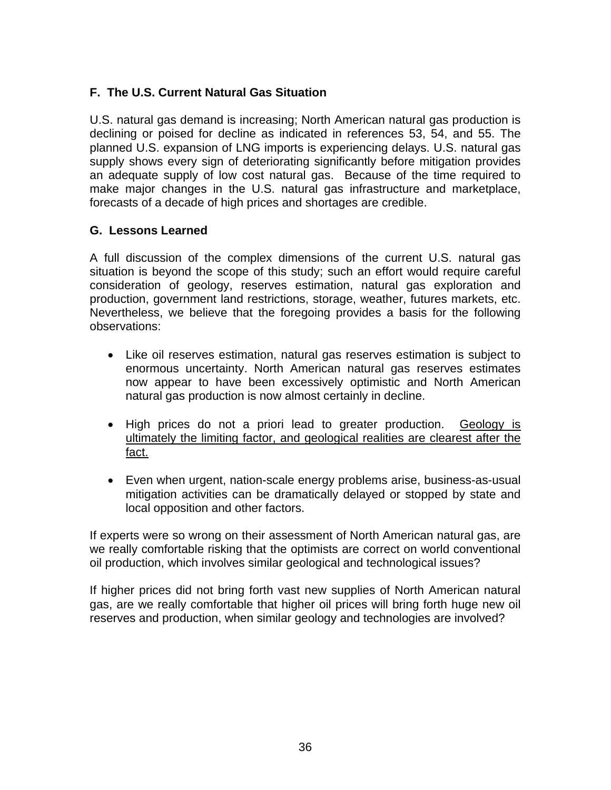#### **F. The U.S. Current Natural Gas Situation**

U.S. natural gas demand is increasing; North American natural gas production is declining or poised for decline as indicated in references 53, 54, and 55. The planned U.S. expansion of LNG imports is experiencing delays. U.S. natural gas supply shows every sign of deteriorating significantly before mitigation provides an adequate supply of low cost natural gas. Because of the time required to make major changes in the U.S. natural gas infrastructure and marketplace, forecasts of a decade of high prices and shortages are credible.

#### **G. Lessons Learned**

A full discussion of the complex dimensions of the current U.S. natural gas situation is beyond the scope of this study; such an effort would require careful consideration of geology, reserves estimation, natural gas exploration and production, government land restrictions, storage, weather, futures markets, etc. Nevertheless, we believe that the foregoing provides a basis for the following observations:

- Like oil reserves estimation, natural gas reserves estimation is subject to enormous uncertainty. North American natural gas reserves estimates now appear to have been excessively optimistic and North American natural gas production is now almost certainly in decline.
- High prices do not a priori lead to greater production. Geology is ultimately the limiting factor, and geological realities are clearest after the fact.
- Even when urgent, nation-scale energy problems arise, business-as-usual mitigation activities can be dramatically delayed or stopped by state and local opposition and other factors.

If experts were so wrong on their assessment of North American natural gas, are we really comfortable risking that the optimists are correct on world conventional oil production, which involves similar geological and technological issues?

If higher prices did not bring forth vast new supplies of North American natural gas, are we really comfortable that higher oil prices will bring forth huge new oil reserves and production, when similar geology and technologies are involved?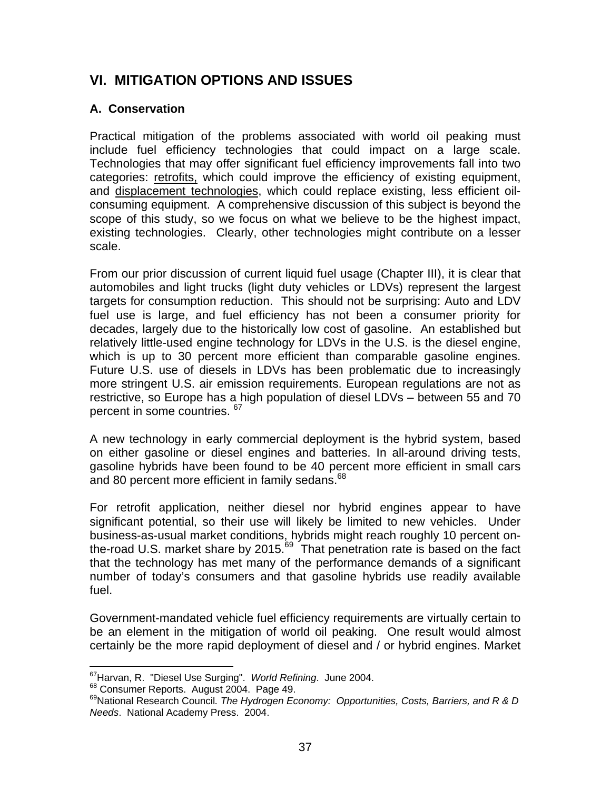# **VI. MITIGATION OPTIONS AND ISSUES**

### **A. Conservation**

Practical mitigation of the problems associated with world oil peaking must include fuel efficiency technologies that could impact on a large scale. Technologies that may offer significant fuel efficiency improvements fall into two categories: retrofits, which could improve the efficiency of existing equipment, and displacement technologies, which could replace existing, less efficient oilconsuming equipment. A comprehensive discussion of this subject is beyond the scope of this study, so we focus on what we believe to be the highest impact, existing technologies. Clearly, other technologies might contribute on a lesser scale.

From our prior discussion of current liquid fuel usage (Chapter III), it is clear that automobiles and light trucks (light duty vehicles or LDVs) represent the largest targets for consumption reduction. This should not be surprising: Auto and LDV fuel use is large, and fuel efficiency has not been a consumer priority for decades, largely due to the historically low cost of gasoline. An established but relatively little-used engine technology for LDVs in the U.S. is the diesel engine, which is up to 30 percent more efficient than comparable gasoline engines. Future U.S. use of diesels in LDVs has been problematic due to increasingly more stringent U.S. air emission requirements. European regulations are not as restrictive, so Europe has a high population of diesel LDVs – between 55 and 70 percent in some countries. <sup>67</sup>

A new technology in early commercial deployment is the hybrid system, based on either gasoline or diesel engines and batteries. In all-around driving tests, gasoline hybrids have been found to be 40 percent more efficient in small cars and 80 percent more efficient in family sedans.<sup>68</sup>

For retrofit application, neither diesel nor hybrid engines appear to have significant potential, so their use will likely be limited to new vehicles. Under business-as-usual market conditions, hybrids might reach roughly 10 percent onthe-road U.S. market share by 2015. $69$  That penetration rate is based on the fact that the technology has met many of the performance demands of a significant number of today's consumers and that gasoline hybrids use readily available fuel.

Government-mandated vehicle fuel efficiency requirements are virtually certain to be an element in the mitigation of world oil peaking. One result would almost certainly be the more rapid deployment of diesel and / or hybrid engines. Market

 $\overline{a}$ 67Harvan, R. "Diesel Use Surging". *World Refining*. June 2004.

<sup>&</sup>lt;sup>68</sup> Consumer Reports. August 2004. Page 49.<br><sup>69</sup>National Research Council. The Hydrogen Economy: Opportunities, Costs, Barriers, and R & D *Needs*. National Academy Press. 2004.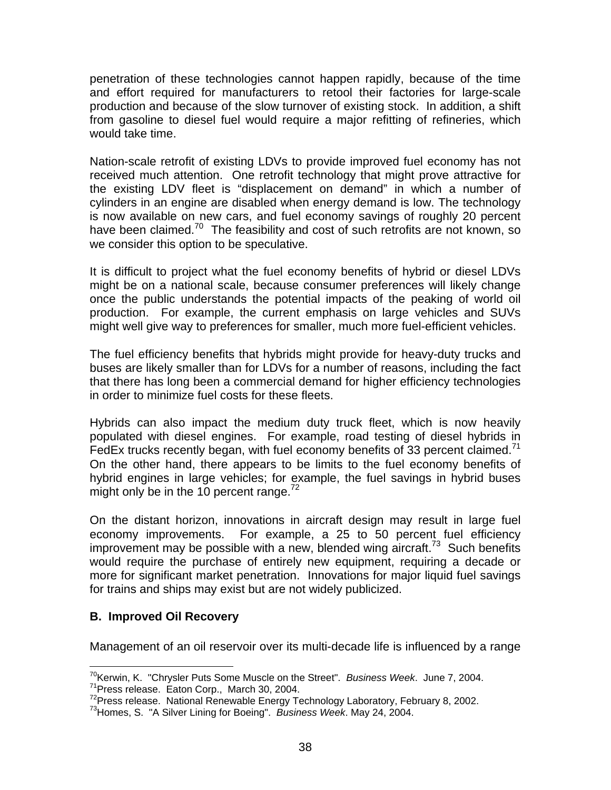penetration of these technologies cannot happen rapidly, because of the time and effort required for manufacturers to retool their factories for large-scale production and because of the slow turnover of existing stock. In addition, a shift from gasoline to diesel fuel would require a major refitting of refineries, which would take time.

Nation-scale retrofit of existing LDVs to provide improved fuel economy has not received much attention. One retrofit technology that might prove attractive for the existing LDV fleet is "displacement on demand" in which a number of cylinders in an engine are disabled when energy demand is low. The technology is now available on new cars, and fuel economy savings of roughly 20 percent have been claimed.<sup>70</sup> The feasibility and cost of such retrofits are not known, so we consider this option to be speculative.

It is difficult to project what the fuel economy benefits of hybrid or diesel LDVs might be on a national scale, because consumer preferences will likely change once the public understands the potential impacts of the peaking of world oil production. For example, the current emphasis on large vehicles and SUVs might well give way to preferences for smaller, much more fuel-efficient vehicles.

The fuel efficiency benefits that hybrids might provide for heavy-duty trucks and buses are likely smaller than for LDVs for a number of reasons, including the fact that there has long been a commercial demand for higher efficiency technologies in order to minimize fuel costs for these fleets.

Hybrids can also impact the medium duty truck fleet, which is now heavily populated with diesel engines. For example, road testing of diesel hybrids in FedEx trucks recently began, with fuel economy benefits of 33 percent claimed.<sup>71</sup> On the other hand, there appears to be limits to the fuel economy benefits of hybrid engines in large vehicles; for example, the fuel savings in hybrid buses might only be in the 10 percent range. $^{72}$ 

On the distant horizon, innovations in aircraft design may result in large fuel economy improvements. For example, a 25 to 50 percent fuel efficiency improvement may be possible with a new, blended wing aircraft.<sup>73</sup> Such benefits would require the purchase of entirely new equipment, requiring a decade or more for significant market penetration. Innovations for major liquid fuel savings for trains and ships may exist but are not widely publicized.

### **B. Improved Oil Recovery**

 $\overline{a}$ 

Management of an oil reservoir over its multi-decade life is influenced by a range

<sup>70</sup>Kerwin, K. "Chrysler Puts Some Muscle on the Street". *Business Week*. June 7, 2004.

<sup>&</sup>lt;sup>71</sup>Press release. Eaton Corp., March 30, 2004.<br><sup>72</sup>Press release. National Renewable Energy Technology Laboratory, February 8, 2002.<br><sup>73</sup>Homes, S. "A Silver Lining for Boeing". *Business Week*. May 24, 2004.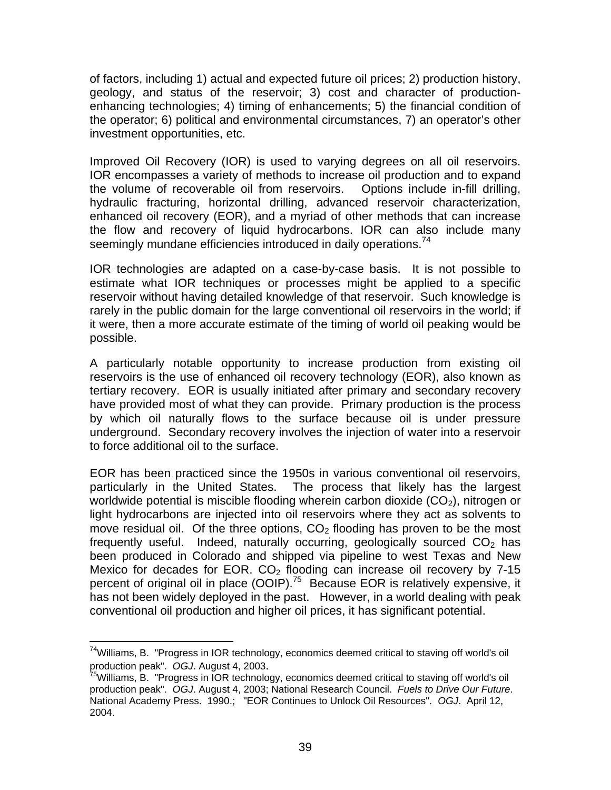of factors, including 1) actual and expected future oil prices; 2) production history, geology, and status of the reservoir; 3) cost and character of productionenhancing technologies; 4) timing of enhancements; 5) the financial condition of the operator; 6) political and environmental circumstances, 7) an operator's other investment opportunities, etc.

Improved Oil Recovery (IOR) is used to varying degrees on all oil reservoirs. IOR encompasses a variety of methods to increase oil production and to expand the volume of recoverable oil from reservoirs. Options include in-fill drilling, hydraulic fracturing, horizontal drilling, advanced reservoir characterization, enhanced oil recovery (EOR), and a myriad of other methods that can increase the flow and recovery of liquid hydrocarbons. IOR can also include many seemingly mundane efficiencies introduced in daily operations.<sup>74</sup>

IOR technologies are adapted on a case-by-case basis. It is not possible to estimate what IOR techniques or processes might be applied to a specific reservoir without having detailed knowledge of that reservoir. Such knowledge is rarely in the public domain for the large conventional oil reservoirs in the world; if it were, then a more accurate estimate of the timing of world oil peaking would be possible.

A particularly notable opportunity to increase production from existing oil reservoirs is the use of enhanced oil recovery technology (EOR), also known as tertiary recovery. EOR is usually initiated after primary and secondary recovery have provided most of what they can provide. Primary production is the process by which oil naturally flows to the surface because oil is under pressure underground. Secondary recovery involves the injection of water into a reservoir to force additional oil to the surface.

EOR has been practiced since the 1950s in various conventional oil reservoirs, particularly in the United States. The process that likely has the largest worldwide potential is miscible flooding wherein carbon dioxide  $(CO<sub>2</sub>)$ , nitrogen or light hydrocarbons are injected into oil reservoirs where they act as solvents to move residual oil. Of the three options,  $CO<sub>2</sub>$  flooding has proven to be the most frequently useful. Indeed, naturally occurring, geologically sourced  $CO<sub>2</sub>$  has been produced in Colorado and shipped via pipeline to west Texas and New Mexico for decades for EOR.  $CO<sub>2</sub>$  flooding can increase oil recovery by 7-15 percent of original oil in place (OOIP).<sup>75</sup> Because EOR is relatively expensive, it has not been widely deployed in the past. However, in a world dealing with peak conventional oil production and higher oil prices, it has significant potential.

 $\overline{a}$ <sup>74</sup>Williams, B. "Progress in IOR technology, economics deemed critical to staving off world's oil production peak". *OGJ*. August 4, 2003.<br><sup>75</sup>Williams, B. "Progress in IOR technology, economics deemed critical to staving off world's oil

production peak". *OGJ*. August 4, 2003; National Research Council. *Fuels to Drive Our Future*. National Academy Press. 1990.; "EOR Continues to Unlock Oil Resources". *OGJ*. April 12, 2004.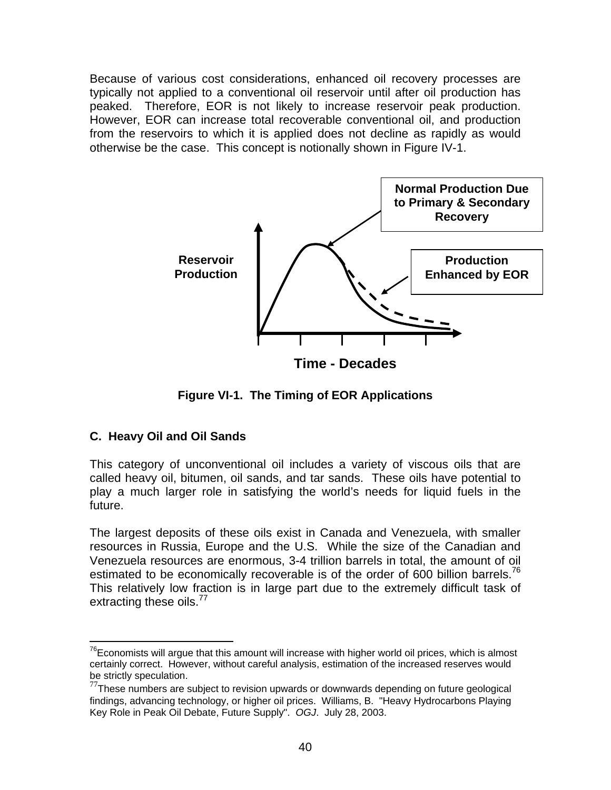Because of various cost considerations, enhanced oil recovery processes are typically not applied to a conventional oil reservoir until after oil production has peaked. Therefore, EOR is not likely to increase reservoir peak production. However, EOR can increase total recoverable conventional oil, and production from the reservoirs to which it is applied does not decline as rapidly as would otherwise be the case. This concept is notionally shown in Figure IV-1.



**Figure VI-1. The Timing of EOR Applications** 

## **C. Heavy Oil and Oil Sands**

This category of unconventional oil includes a variety of viscous oils that are called heavy oil, bitumen, oil sands, and tar sands. These oils have potential to play a much larger role in satisfying the world's needs for liquid fuels in the future.

The largest deposits of these oils exist in Canada and Venezuela, with smaller resources in Russia, Europe and the U.S. While the size of the Canadian and Venezuela resources are enormous, 3-4 trillion barrels in total, the amount of oil estimated to be economically recoverable is of the order of 600 billion barrels.<sup>76</sup> This relatively low fraction is in large part due to the extremely difficult task of extracting these oils.<sup>77</sup>

 $\overline{a}$  $76$ Economists will argue that this amount will increase with higher world oil prices, which is almost certainly correct. However, without careful analysis, estimation of the increased reserves would be strictly speculation.

<sup>&</sup>lt;sup>77</sup>These numbers are subject to revision upwards or downwards depending on future geological findings, advancing technology, or higher oil prices. Williams, B. "Heavy Hydrocarbons Playing Key Role in Peak Oil Debate, Future Supply". *OGJ*. July 28, 2003.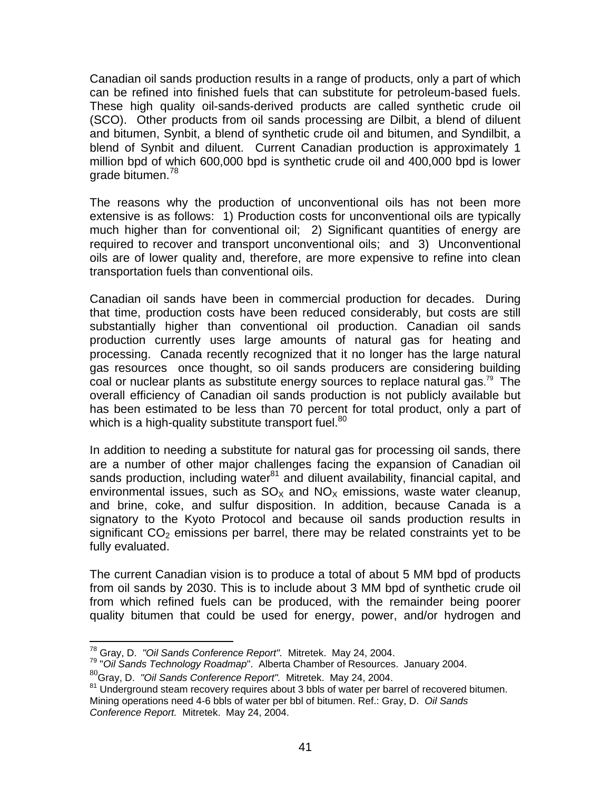Canadian oil sands production results in a range of products, only a part of which can be refined into finished fuels that can substitute for petroleum-based fuels. These high quality oil-sands-derived products are called synthetic crude oil (SCO). Other products from oil sands processing are Dilbit, a blend of diluent and bitumen, Synbit, a blend of synthetic crude oil and bitumen, and Syndilbit, a blend of Synbit and diluent. Current Canadian production is approximately 1 million bpd of which 600,000 bpd is synthetic crude oil and 400,000 bpd is lower grade bitumen.<sup>78</sup>

The reasons why the production of unconventional oils has not been more extensive is as follows: 1) Production costs for unconventional oils are typically much higher than for conventional oil; 2) Significant quantities of energy are required to recover and transport unconventional oils; and 3) Unconventional oils are of lower quality and, therefore, are more expensive to refine into clean transportation fuels than conventional oils.

Canadian oil sands have been in commercial production for decades. During that time, production costs have been reduced considerably, but costs are still substantially higher than conventional oil production. Canadian oil sands production currently uses large amounts of natural gas for heating and processing. Canada recently recognized that it no longer has the large natural gas resources once thought, so oil sands producers are considering building coal or nuclear plants as substitute energy sources to replace natural gas.<sup>79</sup> The overall efficiency of Canadian oil sands production is not publicly available but has been estimated to be less than 70 percent for total product, only a part of which is a high-quality substitute transport fuel.<sup>80</sup>

In addition to needing a substitute for natural gas for processing oil sands, there are a number of other major challenges facing the expansion of Canadian oil sands production, including water $^{81}$  and diluent availability, financial capital, and environmental issues, such as  $SO<sub>X</sub>$  and  $NO<sub>X</sub>$  emissions, waste water cleanup, and brine, coke, and sulfur disposition. In addition, because Canada is a signatory to the Kyoto Protocol and because oil sands production results in significant  $CO<sub>2</sub>$  emissions per barrel, there may be related constraints yet to be fully evaluated.

The current Canadian vision is to produce a total of about 5 MM bpd of products from oil sands by 2030. This is to include about 3 MM bpd of synthetic crude oil from which refined fuels can be produced, with the remainder being poorer quality bitumen that could be used for energy, power, and/or hydrogen and

<sup>1</sup> 

<sup>&</sup>lt;sup>78</sup> Gray, D. *"Oil Sands Conference Report". M*itretek. May 24, 2004.<br><sup>79</sup> "*Oil Sands Technology Roadmap*". Alberta Chamber of Resources. January 2004.

<sup>80</sup>Gray, D. *"Oil Sands Conference Report".* Mitretek. May 24, 2004.

 $81$  Underground steam recovery requires about 3 bbls of water per barrel of recovered bitumen. Mining operations need 4-6 bbls of water per bbl of bitumen. Ref.: Gray, D. *Oil Sands Conference Report.* Mitretek. May 24, 2004.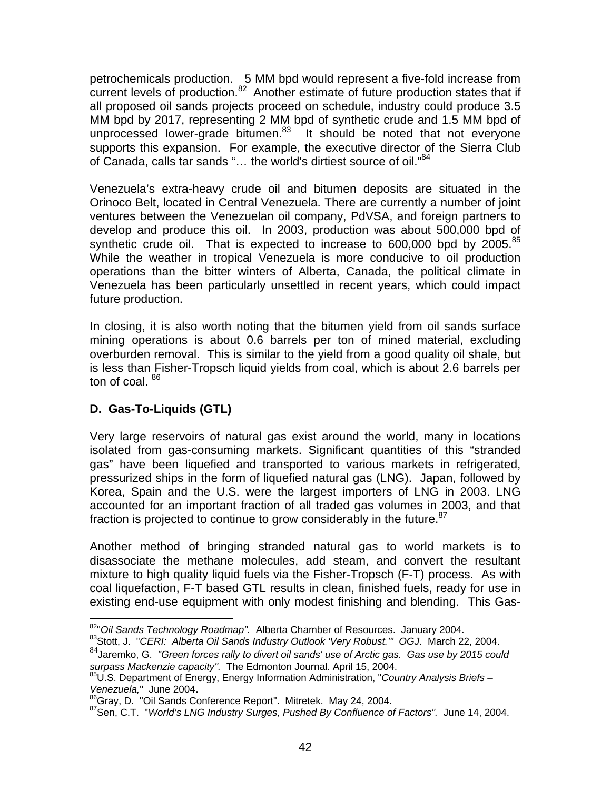petrochemicals production. 5 MM bpd would represent a five-fold increase from current levels of production. $82$  Another estimate of future production states that if all proposed oil sands projects proceed on schedule, industry could produce 3.5 MM bpd by 2017, representing 2 MM bpd of synthetic crude and 1.5 MM bpd of unprocessed lower-grade bitumen. $83$  It should be noted that not everyone supports this expansion. For example, the executive director of the Sierra Club of Canada, calls tar sands "... the world's dirtiest source of oil."<sup>84</sup>

Venezuela's extra-heavy crude oil and bitumen deposits are situated in the Orinoco Belt, located in Central Venezuela. There are currently a number of joint ventures between the Venezuelan oil company, PdVSA, and foreign partners to develop and produce this oil. In 2003, production was about 500,000 bpd of synthetic crude oil. That is expected to increase to 600,000 bpd by 2005.<sup>85</sup> While the weather in tropical Venezuela is more conducive to oil production operations than the bitter winters of Alberta, Canada, the political climate in Venezuela has been particularly unsettled in recent years, which could impact future production.

In closing, it is also worth noting that the bitumen yield from oil sands surface mining operations is about 0.6 barrels per ton of mined material, excluding overburden removal. This is similar to the yield from a good quality oil shale, but is less than Fisher-Tropsch liquid yields from coal, which is about 2.6 barrels per ton of coal. <sup>86</sup>

## **D. Gas-To-Liquids (GTL)**

Very large reservoirs of natural gas exist around the world, many in locations isolated from gas-consuming markets. Significant quantities of this "stranded gas" have been liquefied and transported to various markets in refrigerated, pressurized ships in the form of liquefied natural gas (LNG). Japan, followed by Korea, Spain and the U.S. were the largest importers of LNG in 2003. LNG accounted for an important fraction of all traded gas volumes in 2003, and that fraction is projected to continue to grow considerably in the future.<sup>87</sup>

Another method of bringing stranded natural gas to world markets is to disassociate the methane molecules, add steam, and convert the resultant mixture to high quality liquid fuels via the Fisher-Tropsch (F-T) process. As with coal liquefaction, F-T based GTL results in clean, finished fuels, ready for use in existing end-use equipment with only modest finishing and blending. This Gas-

<sup>82&</sup>quot; Oil Sands Technology Roadmap". Alberta Chamber of Resources. January 2004.

<sup>83</sup> Stott, J. "CERI: Alberta Oil Sands Industry Outlook 'Very Robust.'" OGJ. March 22, 2004.

<sup>84</sup>Jaremko, G. *"Green forces rally to divert oil sands' use of Arctic gas. Gas use by 2015 could* 

*surpass Mackenzie capacity".* The Edmonton Journal. April 15, 2004.<br><sup>85</sup>U.S. Department of Energy, Energy Information Administration, "*Country Analysis Briefs –* 

*Venezuela,*" June 2004.<br><sup>86</sup>Gray, D. "Oil Sands Conference Report". Mitretek. May 24, 2004.<br><sup>87</sup>Sen, C.T. "*World's LNG Industry Surges, Pushed By Confluence of Factors". June 14, 2004.*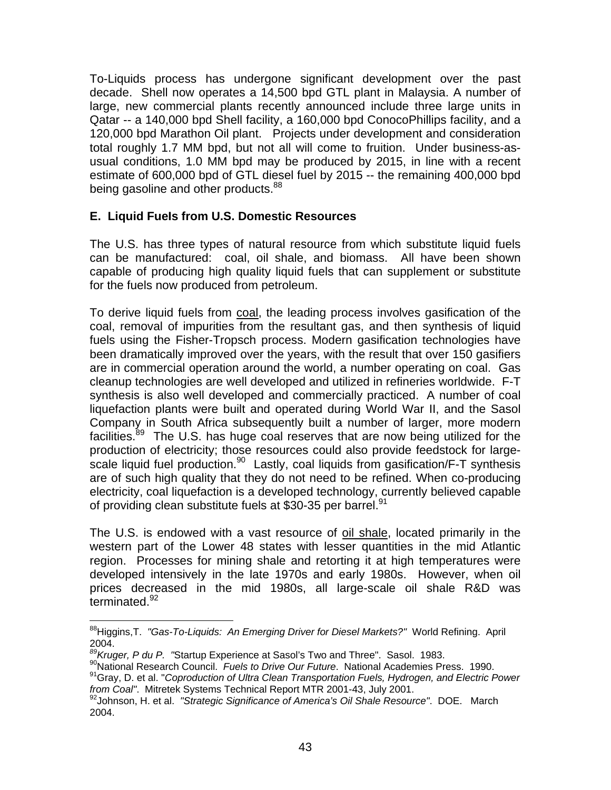To-Liquids process has undergone significant development over the past decade. Shell now operates a 14,500 bpd GTL plant in Malaysia. A number of large, new commercial plants recently announced include three large units in Qatar -- a 140,000 bpd Shell facility, a 160,000 bpd ConocoPhillips facility, and a 120,000 bpd Marathon Oil plant. Projects under development and consideration total roughly 1.7 MM bpd, but not all will come to fruition. Under business-asusual conditions, 1.0 MM bpd may be produced by 2015, in line with a recent estimate of 600,000 bpd of GTL diesel fuel by 2015 -- the remaining 400,000 bpd being gasoline and other products.<sup>88</sup>

## **E. Liquid FueIs from U.S. Domestic Resources**

The U.S. has three types of natural resource from which substitute liquid fuels can be manufactured: coal, oil shale, and biomass. All have been shown capable of producing high quality liquid fuels that can supplement or substitute for the fuels now produced from petroleum.

To derive liquid fuels from coal, the leading process involves gasification of the coal, removal of impurities from the resultant gas, and then synthesis of liquid fuels using the Fisher-Tropsch process. Modern gasification technologies have been dramatically improved over the years, with the result that over 150 gasifiers are in commercial operation around the world, a number operating on coal. Gas cleanup technologies are well developed and utilized in refineries worldwide. F-T synthesis is also well developed and commercially practiced. A number of coal liquefaction plants were built and operated during World War II, and the Sasol Company in South Africa subsequently built a number of larger, more modern facilities.<sup>89</sup> The U.S. has huge coal reserves that are now being utilized for the production of electricity; those resources could also provide feedstock for largescale liquid fuel production.<sup>90</sup> Lastly, coal liquids from gasification/F-T synthesis are of such high quality that they do not need to be refined. When co-producing electricity, coal liquefaction is a developed technology, currently believed capable of providing clean substitute fuels at \$30-35 per barrel.<sup>91</sup>

The U.S. is endowed with a vast resource of oil shale, located primarily in the western part of the Lower 48 states with lesser quantities in the mid Atlantic region. Processes for mining shale and retorting it at high temperatures were developed intensively in the late 1970s and early 1980s. However, when oil prices decreased in the mid 1980s, all large-scale oil shale R&D was terminated.<sup>92</sup>

 $\overline{a}$ 

<sup>&</sup>lt;sup>88</sup>Higgins,T. *"Gas-To-Liquids: An Emerging Driver for Diesel Markets?"* World Refining. April 2004.<br><sup>89</sup> Kruger, P du P. "Startup Experience at Sasol's Two and Three". Sasol. 1983.

<sup>&</sup>lt;sup>90</sup>National Research Council. *Fuels to Drive Our Future*. National Academies Press. 1990.

<sup>91&</sup>lt;sub>Gray,</sub> D. et al. "*Coproduction of Ultra Clean Transportation Fuels, Hydrogen, and Electric Power from Coal".* Mitretek Systems Technical Report MTR 2001-43, July 2001.

*from Coal"*. Mitretek Systems Technical Report MTR 2001-43, July 2001. 92Johnson, H. et al. *"Strategic Significance of America's Oil Shale Resource"*. DOE. March 2004.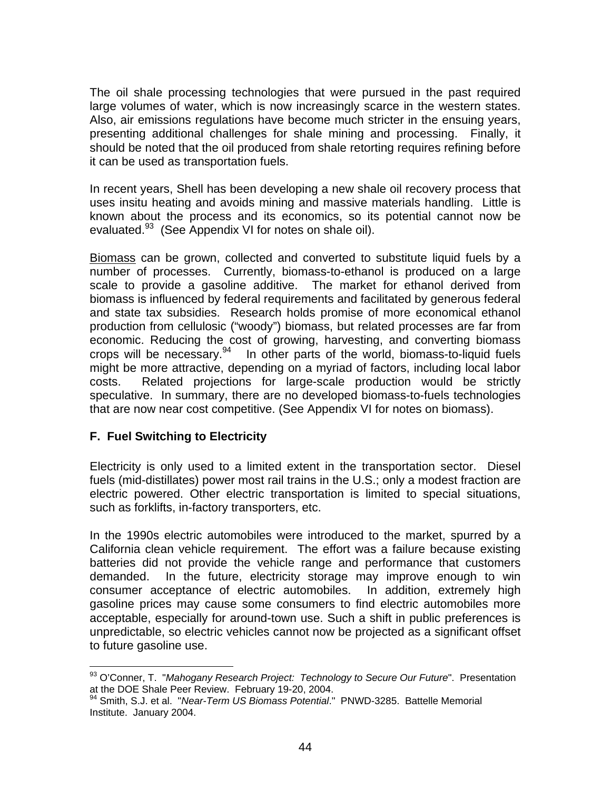The oil shale processing technologies that were pursued in the past required large volumes of water, which is now increasingly scarce in the western states. Also, air emissions regulations have become much stricter in the ensuing years, presenting additional challenges for shale mining and processing. Finally, it should be noted that the oil produced from shale retorting requires refining before it can be used as transportation fuels.

In recent years, Shell has been developing a new shale oil recovery process that uses insitu heating and avoids mining and massive materials handling. Little is known about the process and its economics, so its potential cannot now be evaluated.<sup>93</sup> (See Appendix VI for notes on shale oil).

Biomass can be grown, collected and converted to substitute liquid fuels by a number of processes. Currently, biomass-to-ethanol is produced on a large scale to provide a gasoline additive. The market for ethanol derived from biomass is influenced by federal requirements and facilitated by generous federal and state tax subsidies. Research holds promise of more economical ethanol production from cellulosic ("woody") biomass, but related processes are far from economic. Reducing the cost of growing, harvesting, and converting biomass crops will be necessary.  $94$  In other parts of the world, biomass-to-liquid fuels might be more attractive, depending on a myriad of factors, including local labor costs. Related projections for large-scale production would be strictly speculative. In summary, there are no developed biomass-to-fuels technologies that are now near cost competitive. (See Appendix VI for notes on biomass).

### **F. Fuel Switching to Electricity**

 $\overline{a}$ 

Electricity is only used to a limited extent in the transportation sector. Diesel fuels (mid-distillates) power most rail trains in the U.S.; only a modest fraction are electric powered. Other electric transportation is limited to special situations, such as forklifts, in-factory transporters, etc.

In the 1990s electric automobiles were introduced to the market, spurred by a California clean vehicle requirement. The effort was a failure because existing batteries did not provide the vehicle range and performance that customers demanded. In the future, electricity storage may improve enough to win consumer acceptance of electric automobiles. In addition, extremely high gasoline prices may cause some consumers to find electric automobiles more acceptable, especially for around-town use. Such a shift in public preferences is unpredictable, so electric vehicles cannot now be projected as a significant offset to future gasoline use.

<sup>93</sup> O'Conner, T. "*Mahogany Research Project: Technology to Secure Our Future*". Presentation at the DOE Shale Peer Review. February 19-20, 2004.

<sup>94</sup> Smith, S.J. et al. "*Near-Term US Biomass Potential*." PNWD-3285. Battelle Memorial Institute. January 2004.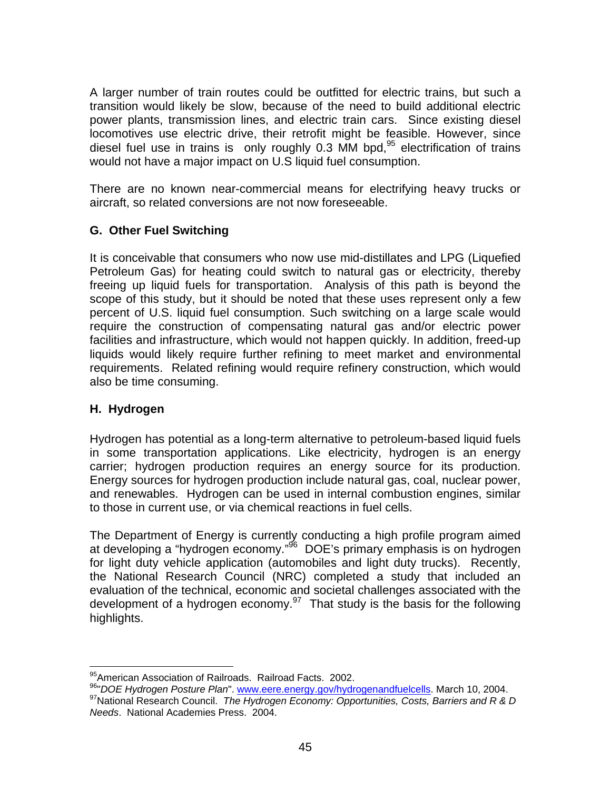A larger number of train routes could be outfitted for electric trains, but such a transition would likely be slow, because of the need to build additional electric power plants, transmission lines, and electric train cars. Since existing diesel locomotives use electric drive, their retrofit might be feasible. However, since diesel fuel use in trains is only roughly 0.3  $\overline{MM}$  bpd,  $95$  electrification of trains would not have a major impact on U.S liquid fuel consumption.

There are no known near-commercial means for electrifying heavy trucks or aircraft, so related conversions are not now foreseeable.

## **G. Other Fuel Switching**

It is conceivable that consumers who now use mid-distillates and LPG (Liquefied Petroleum Gas) for heating could switch to natural gas or electricity, thereby freeing up liquid fuels for transportation. Analysis of this path is beyond the scope of this study, but it should be noted that these uses represent only a few percent of U.S. liquid fuel consumption. Such switching on a large scale would require the construction of compensating natural gas and/or electric power facilities and infrastructure, which would not happen quickly. In addition, freed-up liquids would likely require further refining to meet market and environmental requirements. Related refining would require refinery construction, which would also be time consuming.

## **H. Hydrogen**

Hydrogen has potential as a long-term alternative to petroleum-based liquid fuels in some transportation applications. Like electricity, hydrogen is an energy carrier; hydrogen production requires an energy source for its production. Energy sources for hydrogen production include natural gas, coal, nuclear power, and renewables. Hydrogen can be used in internal combustion engines, similar to those in current use, or via chemical reactions in fuel cells.

The Department of Energy is currently conducting a high profile program aimed at developing a "hydrogen economy."96 DOE's primary emphasis is on hydrogen for light duty vehicle application (automobiles and light duty trucks). Recently, the National Research Council (NRC) completed a study that included an evaluation of the technical, economic and societal challenges associated with the development of a hydrogen economy. $97$  That study is the basis for the following highlights.

 $\overline{a}$ <sup>95</sup>American Association of Railroads. Railroad Facts. 2002.

<sup>96&</sup>quot;*DOE Hydrogen Posture Plan*". www.eere.energy.gov/hydrogenandfuelcells. March 10, 2004. 97National Research Council. *The Hydrogen Economy: Opportunities, Costs, Barriers and R & D Needs*. National Academies Press. 2004.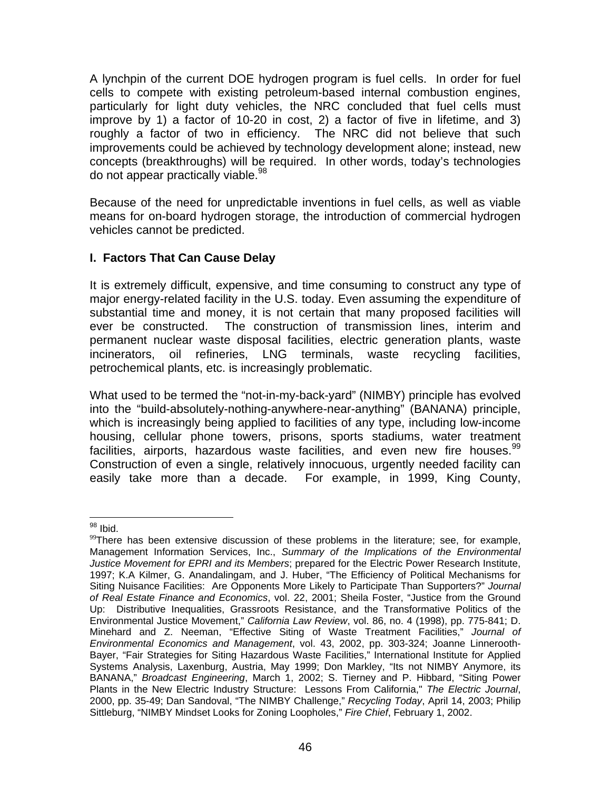A lynchpin of the current DOE hydrogen program is fuel cells. In order for fuel cells to compete with existing petroleum-based internal combustion engines, particularly for light duty vehicles, the NRC concluded that fuel cells must improve by 1) a factor of 10-20 in cost, 2) a factor of five in lifetime, and 3) roughly a factor of two in efficiency. The NRC did not believe that such improvements could be achieved by technology development alone; instead, new concepts (breakthroughs) will be required. In other words, today's technologies do not appear practically viable.<sup>98</sup>

Because of the need for unpredictable inventions in fuel cells, as well as viable means for on-board hydrogen storage, the introduction of commercial hydrogen vehicles cannot be predicted.

# **I. Factors That Can Cause Delay**

It is extremely difficult, expensive, and time consuming to construct any type of major energy-related facility in the U.S. today. Even assuming the expenditure of substantial time and money, it is not certain that many proposed facilities will ever be constructed. The construction of transmission lines, interim and permanent nuclear waste disposal facilities, electric generation plants, waste incinerators, oil refineries, LNG terminals, waste recycling facilities, petrochemical plants, etc. is increasingly problematic.

What used to be termed the "not-in-my-back-yard" (NIMBY) principle has evolved into the "build-absolutely-nothing-anywhere-near-anything" (BANANA) principle, which is increasingly being applied to facilities of any type, including low-income housing, cellular phone towers, prisons, sports stadiums, water treatment facilities, airports, hazardous waste facilities, and even new fire houses.<sup>99</sup> Construction of even a single, relatively innocuous, urgently needed facility can easily take more than a decade. For example, in 1999, King County,

 $98$  Ibid.

 $99$ There has been extensive discussion of these problems in the literature; see, for example, Management Information Services, Inc., *Summary of the Implications of the Environmental Justice Movement for EPRI and its Members*; prepared for the Electric Power Research Institute, 1997; K.A Kilmer, G. Anandalingam, and J. Huber, "The Efficiency of Political Mechanisms for Siting Nuisance Facilities: Are Opponents More Likely to Participate Than Supporters?" *Journal of Real Estate Finance and Economics*, vol. 22, 2001; Sheila Foster, "Justice from the Ground Up: Distributive Inequalities, Grassroots Resistance, and the Transformative Politics of the Environmental Justice Movement," *California Law Review*, vol. 86, no. 4 (1998), pp. 775-841; D. Minehard and Z. Neeman, "Effective Siting of Waste Treatment Facilities," *Journal of Environmental Economics and Management*, vol. 43, 2002, pp. 303-324; Joanne Linnerooth-Bayer, "Fair Strategies for Siting Hazardous Waste Facilities," International Institute for Applied Systems Analysis, Laxenburg, Austria, May 1999; Don Markley, "Its not NIMBY Anymore, its BANANA," *Broadcast Engineering*, March 1, 2002; S. Tierney and P. Hibbard, "Siting Power Plants in the New Electric Industry Structure: Lessons From California," *The Electric Journal*, 2000, pp. 35-49; Dan Sandoval, "The NIMBY Challenge," *Recycling Today*, April 14, 2003; Philip Sittleburg, "NIMBY Mindset Looks for Zoning Loopholes," *Fire Chief*, February 1, 2002.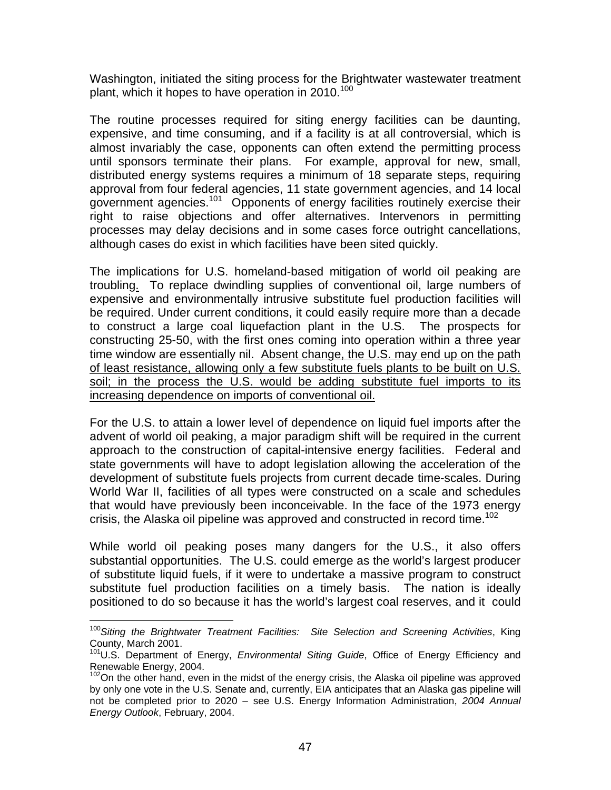Washington, initiated the siting process for the Brightwater wastewater treatment plant, which it hopes to have operation in 2010.<sup>100</sup>

The routine processes required for siting energy facilities can be daunting, expensive, and time consuming, and if a facility is at all controversial, which is almost invariably the case, opponents can often extend the permitting process until sponsors terminate their plans. For example, approval for new, small, distributed energy systems requires a minimum of 18 separate steps, requiring approval from four federal agencies, 11 state government agencies, and 14 local government agencies.101 Opponents of energy facilities routinely exercise their right to raise objections and offer alternatives. Intervenors in permitting processes may delay decisions and in some cases force outright cancellations, although cases do exist in which facilities have been sited quickly.

The implications for U.S. homeland-based mitigation of world oil peaking are troubling. To replace dwindling supplies of conventional oil, large numbers of expensive and environmentally intrusive substitute fuel production facilities will be required. Under current conditions, it could easily require more than a decade to construct a large coal liquefaction plant in the U.S. The prospects for constructing 25-50, with the first ones coming into operation within a three year time window are essentially nil. Absent change, the U.S. may end up on the path of least resistance, allowing only a few substitute fuels plants to be built on U.S. soil; in the process the U.S. would be adding substitute fuel imports to its increasing dependence on imports of conventional oil.

For the U.S. to attain a lower level of dependence on liquid fuel imports after the advent of world oil peaking, a major paradigm shift will be required in the current approach to the construction of capital-intensive energy facilities. Federal and state governments will have to adopt legislation allowing the acceleration of the development of substitute fuels projects from current decade time-scales. During World War II, facilities of all types were constructed on a scale and schedules that would have previously been inconceivable. In the face of the 1973 energy crisis, the Alaska oil pipeline was approved and constructed in record time.<sup>102</sup>

While world oil peaking poses many dangers for the U.S., it also offers substantial opportunities. The U.S. could emerge as the world's largest producer of substitute liquid fuels, if it were to undertake a massive program to construct substitute fuel production facilities on a timely basis. The nation is ideally positioned to do so because it has the world's largest coal reserves, and it could

1

<sup>100</sup>*Siting the Brightwater Treatment Facilities: Site Selection and Screening Activities*, King County, March 2001.

<sup>101</sup>U.S. Department of Energy, *Environmental Siting Guide*, Office of Energy Efficiency and Renewable Energy, 2004.

<sup>&</sup>lt;sup>102</sup>On the other hand, even in the midst of the energy crisis, the Alaska oil pipeline was approved by only one vote in the U.S. Senate and, currently, EIA anticipates that an Alaska gas pipeline will not be completed prior to 2020 – see U.S. Energy Information Administration, *2004 Annual Energy Outlook*, February, 2004.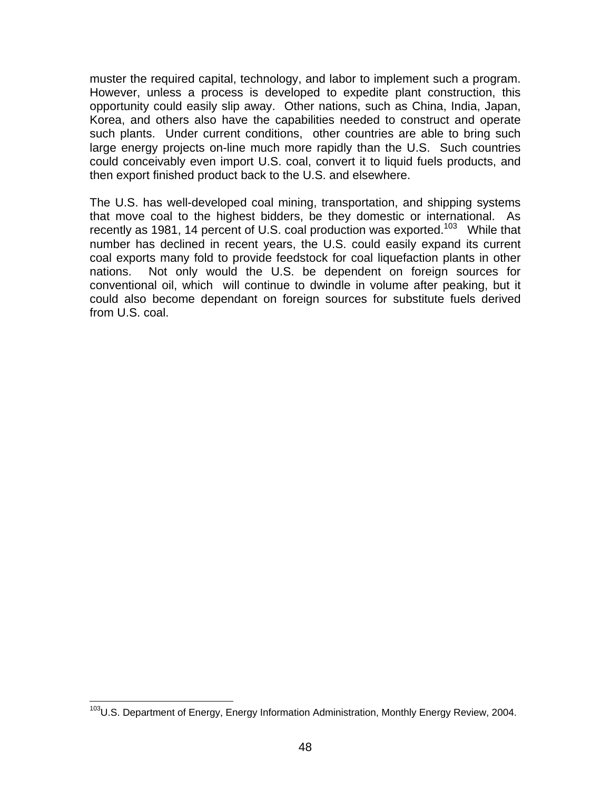muster the required capital, technology, and labor to implement such a program. However, unless a process is developed to expedite plant construction, this opportunity could easily slip away. Other nations, such as China, India, Japan, Korea, and others also have the capabilities needed to construct and operate such plants. Under current conditions, other countries are able to bring such large energy projects on-line much more rapidly than the U.S. Such countries could conceivably even import U.S. coal, convert it to liquid fuels products, and then export finished product back to the U.S. and elsewhere.

The U.S. has well-developed coal mining, transportation, and shipping systems that move coal to the highest bidders, be they domestic or international. As recently as 1981, 14 percent of U.S. coal production was exported.<sup>103</sup> While that number has declined in recent years, the U.S. could easily expand its current coal exports many fold to provide feedstock for coal liquefaction plants in other nations. Not only would the U.S. be dependent on foreign sources for conventional oil, which will continue to dwindle in volume after peaking, but it could also become dependant on foreign sources for substitute fuels derived from U.S. coal.

 $\overline{a}$ 

<sup>&</sup>lt;sup>103</sup>U.S. Department of Energy, Energy Information Administration, Monthly Energy Review, 2004.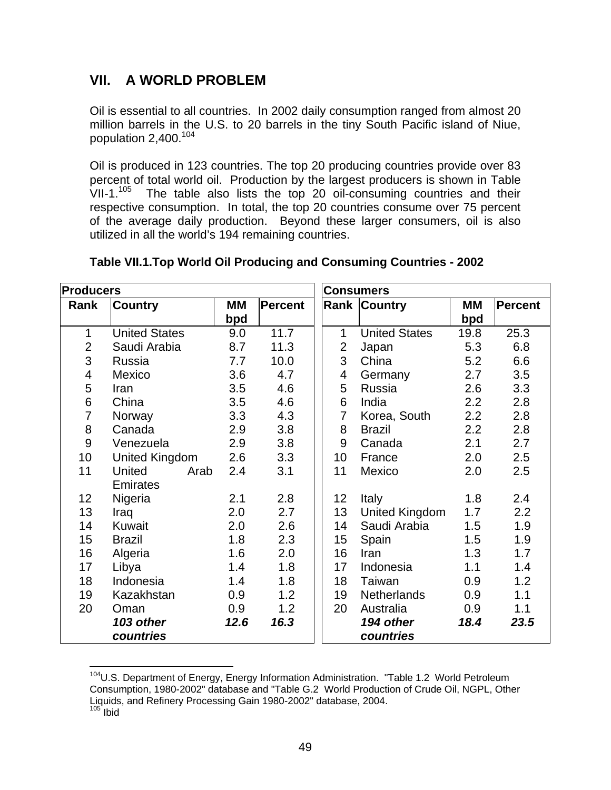# **VII. A WORLD PROBLEM**

Oil is essential to all countries. In 2002 daily consumption ranged from almost 20 million barrels in the U.S. to 20 barrels in the tiny South Pacific island of Niue, population 2,400.104

Oil is produced in 123 countries. The top 20 producing countries provide over 83 percent of total world oil. Production by the largest producers is shown in Table VII-1.<sup>105</sup> The table also lists the top 20 oil-consuming countries and their respective consumption. In total, the top 20 countries consume over 75 percent of the average daily production. Beyond these larger consumers, oil is also utilized in all the world's 194 remaining countries.

| <b>Producers</b>        |                      |      |                | <b>Consumers</b> |                      |      |         |
|-------------------------|----------------------|------|----------------|------------------|----------------------|------|---------|
| Rank                    | <b>Country</b>       | МM   | <b>Percent</b> |                  | <b>Rank Country</b>  | MМ   | Percent |
|                         |                      | bpd  |                |                  |                      | bpd  |         |
| 1                       | <b>United States</b> | 9.0  | 11.7           | 1                | <b>United States</b> | 19.8 | 25.3    |
| $\overline{2}$          | Saudi Arabia         | 8.7  | 11.3           | $\overline{2}$   | Japan                | 5.3  | 6.8     |
| 3                       | Russia               | 7.7  | 10.0           | 3                | China                | 5.2  | 6.6     |
| $\overline{\mathbf{4}}$ | Mexico               | 3.6  | 4.7            | 4                | Germany              | 2.7  | 3.5     |
| 5                       | Iran                 | 3.5  | 4.6            | 5                | Russia               | 2.6  | 3.3     |
| 6                       | China                | 3.5  | 4.6            | 6                | India                | 2.2  | 2.8     |
| $\overline{7}$          | Norway               | 3.3  | 4.3            | 7                | Korea, South         | 2.2  | 2.8     |
| $\bf 8$                 | Canada               | 2.9  | 3.8            | 8                | <b>Brazil</b>        | 2.2  | 2.8     |
| $\overline{9}$          | Venezuela            | 2.9  | 3.8            | 9                | Canada               | 2.1  | 2.7     |
| 10                      | United Kingdom       | 2.6  | 3.3            | 10 <sup>°</sup>  | France               | 2.0  | 2.5     |
| 11                      | United<br>Arab       | 2.4  | 3.1            | 11               | Mexico               | 2.0  | 2.5     |
|                         | Emirates             |      |                |                  |                      |      |         |
| 12                      | Nigeria              | 2.1  | 2.8            | 12 <sub>2</sub>  | Italy                | 1.8  | 2.4     |
| 13                      | Iraq                 | 2.0  | 2.7            | 13               | United Kingdom       | 1.7  | 2.2     |
| 14                      | Kuwait               | 2.0  | 2.6            | 14               | Saudi Arabia         | 1.5  | 1.9     |
| 15                      | <b>Brazil</b>        | 1.8  | 2.3            | 15               | Spain                | 1.5  | 1.9     |
| 16                      | Algeria              | 1.6  | 2.0            | 16               | Iran                 | 1.3  | 1.7     |
| 17                      | Libya                | 1.4  | 1.8            | 17               | Indonesia            | 1.1  | 1.4     |
| 18                      | Indonesia            | 1.4  | 1.8            | 18               | Taiwan               | 0.9  | 1.2     |
| 19                      | Kazakhstan           | 0.9  | 1.2            | 19               | <b>Netherlands</b>   | 0.9  | 1.1     |
| 20                      | Oman                 | 0.9  | 1.2            | 20               | Australia            | 0.9  | 1.1     |
|                         | 103 other            | 12.6 | 16.3           |                  | 194 other            | 18.4 | 23.5    |
|                         | countries            |      |                |                  | countries            |      |         |

## **Table VII.1.Top World Oil Producing and Consuming Countries - 2002**

 $\overline{a}$ <sup>104</sup>U.S. Department of Energy, Energy Information Administration. "Table 1.2 World Petroleum Consumption, 1980-2002" database and "Table G.2 World Production of Crude Oil, NGPL, Other Liquids, and Refinery Processing Gain 1980-2002" database, 2004. <sup>105</sup> Ibid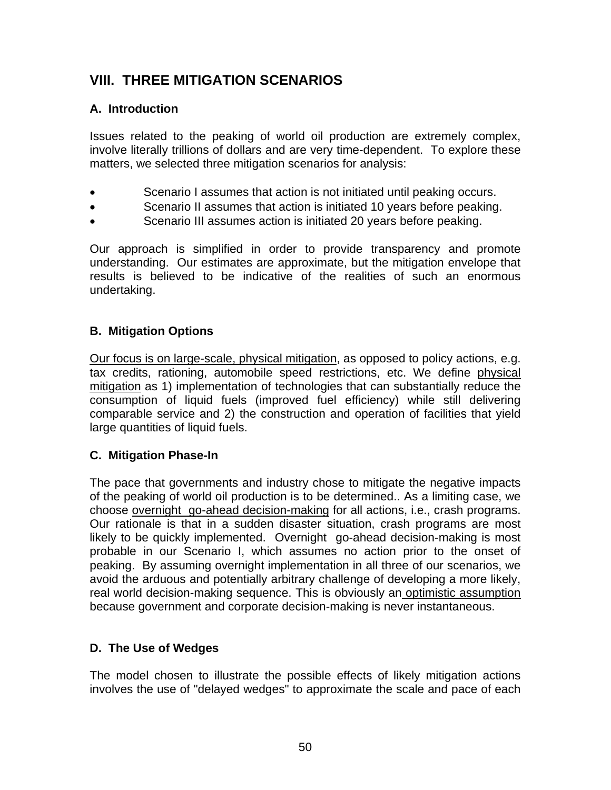# **VIII. THREE MITIGATION SCENARIOS**

### **A. Introduction**

Issues related to the peaking of world oil production are extremely complex, involve literally trillions of dollars and are very time-dependent. To explore these matters, we selected three mitigation scenarios for analysis:

- Scenario I assumes that action is not initiated until peaking occurs.
- Scenario II assumes that action is initiated 10 years before peaking.
- Scenario III assumes action is initiated 20 years before peaking.

Our approach is simplified in order to provide transparency and promote understanding. Our estimates are approximate, but the mitigation envelope that results is believed to be indicative of the realities of such an enormous undertaking.

### **B. Mitigation Options**

Our focus is on large-scale, physical mitigation, as opposed to policy actions, e.g. tax credits, rationing, automobile speed restrictions, etc. We define physical mitigation as 1) implementation of technologies that can substantially reduce the consumption of liquid fuels (improved fuel efficiency) while still delivering comparable service and 2) the construction and operation of facilities that yield large quantities of liquid fuels.

### **C. Mitigation Phase-In**

The pace that governments and industry chose to mitigate the negative impacts of the peaking of world oil production is to be determined.. As a limiting case, we choose overnight go-ahead decision-making for all actions, i.e., crash programs. Our rationale is that in a sudden disaster situation, crash programs are most likely to be quickly implemented. Overnight go-ahead decision-making is most probable in our Scenario I, which assumes no action prior to the onset of peaking. By assuming overnight implementation in all three of our scenarios, we avoid the arduous and potentially arbitrary challenge of developing a more likely, real world decision-making sequence. This is obviously an optimistic assumption because government and corporate decision-making is never instantaneous.

### **D. The Use of Wedges**

The model chosen to illustrate the possible effects of likely mitigation actions involves the use of "delayed wedges" to approximate the scale and pace of each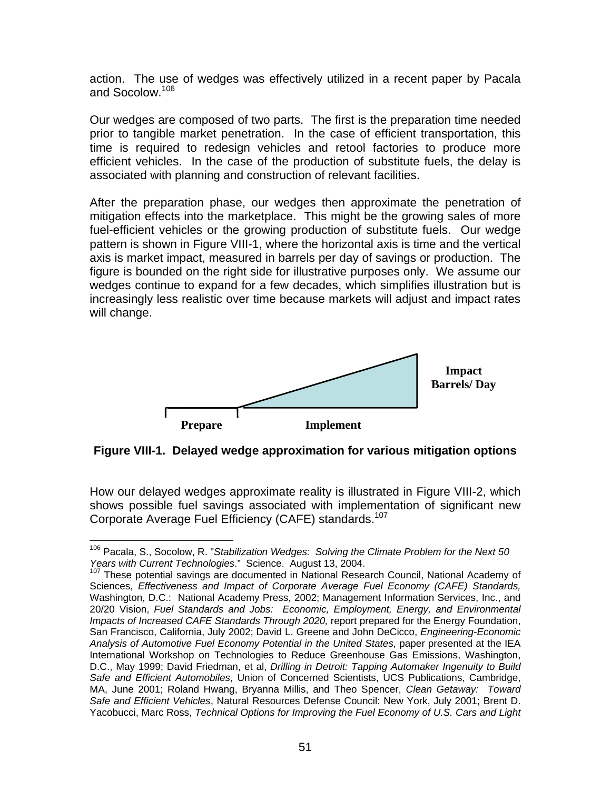action. The use of wedges was effectively utilized in a recent paper by Pacala and Socolow.<sup>106</sup>

Our wedges are composed of two parts. The first is the preparation time needed prior to tangible market penetration. In the case of efficient transportation, this time is required to redesign vehicles and retool factories to produce more efficient vehicles. In the case of the production of substitute fuels, the delay is associated with planning and construction of relevant facilities.

After the preparation phase, our wedges then approximate the penetration of mitigation effects into the marketplace. This might be the growing sales of more fuel-efficient vehicles or the growing production of substitute fuels. Our wedge pattern is shown in Figure VIII-1, where the horizontal axis is time and the vertical axis is market impact, measured in barrels per day of savings or production. The figure is bounded on the right side for illustrative purposes only. We assume our wedges continue to expand for a few decades, which simplifies illustration but is increasingly less realistic over time because markets will adjust and impact rates will change.



**Figure VIII-1. Delayed wedge approximation for various mitigation options** 

How our delayed wedges approximate reality is illustrated in Figure VIII-2, which shows possible fuel savings associated with implementation of significant new Corporate Average Fuel Efficiency (CAFE) standards.<sup>107</sup>

 $\overline{a}$ 106 Pacala, S., Socolow, R. "*Stabilization Wedges: Solving the Climate Problem for the Next 50* 

*Years with Current Technologies*." Science. August 13, 2004.<br><sup>107</sup> These potential savings are documented in National Research Council, National Academy of Sciences, *Effectiveness and Impact of Corporate Average Fuel Economy (CAFE) Standards,* Washington, D.C.: National Academy Press, 2002; Management Information Services, Inc., and 20/20 Vision, *Fuel Standards and Jobs: Economic, Employment, Energy, and Environmental Impacts of Increased CAFE Standards Through 2020,* report prepared for the Energy Foundation, San Francisco, California, July 2002; David L. Greene and John DeCicco, *Engineering-Economic Analysis of Automotive Fuel Economy Potential in the United States,* paper presented at the IEA International Workshop on Technologies to Reduce Greenhouse Gas Emissions, Washington, D.C., May 1999; David Friedman, et al, *Drilling in Detroit: Tapping Automaker Ingenuity to Build Safe and Efficient Automobiles*, Union of Concerned Scientists, UCS Publications, Cambridge, MA, June 2001; Roland Hwang, Bryanna Millis, and Theo Spencer, *Clean Getaway: Toward Safe and Efficient Vehicles*, Natural Resources Defense Council: New York, July 2001; Brent D. Yacobucci, Marc Ross, *Technical Options for Improving the Fuel Economy of U.S. Cars and Light*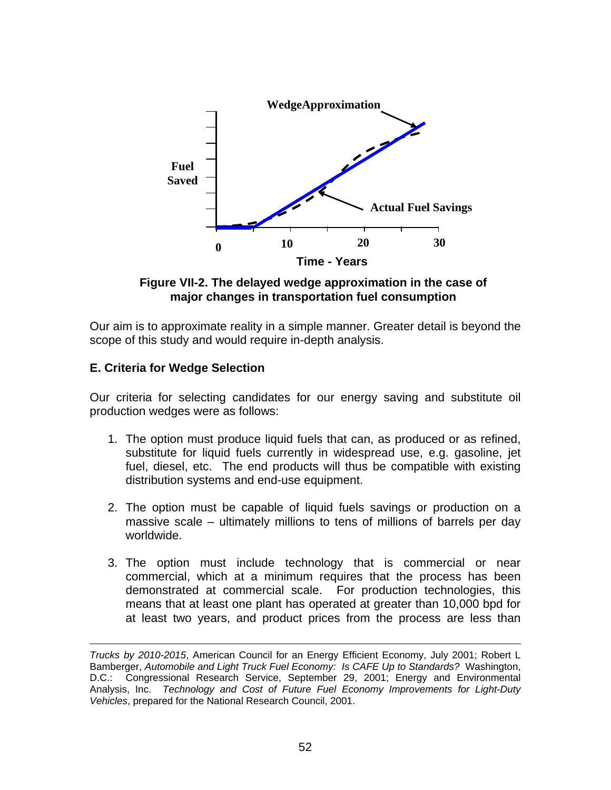

### **Figure VII-2. The delayed wedge approximation in the case of major changes in transportation fuel consumption**

Our aim is to approximate reality in a simple manner. Greater detail is beyond the scope of this study and would require in-depth analysis.

### **E. Criteria for Wedge Selection**

 $\overline{a}$ 

Our criteria for selecting candidates for our energy saving and substitute oil production wedges were as follows:

- 1. The option must produce liquid fuels that can, as produced or as refined, substitute for liquid fuels currently in widespread use, e.g. gasoline, jet fuel, diesel, etc. The end products will thus be compatible with existing distribution systems and end-use equipment.
- 2. The option must be capable of liquid fuels savings or production on a massive scale – ultimately millions to tens of millions of barrels per day worldwide.
- 3. The option must include technology that is commercial or near commercial, which at a minimum requires that the process has been demonstrated at commercial scale. For production technologies, this means that at least one plant has operated at greater than 10,000 bpd for at least two years, and product prices from the process are less than

*Trucks by 2010-2015*, American Council for an Energy Efficient Economy, July 2001; Robert L Bamberger, *Automobile and Light Truck Fuel Economy: Is CAFE Up to Standards?* Washington, D.C.: Congressional Research Service, September 29, 2001; Energy and Environmental Analysis, Inc. *Technology and Cost of Future Fuel Economy Improvements for Light-Duty Vehicles*, prepared for the National Research Council, 2001.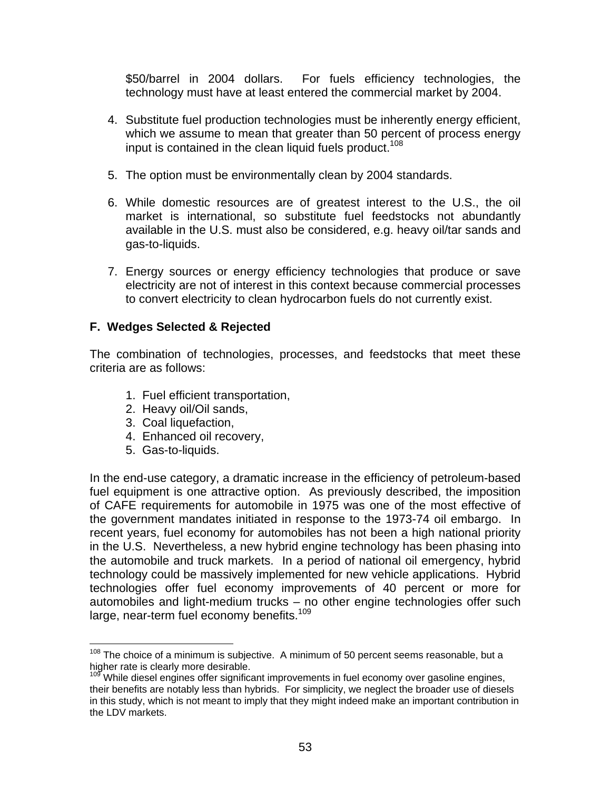\$50/barrel in 2004 dollars. For fuels efficiency technologies, the technology must have at least entered the commercial market by 2004.

- 4. Substitute fuel production technologies must be inherently energy efficient, which we assume to mean that greater than 50 percent of process energy input is contained in the clean liquid fuels product.<sup>108</sup>
- 5. The option must be environmentally clean by 2004 standards.
- 6. While domestic resources are of greatest interest to the U.S., the oil market is international, so substitute fuel feedstocks not abundantly available in the U.S. must also be considered, e.g. heavy oil/tar sands and gas-to-liquids.
- 7. Energy sources or energy efficiency technologies that produce or save electricity are not of interest in this context because commercial processes to convert electricity to clean hydrocarbon fuels do not currently exist.

# **F. Wedges Selected & Rejected**

The combination of technologies, processes, and feedstocks that meet these criteria are as follows:

- 1. Fuel efficient transportation,
- 2. Heavy oil/Oil sands,
- 3. Coal liquefaction,
- 4. Enhanced oil recovery,
- 5. Gas-to-liquids.

In the end-use category, a dramatic increase in the efficiency of petroleum-based fuel equipment is one attractive option. As previously described, the imposition of CAFE requirements for automobile in 1975 was one of the most effective of the government mandates initiated in response to the 1973-74 oil embargo. In recent years, fuel economy for automobiles has not been a high national priority in the U.S. Nevertheless, a new hybrid engine technology has been phasing into the automobile and truck markets. In a period of national oil emergency, hybrid technology could be massively implemented for new vehicle applications. Hybrid technologies offer fuel economy improvements of 40 percent or more for automobiles and light-medium trucks – no other engine technologies offer such large, near-term fuel economy benefits.<sup>109</sup>

 $\overline{a}$  $108$  The choice of a minimum is subjective. A minimum of 50 percent seems reasonable, but a higher rate is clearly more desirable.

While diesel engines offer significant improvements in fuel economy over gasoline engines, their benefits are notably less than hybrids. For simplicity, we neglect the broader use of diesels in this study, which is not meant to imply that they might indeed make an important contribution in the LDV markets.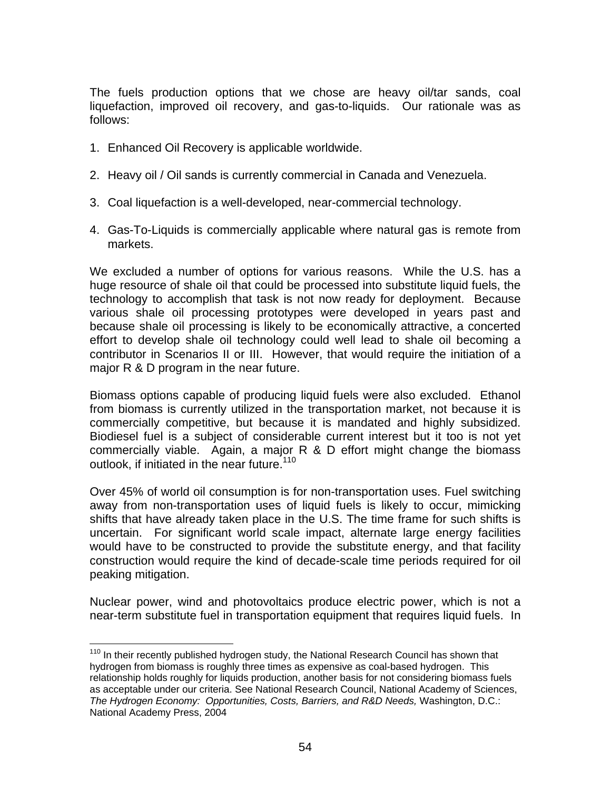The fuels production options that we chose are heavy oil/tar sands, coal liquefaction, improved oil recovery, and gas-to-liquids. Our rationale was as follows:

- 1. Enhanced Oil Recovery is applicable worldwide.
- 2. Heavy oil / Oil sands is currently commercial in Canada and Venezuela.
- 3. Coal liquefaction is a well-developed, near-commercial technology.
- 4. Gas-To-Liquids is commercially applicable where natural gas is remote from markets.

We excluded a number of options for various reasons. While the U.S. has a huge resource of shale oil that could be processed into substitute liquid fuels, the technology to accomplish that task is not now ready for deployment. Because various shale oil processing prototypes were developed in years past and because shale oil processing is likely to be economically attractive, a concerted effort to develop shale oil technology could well lead to shale oil becoming a contributor in Scenarios II or III. However, that would require the initiation of a major R & D program in the near future.

Biomass options capable of producing liquid fuels were also excluded. Ethanol from biomass is currently utilized in the transportation market, not because it is commercially competitive, but because it is mandated and highly subsidized. Biodiesel fuel is a subject of considerable current interest but it too is not yet commercially viable. Again, a major R & D effort might change the biomass outlook, if initiated in the near future.<sup>110</sup>

Over 45% of world oil consumption is for non-transportation uses. Fuel switching away from non-transportation uses of liquid fuels is likely to occur, mimicking shifts that have already taken place in the U.S. The time frame for such shifts is uncertain. For significant world scale impact, alternate large energy facilities would have to be constructed to provide the substitute energy, and that facility construction would require the kind of decade-scale time periods required for oil peaking mitigation.

Nuclear power, wind and photovoltaics produce electric power, which is not a near-term substitute fuel in transportation equipment that requires liquid fuels. In

 $\overline{a}$  $110$  In their recently published hydrogen study, the National Research Council has shown that hydrogen from biomass is roughly three times as expensive as coal-based hydrogen. This relationship holds roughly for liquids production, another basis for not considering biomass fuels as acceptable under our criteria. See National Research Council, National Academy of Sciences, *The Hydrogen Economy: Opportunities, Costs, Barriers, and R&D Needs,* Washington, D.C.: National Academy Press, 2004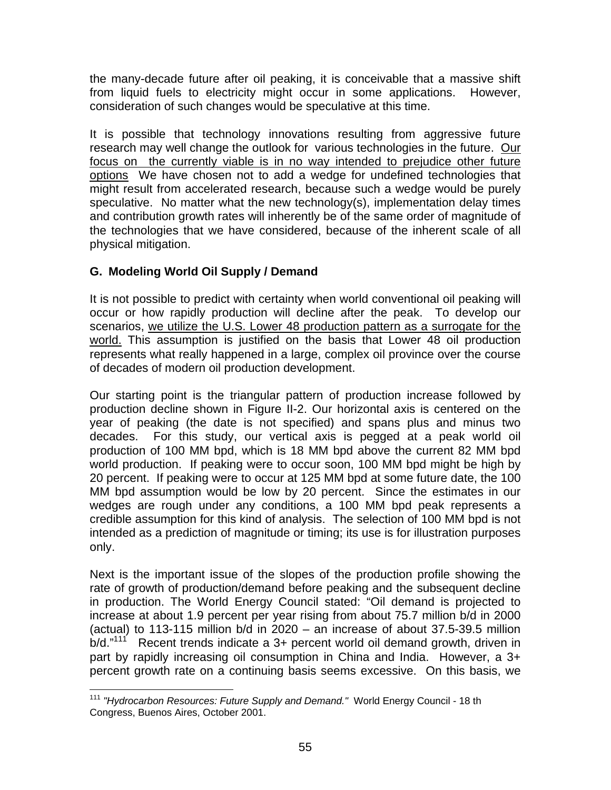the many-decade future after oil peaking, it is conceivable that a massive shift from liquid fuels to electricity might occur in some applications. However, consideration of such changes would be speculative at this time.

It is possible that technology innovations resulting from aggressive future research may well change the outlook for various technologies in the future. Our focus on the currently viable is in no way intended to prejudice other future options We have chosen not to add a wedge for undefined technologies that might result from accelerated research, because such a wedge would be purely speculative. No matter what the new technology(s), implementation delay times and contribution growth rates will inherently be of the same order of magnitude of the technologies that we have considered, because of the inherent scale of all physical mitigation.

# **G. Modeling World Oil Supply / Demand**

It is not possible to predict with certainty when world conventional oil peaking will occur or how rapidly production will decline after the peak. To develop our scenarios, we utilize the U.S. Lower 48 production pattern as a surrogate for the world. This assumption is justified on the basis that Lower 48 oil production represents what really happened in a large, complex oil province over the course of decades of modern oil production development.

Our starting point is the triangular pattern of production increase followed by production decline shown in Figure II-2. Our horizontal axis is centered on the year of peaking (the date is not specified) and spans plus and minus two decades. For this study, our vertical axis is pegged at a peak world oil production of 100 MM bpd, which is 18 MM bpd above the current 82 MM bpd world production. If peaking were to occur soon, 100 MM bpd might be high by 20 percent. If peaking were to occur at 125 MM bpd at some future date, the 100 MM bpd assumption would be low by 20 percent. Since the estimates in our wedges are rough under any conditions, a 100 MM bpd peak represents a credible assumption for this kind of analysis. The selection of 100 MM bpd is not intended as a prediction of magnitude or timing; its use is for illustration purposes only.

Next is the important issue of the slopes of the production profile showing the rate of growth of production/demand before peaking and the subsequent decline in production. The World Energy Council stated: "Oil demand is projected to increase at about 1.9 percent per year rising from about 75.7 million b/d in 2000 (actual) to 113-115 million b/d in 2020 – an increase of about 37.5-39.5 million  $b/d$ ."<sup>111</sup> Recent trends indicate a 3+ percent world oil demand growth, driven in part by rapidly increasing oil consumption in China and India. However, a 3+ percent growth rate on a continuing basis seems excessive. On this basis, we

<sup>1</sup> <sup>111</sup> "Hydrocarbon Resources: Future Supply and Demand." World Energy Council - 18 th Congress, Buenos Aires, October 2001.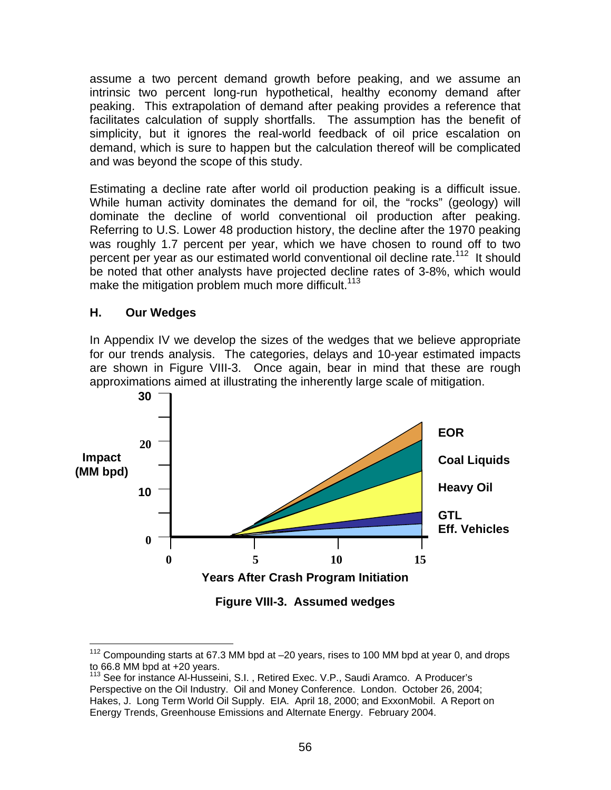assume a two percent demand growth before peaking, and we assume an intrinsic two percent long-run hypothetical, healthy economy demand after peaking. This extrapolation of demand after peaking provides a reference that facilitates calculation of supply shortfalls. The assumption has the benefit of simplicity, but it ignores the real-world feedback of oil price escalation on demand, which is sure to happen but the calculation thereof will be complicated and was beyond the scope of this study.

Estimating a decline rate after world oil production peaking is a difficult issue. While human activity dominates the demand for oil, the "rocks" (geology) will dominate the decline of world conventional oil production after peaking. Referring to U.S. Lower 48 production history, the decline after the 1970 peaking was roughly 1.7 percent per year, which we have chosen to round off to two percent per year as our estimated world conventional oil decline rate.<sup>112</sup> It should be noted that other analysts have projected decline rates of 3-8%, which would make the mitigation problem much more difficult.<sup>113</sup>

## **H. Our Wedges**

In Appendix IV we develop the sizes of the wedges that we believe appropriate for our trends analysis. The categories, delays and 10-year estimated impacts are shown in Figure VIII-3. Once again, bear in mind that these are rough approximations aimed at illustrating the inherently large scale of mitigation.



<sup>1</sup>  $112$  Compounding starts at 67.3 MM bpd at  $-20$  years, rises to 100 MM bpd at year 0, and drops to 66.8 MM bpd at +20 years.

<sup>&</sup>lt;sup>113</sup> See for instance Al-Husseini, S.I., Retired Exec. V.P., Saudi Aramco. A Producer's Perspective on the Oil Industry. Oil and Money Conference. London. October 26, 2004; Hakes, J. Long Term World Oil Supply. EIA. April 18, 2000; and ExxonMobil. A Report on Energy Trends, Greenhouse Emissions and Alternate Energy. February 2004.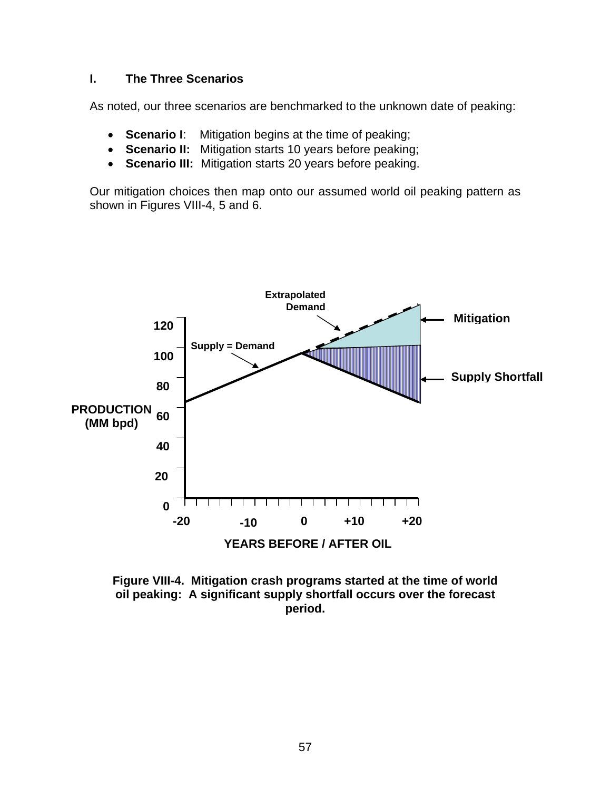### **I. The Three Scenarios**

As noted, our three scenarios are benchmarked to the unknown date of peaking:

- **Scenario I**: Mitigation begins at the time of peaking;
- **Scenario II:** Mitigation starts 10 years before peaking;
- **Scenario III:** Mitigation starts 20 years before peaking.

Our mitigation choices then map onto our assumed world oil peaking pattern as shown in Figures VIII-4, 5 and 6.



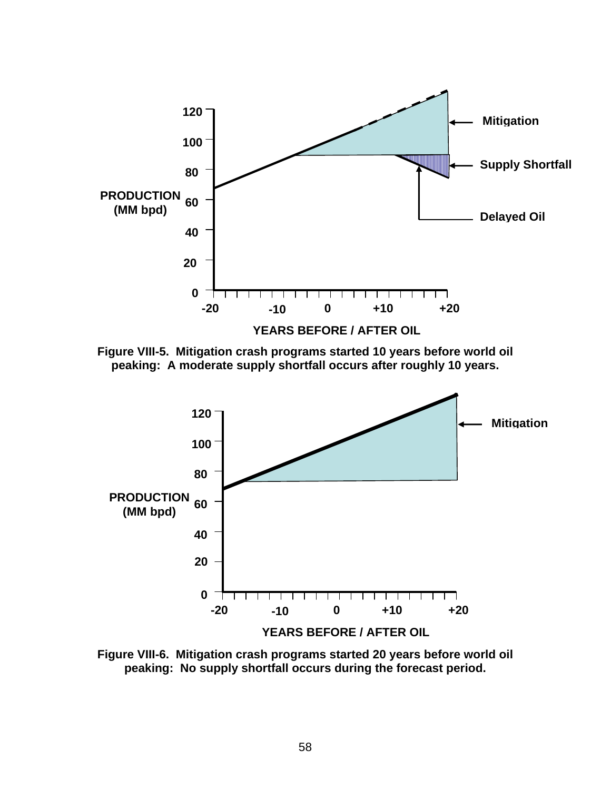

**Figure VIII-5. Mitigation crash programs started 10 years before world oil peaking: A moderate supply shortfall occurs after roughly 10 years.**



**Figure VIII-6. Mitigation crash programs started 20 years before world oil peaking: No supply shortfall occurs during the forecast period.**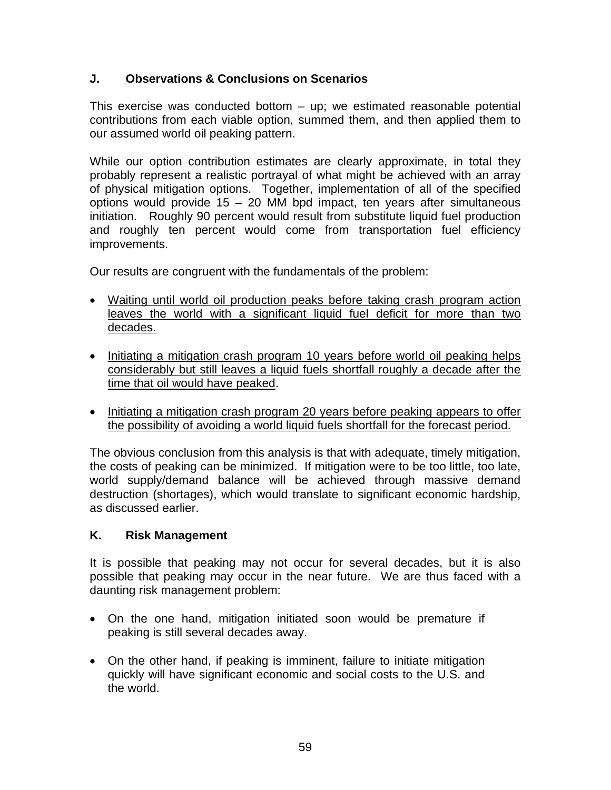# **J. Observations & Conclusions on Scenarios**

This exercise was conducted bottom – up; we estimated reasonable potential contributions from each viable option, summed them, and then applied them to our assumed world oil peaking pattern.

While our option contribution estimates are clearly approximate, in total they probably represent a realistic portrayal of what might be achieved with an array of physical mitigation options. Together, implementation of all of the specified options would provide 15 – 20 MM bpd impact, ten years after simultaneous initiation. Roughly 90 percent would result from substitute liquid fuel production and roughly ten percent would come from transportation fuel efficiency improvements.

Our results are congruent with the fundamentals of the problem:

- Waiting until world oil production peaks before taking crash program action leaves the world with a significant liquid fuel deficit for more than two decades.
- Initiating a mitigation crash program 10 years before world oil peaking helps considerably but still leaves a liquid fuels shortfall roughly a decade after the time that oil would have peaked.
- Initiating a mitigation crash program 20 years before peaking appears to offer the possibility of avoiding a world liquid fuels shortfall for the forecast period.

The obvious conclusion from this analysis is that with adequate, timely mitigation, the costs of peaking can be minimized. If mitigation were to be too little, too late, world supply/demand balance will be achieved through massive demand destruction (shortages), which would translate to significant economic hardship, as discussed earlier.

## **K. Risk Management**

It is possible that peaking may not occur for several decades, but it is also possible that peaking may occur in the near future. We are thus faced with a daunting risk management problem:

- On the one hand, mitigation initiated soon would be premature if peaking is still several decades away.
- On the other hand, if peaking is imminent, failure to initiate mitigation quickly will have significant economic and social costs to the U.S. and the world.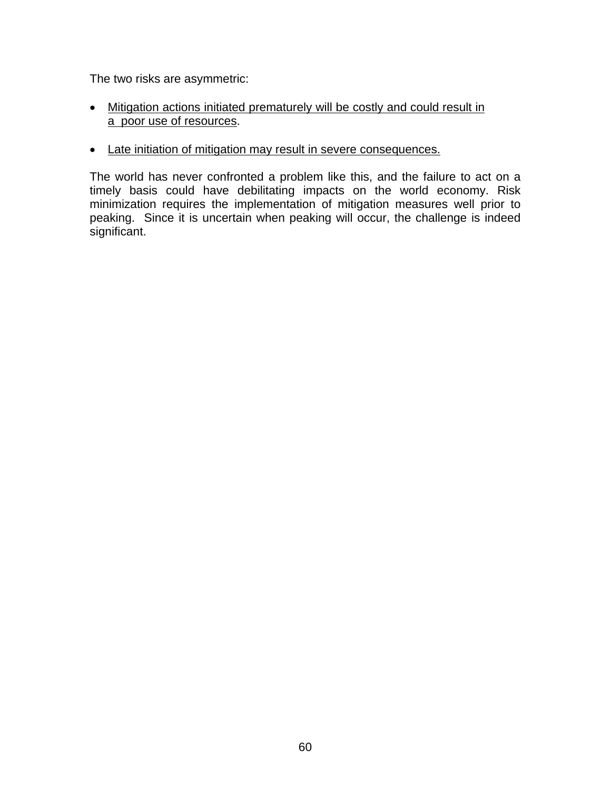The two risks are asymmetric:

- Mitigation actions initiated prematurely will be costly and could result in a poor use of resources.
- Late initiation of mitigation may result in severe consequences.

The world has never confronted a problem like this, and the failure to act on a timely basis could have debilitating impacts on the world economy. Risk minimization requires the implementation of mitigation measures well prior to peaking. Since it is uncertain when peaking will occur, the challenge is indeed significant.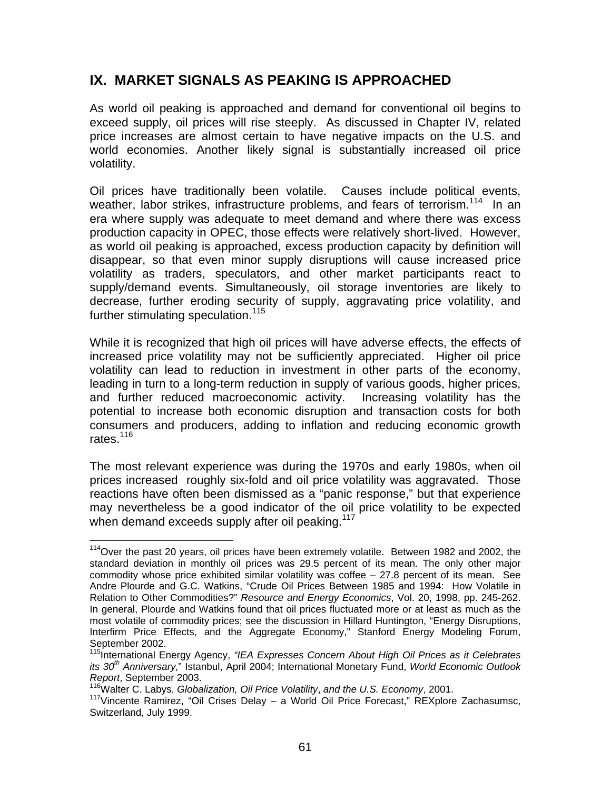# **IX. MARKET SIGNALS AS PEAKING IS APPROACHED**

As world oil peaking is approached and demand for conventional oil begins to exceed supply, oil prices will rise steeply. As discussed in Chapter IV, related price increases are almost certain to have negative impacts on the U.S. and world economies. Another likely signal is substantially increased oil price volatility.

Oil prices have traditionally been volatile. Causes include political events, weather, labor strikes, infrastructure problems, and fears of terrorism.<sup>114</sup> In an era where supply was adequate to meet demand and where there was excess production capacity in OPEC, those effects were relatively short-lived. However, as world oil peaking is approached, excess production capacity by definition will disappear, so that even minor supply disruptions will cause increased price volatility as traders, speculators, and other market participants react to supply/demand events. Simultaneously, oil storage inventories are likely to decrease, further eroding security of supply, aggravating price volatility, and further stimulating speculation.<sup>115</sup>

While it is recognized that high oil prices will have adverse effects, the effects of increased price volatility may not be sufficiently appreciated. Higher oil price volatility can lead to reduction in investment in other parts of the economy, leading in turn to a long-term reduction in supply of various goods, higher prices, and further reduced macroeconomic activity. Increasing volatility has the potential to increase both economic disruption and transaction costs for both consumers and producers, adding to inflation and reducing economic growth rates.<sup>116</sup>

The most relevant experience was during the 1970s and early 1980s, when oil prices increased roughly six-fold and oil price volatility was aggravated. Those reactions have often been dismissed as a "panic response," but that experience may nevertheless be a good indicator of the oil price volatility to be expected when demand exceeds supply after oil peaking.<sup>117</sup>

 $\overline{a}$  $114$ Over the past 20 years, oil prices have been extremely volatile. Between 1982 and 2002, the standard deviation in monthly oil prices was 29.5 percent of its mean. The only other major commodity whose price exhibited similar volatility was coffee  $-27.8$  percent of its mean. See Andre Plourde and G.C. Watkins, "Crude Oil Prices Between 1985 and 1994: How Volatile in Relation to Other Commodities?" *Resource and Energy Economics*, Vol. 20, 1998, pp. 245-262. In general, Plourde and Watkins found that oil prices fluctuated more or at least as much as the most volatile of commodity prices; see the discussion in Hillard Huntington, "Energy Disruptions, Interfirm Price Effects, and the Aggregate Economy," Stanford Energy Modeling Forum, September 2002.

<sup>&</sup>lt;sup>115</sup>International Energy Agency, "IEA Expresses Concern About High Oil Prices as it Celebrates *its 30th Anniversary,*" Istanbul, April 2004; International Monetary Fund, *World Economic Outlook Report*, September 2003.<br><sup>116</sup>Walter C. Labys, *Globalization, Oil Price Volatility*, *and the U.S. Economy*, 2001.

<sup>&</sup>lt;sup>117</sup>Vincente Ramirez, "Oil Crises Delay - a World Oil Price Forecast," REXplore Zachasumsc, Switzerland, July 1999.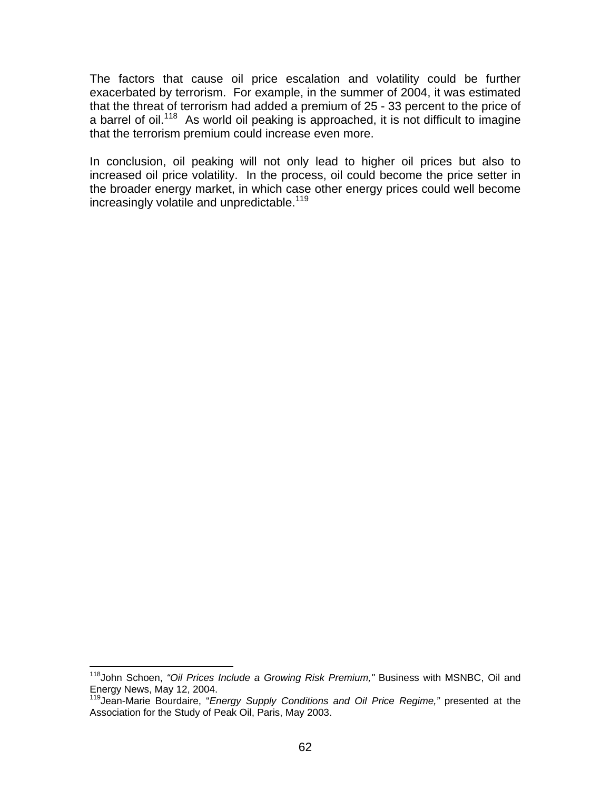The factors that cause oil price escalation and volatility could be further exacerbated by terrorism. For example, in the summer of 2004, it was estimated that the threat of terrorism had added a premium of 25 - 33 percent to the price of a barrel of oil.<sup>118</sup> As world oil peaking is approached, it is not difficult to imagine that the terrorism premium could increase even more.

In conclusion, oil peaking will not only lead to higher oil prices but also to increased oil price volatility. In the process, oil could become the price setter in the broader energy market, in which case other energy prices could well become increasingly volatile and unpredictable.<sup>119</sup>

 $\overline{a}$ 

<sup>&</sup>lt;sup>118</sup>John Schoen, "Oil Prices Include a Growing Risk Premium," Business with MSNBC, Oil and Energy News, May 12, 2004.

<sup>119</sup>Jean-Marie Bourdaire, "*Energy Supply Conditions and Oil Price Regime,"* presented at the Association for the Study of Peak Oil, Paris, May 2003.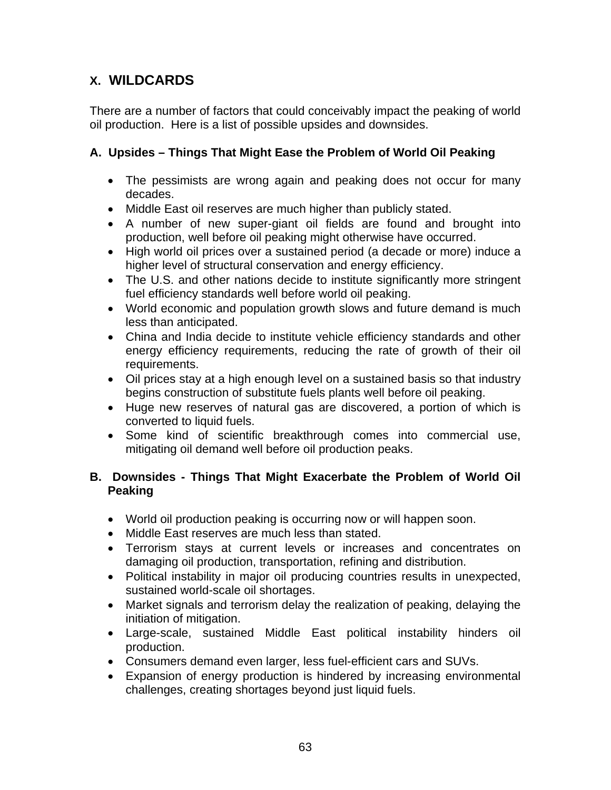# **X. WILDCARDS**

There are a number of factors that could conceivably impact the peaking of world oil production. Here is a list of possible upsides and downsides.

# **A. Upsides – Things That Might Ease the Problem of World Oil Peaking**

- The pessimists are wrong again and peaking does not occur for many decades.
- Middle East oil reserves are much higher than publicly stated.
- A number of new super-giant oil fields are found and brought into production, well before oil peaking might otherwise have occurred.
- High world oil prices over a sustained period (a decade or more) induce a higher level of structural conservation and energy efficiency.
- The U.S. and other nations decide to institute significantly more stringent fuel efficiency standards well before world oil peaking.
- World economic and population growth slows and future demand is much less than anticipated.
- China and India decide to institute vehicle efficiency standards and other energy efficiency requirements, reducing the rate of growth of their oil requirements.
- Oil prices stay at a high enough level on a sustained basis so that industry begins construction of substitute fuels plants well before oil peaking.
- Huge new reserves of natural gas are discovered, a portion of which is converted to liquid fuels.
- Some kind of scientific breakthrough comes into commercial use, mitigating oil demand well before oil production peaks.

## **B. Downsides - Things That Might Exacerbate the Problem of World Oil Peaking**

- World oil production peaking is occurring now or will happen soon.
- Middle East reserves are much less than stated.
- Terrorism stays at current levels or increases and concentrates on damaging oil production, transportation, refining and distribution.
- Political instability in major oil producing countries results in unexpected, sustained world-scale oil shortages.
- Market signals and terrorism delay the realization of peaking, delaying the initiation of mitigation.
- Large-scale, sustained Middle East political instability hinders oil production.
- Consumers demand even larger, less fuel-efficient cars and SUVs.
- Expansion of energy production is hindered by increasing environmental challenges, creating shortages beyond just liquid fuels.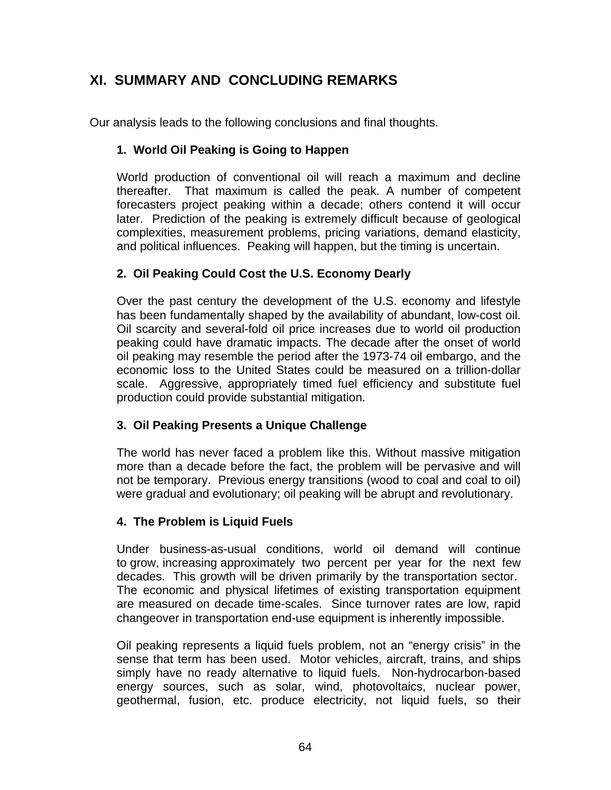# **XI. SUMMARY AND CONCLUDING REMARKS**

Our analysis leads to the following conclusions and final thoughts.

# **1. World Oil Peaking is Going to Happen**

World production of conventional oil will reach a maximum and decline thereafter. That maximum is called the peak. A number of competent forecasters project peaking within a decade; others contend it will occur later. Prediction of the peaking is extremely difficult because of geological complexities, measurement problems, pricing variations, demand elasticity, and political influences. Peaking will happen, but the timing is uncertain.

# **2. Oil Peaking Could Cost the U.S. Economy Dearly**

Over the past century the development of the U.S. economy and lifestyle has been fundamentally shaped by the availability of abundant, low-cost oil. Oil scarcity and several-fold oil price increases due to world oil production peaking could have dramatic impacts. The decade after the onset of world oil peaking may resemble the period after the 1973-74 oil embargo, and the economic loss to the United States could be measured on a trillion-dollar scale. Aggressive, appropriately timed fuel efficiency and substitute fuel production could provide substantial mitigation.

## **3. Oil Peaking Presents a Unique Challenge**

The world has never faced a problem like this. Without massive mitigation more than a decade before the fact, the problem will be pervasive and will not be temporary. Previous energy transitions (wood to coal and coal to oil) were gradual and evolutionary; oil peaking will be abrupt and revolutionary.

## **4. The Problem is Liquid Fuels**

Under business-as-usual conditions, world oil demand will continue to grow, increasing approximately two percent per year for the next few decades. This growth will be driven primarily by the transportation sector. The economic and physical lifetimes of existing transportation equipment are measured on decade time-scales. Since turnover rates are low, rapid changeover in transportation end-use equipment is inherently impossible.

Oil peaking represents a liquid fuels problem, not an "energy crisis" in the sense that term has been used. Motor vehicles, aircraft, trains, and ships simply have no ready alternative to liquid fuels. Non-hydrocarbon-based energy sources, such as solar, wind, photovoltaics, nuclear power, geothermal, fusion, etc. produce electricity, not liquid fuels, so their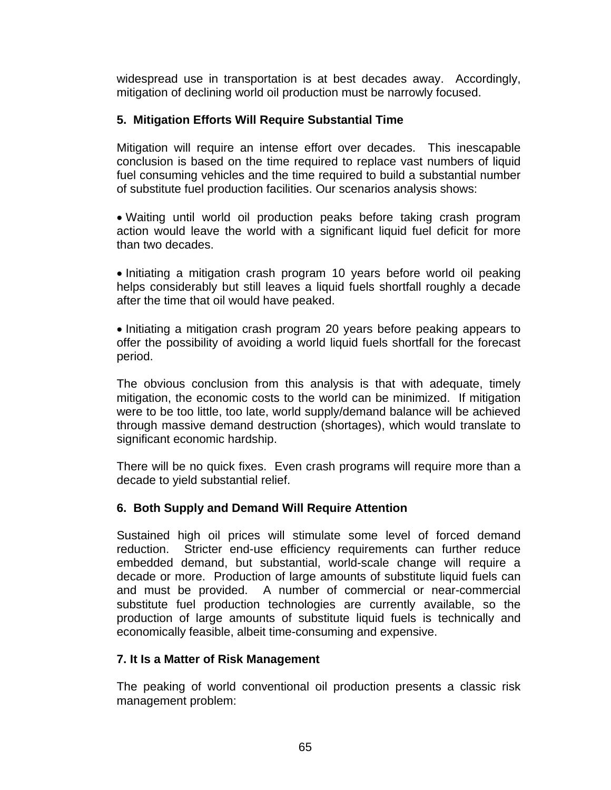widespread use in transportation is at best decades away. Accordingly, mitigation of declining world oil production must be narrowly focused.

### **5. Mitigation Efforts Will Require Substantial Time**

Mitigation will require an intense effort over decades. This inescapable conclusion is based on the time required to replace vast numbers of liquid fuel consuming vehicles and the time required to build a substantial number of substitute fuel production facilities. Our scenarios analysis shows:

• Waiting until world oil production peaks before taking crash program action would leave the world with a significant liquid fuel deficit for more than two decades.

• Initiating a mitigation crash program 10 years before world oil peaking helps considerably but still leaves a liquid fuels shortfall roughly a decade after the time that oil would have peaked.

• Initiating a mitigation crash program 20 years before peaking appears to offer the possibility of avoiding a world liquid fuels shortfall for the forecast period.

The obvious conclusion from this analysis is that with adequate, timely mitigation, the economic costs to the world can be minimized. If mitigation were to be too little, too late, world supply/demand balance will be achieved through massive demand destruction (shortages), which would translate to significant economic hardship.

There will be no quick fixes. Even crash programs will require more than a decade to yield substantial relief.

### **6. Both Supply and Demand Will Require Attention**

Sustained high oil prices will stimulate some level of forced demand reduction. Stricter end-use efficiency requirements can further reduce embedded demand, but substantial, world-scale change will require a decade or more. Production of large amounts of substitute liquid fuels can and must be provided. A number of commercial or near-commercial substitute fuel production technologies are currently available, so the production of large amounts of substitute liquid fuels is technically and economically feasible, albeit time-consuming and expensive.

### **7. It Is a Matter of Risk Management**

The peaking of world conventional oil production presents a classic risk management problem: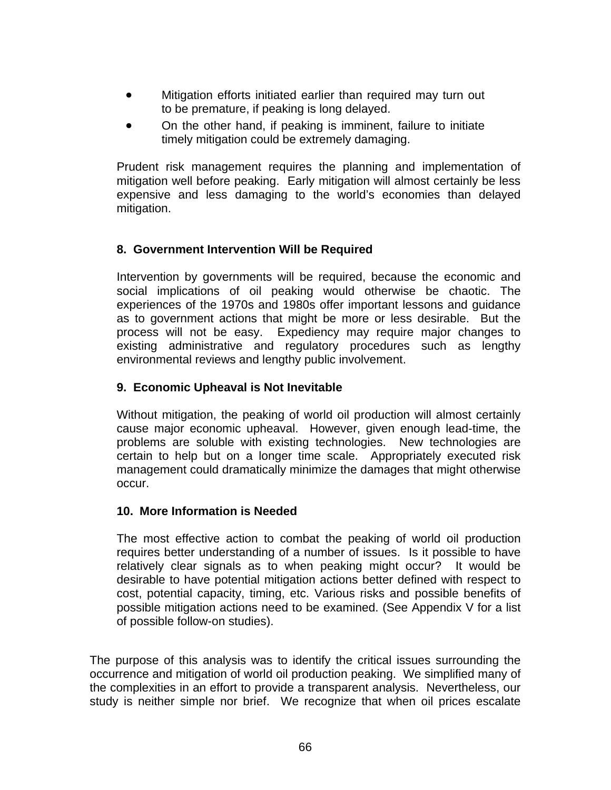- Mitigation efforts initiated earlier than required may turn out to be premature, if peaking is long delayed.
- On the other hand, if peaking is imminent, failure to initiate timely mitigation could be extremely damaging.

Prudent risk management requires the planning and implementation of mitigation well before peaking. Early mitigation will almost certainly be less expensive and less damaging to the world's economies than delayed mitigation.

## **8. Government Intervention Will be Required**

Intervention by governments will be required, because the economic and social implications of oil peaking would otherwise be chaotic. The experiences of the 1970s and 1980s offer important lessons and guidance as to government actions that might be more or less desirable. But the process will not be easy. Expediency may require major changes to existing administrative and regulatory procedures such as lengthy environmental reviews and lengthy public involvement.

### **9. Economic Upheaval is Not Inevitable**

Without mitigation, the peaking of world oil production will almost certainly cause major economic upheaval. However, given enough lead-time, the problems are soluble with existing technologies. New technologies are certain to help but on a longer time scale. Appropriately executed risk management could dramatically minimize the damages that might otherwise occur.

### **10. More Information is Needed**

The most effective action to combat the peaking of world oil production requires better understanding of a number of issues. Is it possible to have relatively clear signals as to when peaking might occur? It would be desirable to have potential mitigation actions better defined with respect to cost, potential capacity, timing, etc. Various risks and possible benefits of possible mitigation actions need to be examined. (See Appendix V for a list of possible follow-on studies).

The purpose of this analysis was to identify the critical issues surrounding the occurrence and mitigation of world oil production peaking. We simplified many of the complexities in an effort to provide a transparent analysis. Nevertheless, our study is neither simple nor brief. We recognize that when oil prices escalate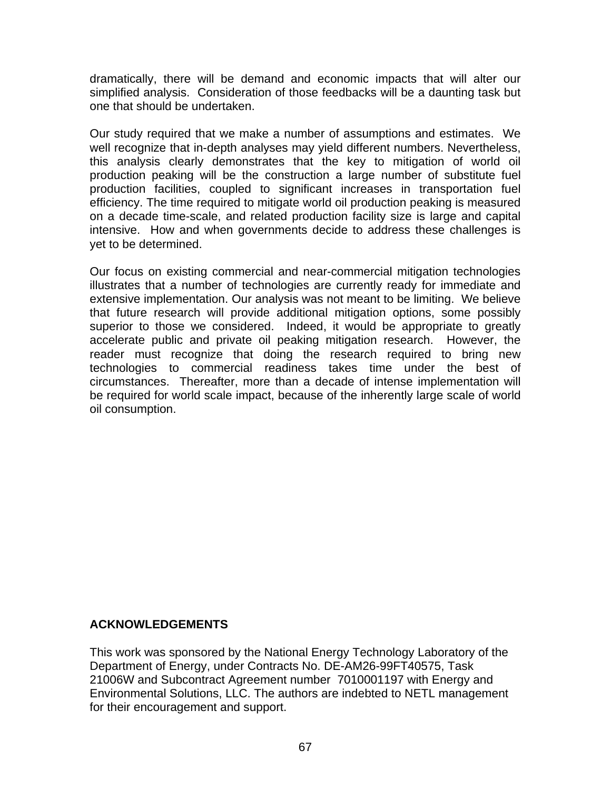dramatically, there will be demand and economic impacts that will alter our simplified analysis. Consideration of those feedbacks will be a daunting task but one that should be undertaken.

Our study required that we make a number of assumptions and estimates. We well recognize that in-depth analyses may yield different numbers. Nevertheless, this analysis clearly demonstrates that the key to mitigation of world oil production peaking will be the construction a large number of substitute fuel production facilities, coupled to significant increases in transportation fuel efficiency. The time required to mitigate world oil production peaking is measured on a decade time-scale, and related production facility size is large and capital intensive. How and when governments decide to address these challenges is yet to be determined.

Our focus on existing commercial and near-commercial mitigation technologies illustrates that a number of technologies are currently ready for immediate and extensive implementation. Our analysis was not meant to be limiting. We believe that future research will provide additional mitigation options, some possibly superior to those we considered. Indeed, it would be appropriate to greatly accelerate public and private oil peaking mitigation research. However, the reader must recognize that doing the research required to bring new technologies to commercial readiness takes time under the best of circumstances. Thereafter, more than a decade of intense implementation will be required for world scale impact, because of the inherently large scale of world oil consumption.

### **ACKNOWLEDGEMENTS**

This work was sponsored by the National Energy Technology Laboratory of the Department of Energy, under Contracts No. DE-AM26-99FT40575, Task 21006W and Subcontract Agreement number 7010001197 with Energy and Environmental Solutions, LLC. The authors are indebted to NETL management for their encouragement and support.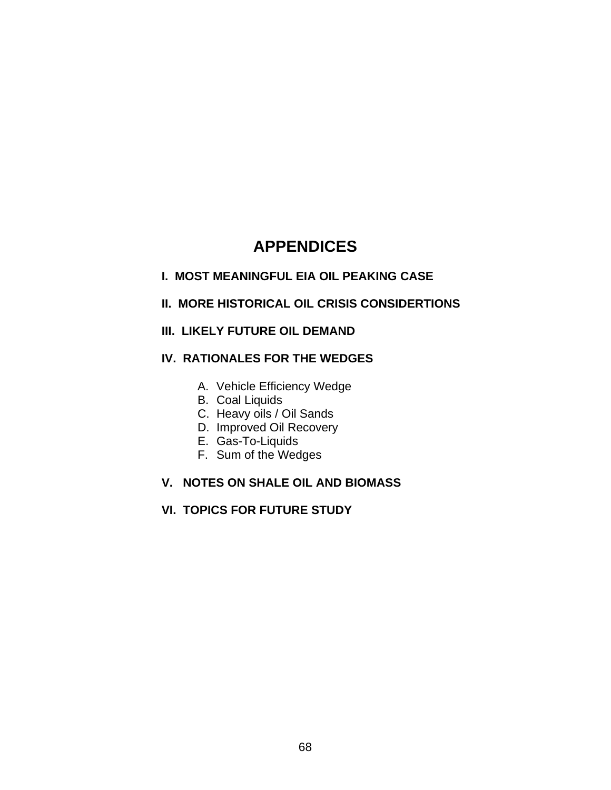# **APPENDICES**

# **I. MOST MEANINGFUL EIA OIL PEAKING CASE**

# **II. MORE HISTORICAL OIL CRISIS CONSIDERTIONS**

### **III. LIKELY FUTURE OIL DEMAND**

## **IV. RATIONALES FOR THE WEDGES**

- A. Vehicle Efficiency Wedge
- B. Coal Liquids
- C. Heavy oils / Oil Sands
- D. Improved Oil Recovery
- E. Gas-To-Liquids
- F. Sum of the Wedges

## **V. NOTES ON SHALE OIL AND BIOMASS**

## **VI. TOPICS FOR FUTURE STUDY**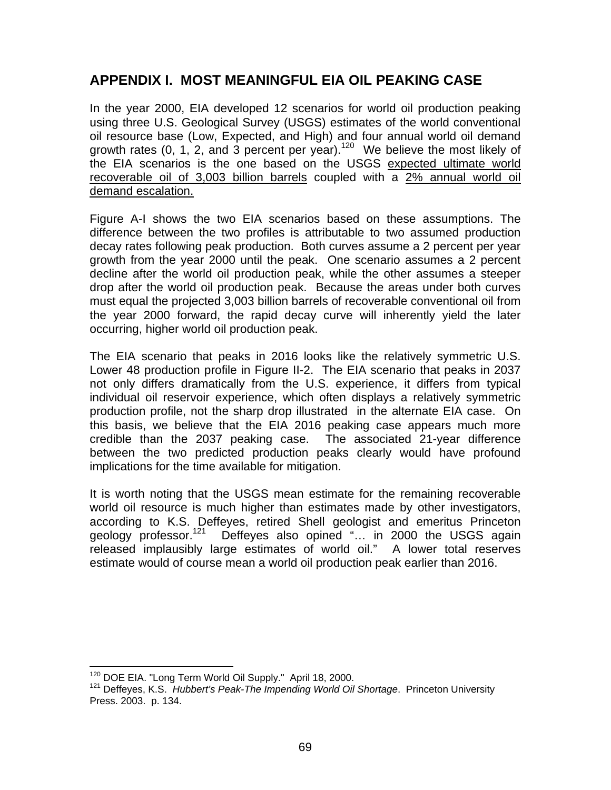# **APPENDIX I. MOST MEANINGFUL EIA OIL PEAKING CASE**

In the year 2000, EIA developed 12 scenarios for world oil production peaking using three U.S. Geological Survey (USGS) estimates of the world conventional oil resource base (Low, Expected, and High) and four annual world oil demand growth rates (0, 1, 2, and 3 percent per year).<sup>120</sup> We believe the most likely of the EIA scenarios is the one based on the USGS expected ultimate world recoverable oil of 3,003 billion barrels coupled with a 2% annual world oil demand escalation.

Figure A-I shows the two EIA scenarios based on these assumptions. The difference between the two profiles is attributable to two assumed production decay rates following peak production. Both curves assume a 2 percent per year growth from the year 2000 until the peak. One scenario assumes a 2 percent decline after the world oil production peak, while the other assumes a steeper drop after the world oil production peak. Because the areas under both curves must equal the projected 3,003 billion barrels of recoverable conventional oil from the year 2000 forward, the rapid decay curve will inherently yield the later occurring, higher world oil production peak.

The EIA scenario that peaks in 2016 looks like the relatively symmetric U.S. Lower 48 production profile in Figure II-2. The EIA scenario that peaks in 2037 not only differs dramatically from the U.S. experience, it differs from typical individual oil reservoir experience, which often displays a relatively symmetric production profile, not the sharp drop illustrated in the alternate EIA case. On this basis, we believe that the EIA 2016 peaking case appears much more credible than the 2037 peaking case. The associated 21-year difference between the two predicted production peaks clearly would have profound implications for the time available for mitigation.

It is worth noting that the USGS mean estimate for the remaining recoverable world oil resource is much higher than estimates made by other investigators, according to K.S. Deffeyes, retired Shell geologist and emeritus Princeton geology professor.<sup>121</sup> Deffeyes also opined "... in 2000 the USGS again released implausibly large estimates of world oil." A lower total reserves estimate would of course mean a world oil production peak earlier than 2016.

<sup>&</sup>lt;sup>120</sup> DOE EIA. "Long Term World Oil Supply." April 18, 2000.

<sup>&</sup>lt;sup>121</sup> Deffeyes, K.S. *Hubbert's Peak-The Impending World Oil Shortage*. Princeton University Press. 2003. p. 134.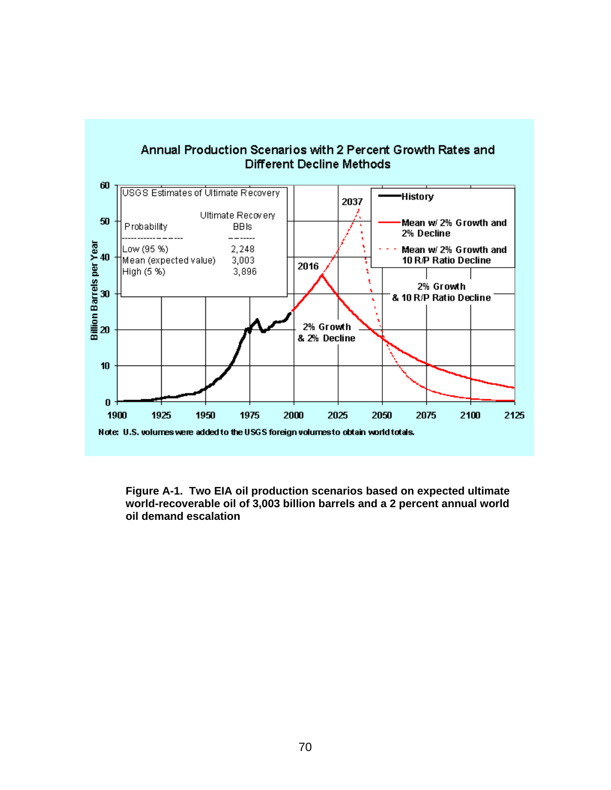

**Figure A-1. Two EIA oil production scenarios based on expected ultimate world-recoverable oil of 3,003 billion barrels and a 2 percent annual world oil demand escalation**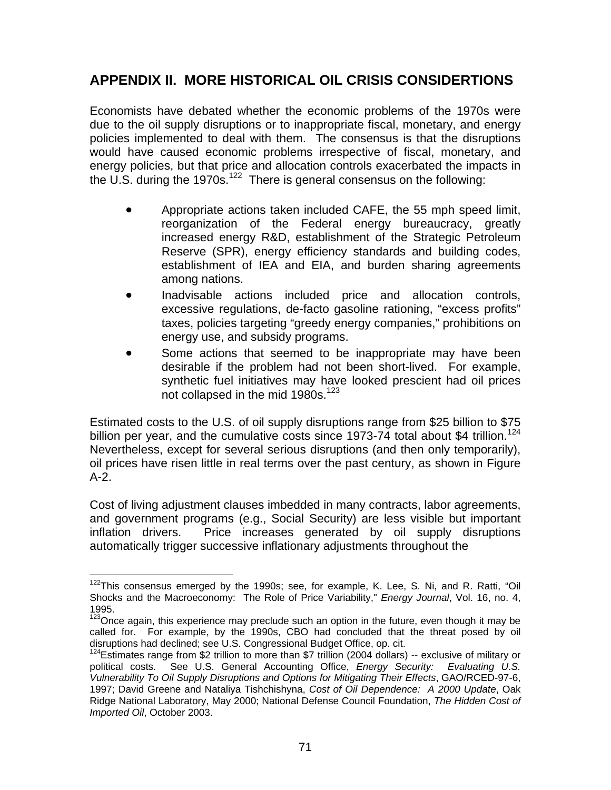# **APPENDIX II. MORE HISTORICAL OIL CRISIS CONSIDERTIONS**

Economists have debated whether the economic problems of the 1970s were due to the oil supply disruptions or to inappropriate fiscal, monetary, and energy policies implemented to deal with them. The consensus is that the disruptions would have caused economic problems irrespective of fiscal, monetary, and energy policies, but that price and allocation controls exacerbated the impacts in the U.S. during the 1970s.<sup>122</sup> There is general consensus on the following:

- Appropriate actions taken included CAFE, the 55 mph speed limit, reorganization of the Federal energy bureaucracy, greatly increased energy R&D, establishment of the Strategic Petroleum Reserve (SPR), energy efficiency standards and building codes, establishment of IEA and EIA, and burden sharing agreements among nations.
- Inadvisable actions included price and allocation controls, excessive regulations, de-facto gasoline rationing, "excess profits" taxes, policies targeting "greedy energy companies," prohibitions on energy use, and subsidy programs.
- Some actions that seemed to be inappropriate may have been desirable if the problem had not been short-lived. For example, synthetic fuel initiatives may have looked prescient had oil prices not collapsed in the mid 1980s.<sup>123</sup>

Estimated costs to the U.S. of oil supply disruptions range from \$25 billion to \$75 billion per year, and the cumulative costs since 1973-74 total about \$4 trillion.<sup>124</sup> Nevertheless, except for several serious disruptions (and then only temporarily), oil prices have risen little in real terms over the past century, as shown in Figure A-2.

Cost of living adjustment clauses imbedded in many contracts, labor agreements, and government programs (e.g., Social Security) are less visible but important inflation drivers. Price increases generated by oil supply disruptions automatically trigger successive inflationary adjustments throughout the

1

 $122$ This consensus emerged by the 1990s; see, for example, K. Lee, S. Ni, and R. Ratti, "Oil Shocks and the Macroeconomy: The Role of Price Variability," *Energy Journal*, Vol. 16, no. 4, 1995.

 $123$  Once again, this experience may preclude such an option in the future, even though it may be called for. For example, by the 1990s, CBO had concluded that the threat posed by oil disruptions had declined; see U.S. Congressional Budget Office, op. cit.

 $124$ Estimates range from \$2 trillion to more than \$7 trillion (2004 dollars) -- exclusive of military or political costs. See U.S. General Accounting Office, *Energy Security: Evaluating U.S. Vulnerability To Oil Supply Disruptions and Options for Mitigating Their Effects*, GAO/RCED-97-6, 1997; David Greene and Nataliya Tishchishyna, *Cost of Oil Dependence: A 2000 Update*, Oak Ridge National Laboratory, May 2000; National Defense Council Foundation, *The Hidden Cost of Imported Oil*, October 2003.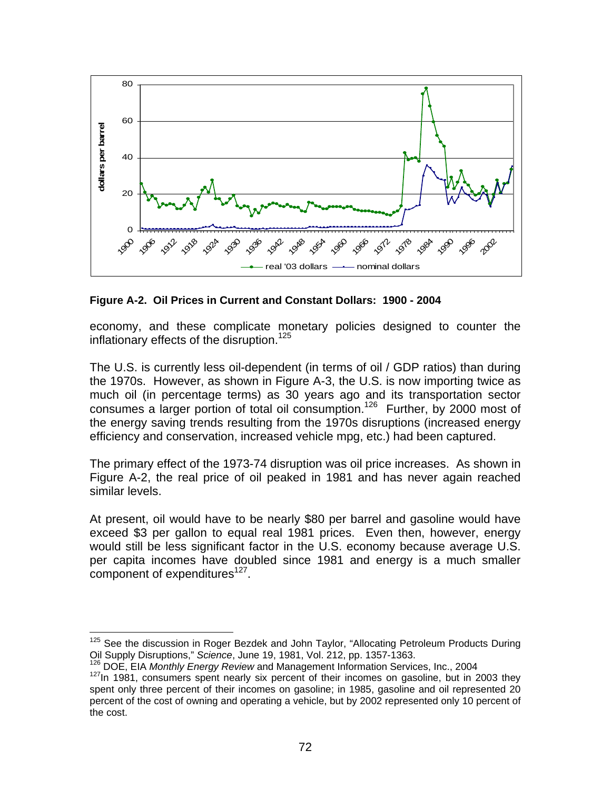

**Figure A-2. Oil Prices in Current and Constant Dollars: 1900 - 2004** 

economy, and these complicate monetary policies designed to counter the inflationary effects of the disruption.<sup>125</sup>

The U.S. is currently less oil-dependent (in terms of oil / GDP ratios) than during the 1970s. However, as shown in Figure A-3, the U.S. is now importing twice as much oil (in percentage terms) as 30 years ago and its transportation sector consumes a larger portion of total oil consumption.<sup>126</sup> Further, by 2000 most of the energy saving trends resulting from the 1970s disruptions (increased energy efficiency and conservation, increased vehicle mpg, etc.) had been captured.

The primary effect of the 1973-74 disruption was oil price increases. As shown in Figure A-2, the real price of oil peaked in 1981 and has never again reached similar levels.

At present, oil would have to be nearly \$80 per barrel and gasoline would have exceed \$3 per gallon to equal real 1981 prices. Even then, however, energy would still be less significant factor in the U.S. economy because average U.S. per capita incomes have doubled since 1981 and energy is a much smaller component of expenditures $127$ .

 $\overline{a}$  $125$  See the discussion in Roger Bezdek and John Taylor, "Allocating Petroleum Products During Oil Supply Disruptions," Science, June 19, 1981, Vol. 212, pp. 1357-1363.<br><sup>126</sup> DOE, EIA *Monthly Energy Review* and Management Information Services, Inc., 2004<br><sup>127</sup>In 1981, consumers spent nearly six percent of their inc

spent only three percent of their incomes on gasoline; in 1985, gasoline and oil represented 20 percent of the cost of owning and operating a vehicle, but by 2002 represented only 10 percent of the cost.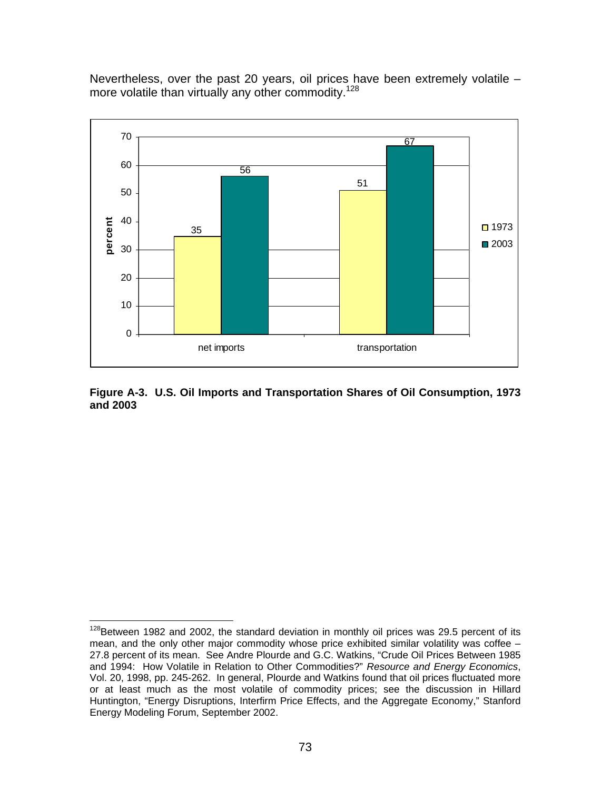Nevertheless, over the past 20 years, oil prices have been extremely volatile – more volatile than virtually any other commodity.128



**Figure A-3. U.S. Oil Imports and Transportation Shares of Oil Consumption, 1973 and 2003** 

 $\overline{a}$ 

 $128$ Between 1982 and 2002, the standard deviation in monthly oil prices was 29.5 percent of its mean, and the only other major commodity whose price exhibited similar volatility was coffee – 27.8 percent of its mean. See Andre Plourde and G.C. Watkins, "Crude Oil Prices Between 1985 and 1994: How Volatile in Relation to Other Commodities?" *Resource and Energy Economics*, Vol. 20, 1998, pp. 245-262. In general, Plourde and Watkins found that oil prices fluctuated more or at least much as the most volatile of commodity prices; see the discussion in Hillard Huntington, "Energy Disruptions, Interfirm Price Effects, and the Aggregate Economy," Stanford Energy Modeling Forum, September 2002.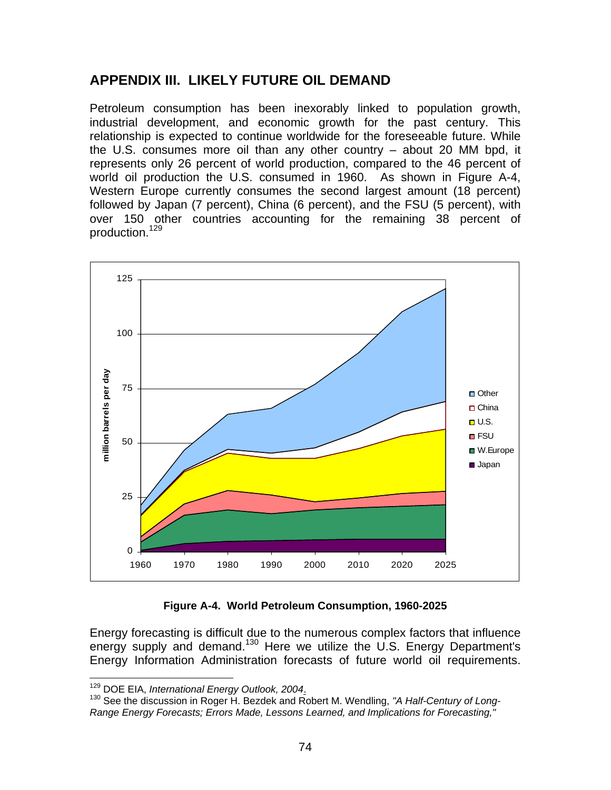# **APPENDIX III. LIKELY FUTURE OIL DEMAND**

Petroleum consumption has been inexorably linked to population growth, industrial development, and economic growth for the past century. This relationship is expected to continue worldwide for the foreseeable future. While the U.S. consumes more oil than any other country – about 20 MM bpd, it represents only 26 percent of world production, compared to the 46 percent of world oil production the U.S. consumed in 1960. As shown in Figure A-4, Western Europe currently consumes the second largest amount (18 percent) followed by Japan (7 percent), China (6 percent), and the FSU (5 percent), with over 150 other countries accounting for the remaining 38 percent of production.<sup>129</sup>



**Figure A-4. World Petroleum Consumption, 1960-2025** 

Energy forecasting is difficult due to the numerous complex factors that influence energy supply and demand.<sup>130</sup> Here we utilize the U.S. Energy Department's Energy Information Administration forecasts of future world oil requirements.

 $\overline{a}$ 

<sup>&</sup>lt;sup>129</sup> DOE EIA, *International Energy Outlook, 2004*.<br><sup>130</sup> See the discussion in Roger H. Bezdek and Robert M. Wendling, "A Half-Century of Long-*Range Energy Forecasts; Errors Made, Lessons Learned, and Implications for Forecasting,"*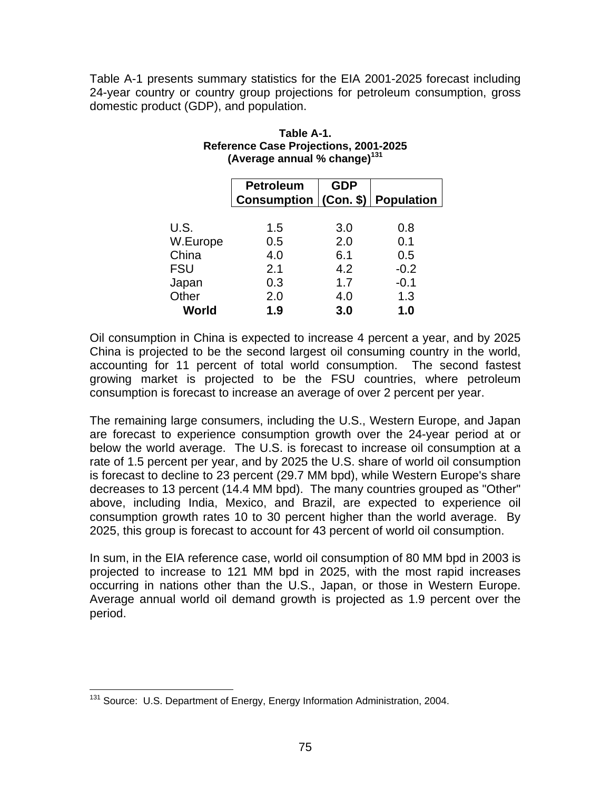Table A-1 presents summary statistics for the EIA 2001-2025 forecast including 24-year country or country group projections for petroleum consumption, gross domestic product (GDP), and population.

|            | <b>Petroleum</b>        | <b>GDP</b> |                   |  |
|------------|-------------------------|------------|-------------------|--|
|            | Consumption   (Con. \$) |            | <b>Population</b> |  |
|            |                         |            |                   |  |
| U.S.       | 1.5                     | 3.0        | 0.8               |  |
| W.Europe   | 0.5                     | 2.0        | 0.1               |  |
| China      | 4.0                     | 6.1        | 0.5               |  |
| <b>FSU</b> | 2.1                     | 4.2        | $-0.2$            |  |
| Japan      | 0.3                     | 1.7        | $-0.1$            |  |
| Other      | 2.0                     | 4.0        | 1.3               |  |
| World      | 1.9                     | 3.0        | 1.0               |  |

#### **Table A-1. Reference Case Projections, 2001-2025 (Average annual % change)<sup>131</sup>**

Oil consumption in China is expected to increase 4 percent a year, and by 2025 China is projected to be the second largest oil consuming country in the world, accounting for 11 percent of total world consumption. The second fastest growing market is projected to be the FSU countries, where petroleum consumption is forecast to increase an average of over 2 percent per year.

The remaining large consumers, including the U.S., Western Europe, and Japan are forecast to experience consumption growth over the 24-year period at or below the world average. The U.S. is forecast to increase oil consumption at a rate of 1.5 percent per year, and by 2025 the U.S. share of world oil consumption is forecast to decline to 23 percent (29.7 MM bpd), while Western Europe's share decreases to 13 percent (14.4 MM bpd). The many countries grouped as "Other" above, including India, Mexico, and Brazil, are expected to experience oil consumption growth rates 10 to 30 percent higher than the world average. By 2025, this group is forecast to account for 43 percent of world oil consumption.

In sum, in the EIA reference case, world oil consumption of 80 MM bpd in 2003 is projected to increase to 121 MM bpd in 2025, with the most rapid increases occurring in nations other than the U.S., Japan, or those in Western Europe. Average annual world oil demand growth is projected as 1.9 percent over the period.

<sup>1</sup> <sup>131</sup> Source: U.S. Department of Energy, Energy Information Administration, 2004.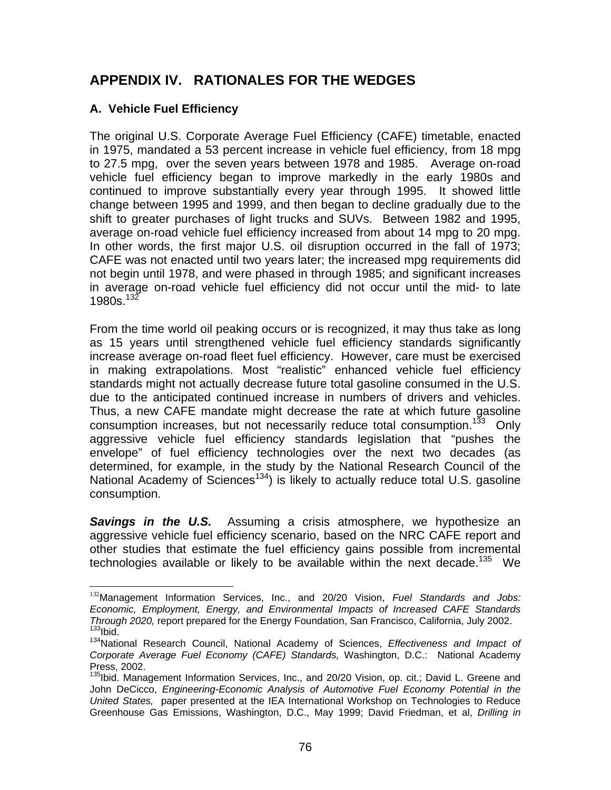# **APPENDIX IV. RATIONALES FOR THE WEDGES**

## **A. Vehicle Fuel Efficiency**

 $\overline{a}$ 

The original U.S. Corporate Average Fuel Efficiency (CAFE) timetable, enacted in 1975, mandated a 53 percent increase in vehicle fuel efficiency, from 18 mpg to 27.5 mpg, over the seven years between 1978 and 1985. Average on-road vehicle fuel efficiency began to improve markedly in the early 1980s and continued to improve substantially every year through 1995. It showed little change between 1995 and 1999, and then began to decline gradually due to the shift to greater purchases of light trucks and SUVs. Between 1982 and 1995, average on-road vehicle fuel efficiency increased from about 14 mpg to 20 mpg. In other words, the first major U.S. oil disruption occurred in the fall of 1973; CAFE was not enacted until two years later; the increased mpg requirements did not begin until 1978, and were phased in through 1985; and significant increases in average on-road vehicle fuel efficiency did not occur until the mid- to late 1980s. $^{132}$ 

From the time world oil peaking occurs or is recognized, it may thus take as long as 15 years until strengthened vehicle fuel efficiency standards significantly increase average on-road fleet fuel efficiency. However, care must be exercised in making extrapolations. Most "realistic" enhanced vehicle fuel efficiency standards might not actually decrease future total gasoline consumed in the U.S. due to the anticipated continued increase in numbers of drivers and vehicles. Thus, a new CAFE mandate might decrease the rate at which future gasoline consumption increases, but not necessarily reduce total consumption.<sup>133</sup> Only aggressive vehicle fuel efficiency standards legislation that "pushes the envelope" of fuel efficiency technologies over the next two decades (as determined, for example, in the study by the National Research Council of the National Academy of  $Sciences<sup>134</sup>$  is likely to actually reduce total U.S. gasoline consumption.

**Savings in the U.S.** Assuming a crisis atmosphere, we hypothesize an aggressive vehicle fuel efficiency scenario, based on the NRC CAFE report and other studies that estimate the fuel efficiency gains possible from incremental technologies available or likely to be available within the next decade.<sup>135</sup> We

<sup>132</sup>Management Information Services, Inc., and 20/20 Vision, *Fuel Standards and Jobs: Economic, Employment, Energy, and Environmental Impacts of Increased CAFE Standards Through 2020, report prepared for the Energy Foundation, San Francisco, California, July 2002.*<br><sup>133</sup>Ibid.

<sup>134</sup>National Research Council, National Academy of Sciences, *Effectiveness and Impact of Corporate Average Fuel Economy (CAFE) Standards,* Washington, D.C.: National Academy Press, 2002.

<sup>135&</sup>lt;br><sup>135</sup>Ibid. Management Information Services, Inc., and 20/20 Vision, op. cit.; David L. Greene and John DeCicco, *Engineering-Economic Analysis of Automotive Fuel Economy Potential in the United States,* paper presented at the IEA International Workshop on Technologies to Reduce Greenhouse Gas Emissions, Washington, D.C., May 1999; David Friedman, et al, *Drilling in*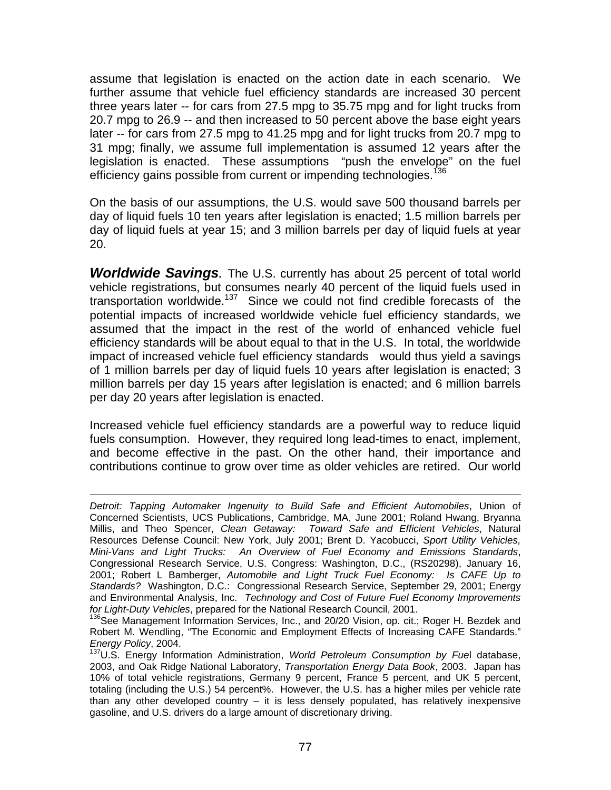assume that legislation is enacted on the action date in each scenario. We further assume that vehicle fuel efficiency standards are increased 30 percent three years later -- for cars from 27.5 mpg to 35.75 mpg and for light trucks from 20.7 mpg to 26.9 -- and then increased to 50 percent above the base eight years later -- for cars from 27.5 mpg to 41.25 mpg and for light trucks from 20.7 mpg to 31 mpg; finally, we assume full implementation is assumed 12 years after the legislation is enacted. These assumptions "push the envelope" on the fuel efficiency gains possible from current or impending technologies.<sup>136</sup>

On the basis of our assumptions, the U.S. would save 500 thousand barrels per day of liquid fuels 10 ten years after legislation is enacted; 1.5 million barrels per day of liquid fuels at year 15; and 3 million barrels per day of liquid fuels at year 20.

*Worldwide Savings.* The U.S. currently has about 25 percent of total world vehicle registrations, but consumes nearly 40 percent of the liquid fuels used in transportation worldwide.<sup>137</sup> Since we could not find credible forecasts of the potential impacts of increased worldwide vehicle fuel efficiency standards, we assumed that the impact in the rest of the world of enhanced vehicle fuel efficiency standards will be about equal to that in the U.S. In total, the worldwide impact of increased vehicle fuel efficiency standards would thus yield a savings of 1 million barrels per day of liquid fuels 10 years after legislation is enacted; 3 million barrels per day 15 years after legislation is enacted; and 6 million barrels per day 20 years after legislation is enacted.

Increased vehicle fuel efficiency standards are a powerful way to reduce liquid fuels consumption. However, they required long lead-times to enact, implement, and become effective in the past. On the other hand, their importance and contributions continue to grow over time as older vehicles are retired. Our world

 $\overline{a}$ *Detroit: Tapping Automaker Ingenuity to Build Safe and Efficient Automobiles*, Union of Concerned Scientists, UCS Publications, Cambridge, MA, June 2001; Roland Hwang, Bryanna Millis, and Theo Spencer, *Clean Getaway: Toward Safe and Efficient Vehicles*, Natural Resources Defense Council: New York, July 2001; Brent D. Yacobucci, *Sport Utility Vehicles, Mini-Vans and Light Trucks: An Overview of Fuel Economy and Emissions Standards*, Congressional Research Service, U.S. Congress: Washington, D.C., (RS20298), January 16, 2001; Robert L Bamberger, *Automobile and Light Truck Fuel Economy: Is CAFE Up to Standards?* Washington, D.C.: Congressional Research Service, September 29, 2001; Energy and Environmental Analysis, Inc. *Technology and Cost of Future Fuel Economy Improvements* 

<sup>&</sup>lt;sup>136</sup>See Management Information Services, Inc., and 20/20 Vision, op. cit.; Roger H. Bezdek and Robert M. Wendling, "The Economic and Employment Effects of Increasing CAFE Standards." *Energy Policy*, 2004.

<sup>137</sup>U.S. Energy Information Administration, *World Petroleum Consumption by Fue*l database, 2003, and Oak Ridge National Laboratory, *Transportation Energy Data Book*, 2003. Japan has 10% of total vehicle registrations, Germany 9 percent, France 5 percent, and UK 5 percent, totaling (including the U.S.) 54 percent%. However, the U.S. has a higher miles per vehicle rate than any other developed country – it is less densely populated, has relatively inexpensive gasoline, and U.S. drivers do a large amount of discretionary driving.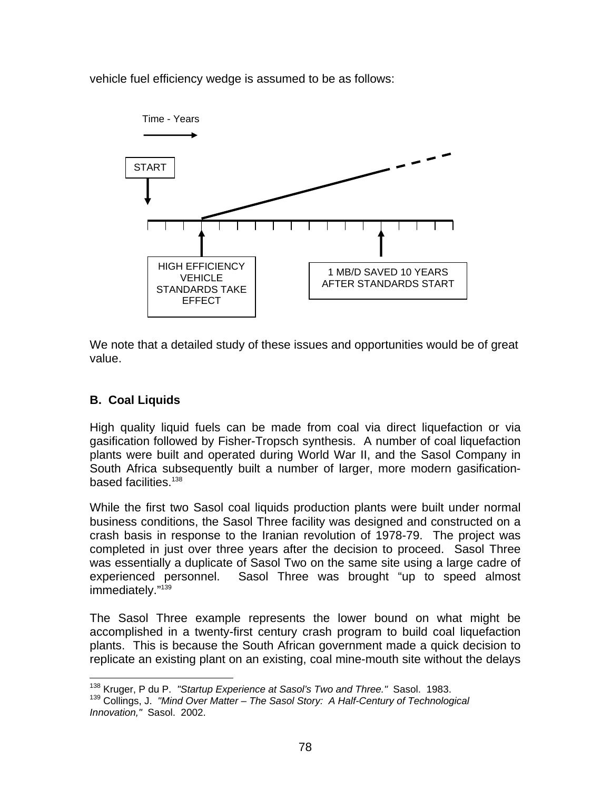vehicle fuel efficiency wedge is assumed to be as follows:



We note that a detailed study of these issues and opportunities would be of great value.

# **B. Coal Liquids**

High quality liquid fuels can be made from coal via direct liquefaction or via gasification followed by Fisher-Tropsch synthesis. A number of coal liquefaction plants were built and operated during World War II, and the Sasol Company in South Africa subsequently built a number of larger, more modern gasificationbased facilities.138

While the first two Sasol coal liquids production plants were built under normal business conditions, the Sasol Three facility was designed and constructed on a crash basis in response to the Iranian revolution of 1978-79. The project was completed in just over three years after the decision to proceed. Sasol Three was essentially a duplicate of Sasol Two on the same site using a large cadre of experienced personnel. Sasol Three was brought "up to speed almost immediately."<sup>139</sup>

The Sasol Three example represents the lower bound on what might be accomplished in a twenty-first century crash program to build coal liquefaction plants. This is because the South African government made a quick decision to replicate an existing plant on an existing, coal mine-mouth site without the delays

 $\overline{a}$ 138 Kruger, P du P. *"Startup Experience at Sasol's Two and Three."* Sasol. 1983.

<sup>139</sup> Collings, J. *"Mind Over Matter – The Sasol Story: A Half-Century of Technological Innovation,"* Sasol. 2002.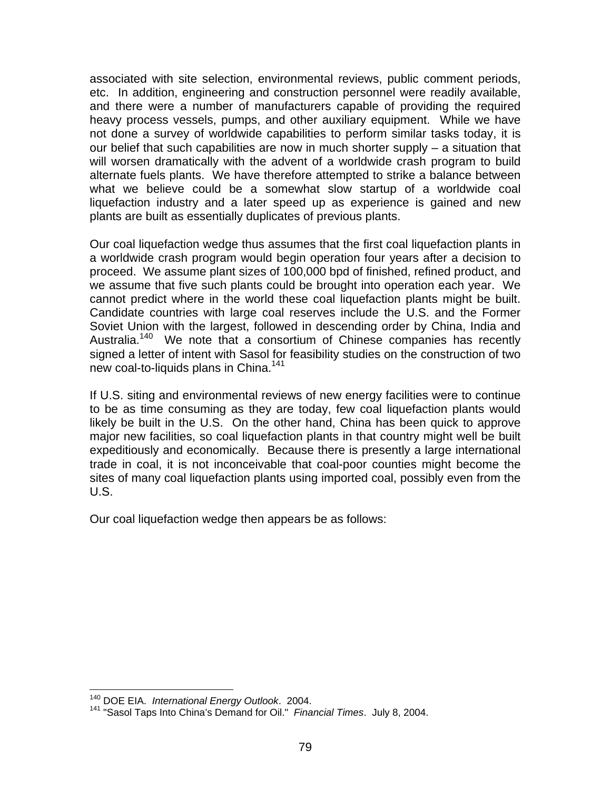associated with site selection, environmental reviews, public comment periods, etc. In addition, engineering and construction personnel were readily available, and there were a number of manufacturers capable of providing the required heavy process vessels, pumps, and other auxiliary equipment. While we have not done a survey of worldwide capabilities to perform similar tasks today, it is our belief that such capabilities are now in much shorter supply – a situation that will worsen dramatically with the advent of a worldwide crash program to build alternate fuels plants. We have therefore attempted to strike a balance between what we believe could be a somewhat slow startup of a worldwide coal liquefaction industry and a later speed up as experience is gained and new plants are built as essentially duplicates of previous plants.

Our coal liquefaction wedge thus assumes that the first coal liquefaction plants in a worldwide crash program would begin operation four years after a decision to proceed. We assume plant sizes of 100,000 bpd of finished, refined product, and we assume that five such plants could be brought into operation each year. We cannot predict where in the world these coal liquefaction plants might be built. Candidate countries with large coal reserves include the U.S. and the Former Soviet Union with the largest, followed in descending order by China, India and Australia.<sup>140</sup> We note that a consortium of Chinese companies has recently signed a letter of intent with Sasol for feasibility studies on the construction of two new coal-to-liquids plans in China.<sup>141</sup>

If U.S. siting and environmental reviews of new energy facilities were to continue to be as time consuming as they are today, few coal liquefaction plants would likely be built in the U.S. On the other hand, China has been quick to approve major new facilities, so coal liquefaction plants in that country might well be built expeditiously and economically. Because there is presently a large international trade in coal, it is not inconceivable that coal-poor counties might become the sites of many coal liquefaction plants using imported coal, possibly even from the U.S.

Our coal liquefaction wedge then appears be as follows:

 $\overline{a}$ 140 DOE EIA. *International Energy Outlook*. 2004.

<sup>141 &</sup>quot;Sasol Taps Into China's Demand for Oil." *Financial Times*. July 8, 2004.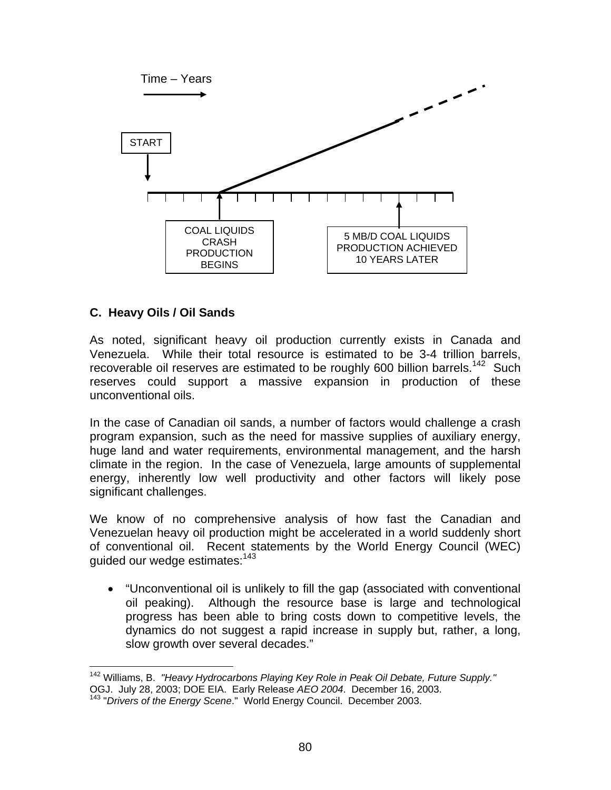

## **C. Heavy Oils / Oil Sands**

As noted, significant heavy oil production currently exists in Canada and Venezuela. While their total resource is estimated to be 3-4 trillion barrels, recoverable oil reserves are estimated to be roughly 600 billion barrels.<sup>142</sup> Such reserves could support a massive expansion in production of these unconventional oils.

In the case of Canadian oil sands, a number of factors would challenge a crash program expansion, such as the need for massive supplies of auxiliary energy, huge land and water requirements, environmental management, and the harsh climate in the region. In the case of Venezuela, large amounts of supplemental energy, inherently low well productivity and other factors will likely pose significant challenges.

We know of no comprehensive analysis of how fast the Canadian and Venezuelan heavy oil production might be accelerated in a world suddenly short of conventional oil. Recent statements by the World Energy Council (WEC) guided our wedge estimates:<sup>143</sup>

• "Unconventional oil is unlikely to fill the gap (associated with conventional oil peaking). Although the resource base is large and technological progress has been able to bring costs down to competitive levels, the dynamics do not suggest a rapid increase in supply but, rather, a long, slow growth over several decades."

 $\overline{a}$ 142 Williams, B. *"Heavy Hydrocarbons Playing Key Role in Peak Oil Debate, Future Supply."* OGJ. July 28, 2003; DOE EIA. Early Release *AEO 2004*. December 16, 2003.

<sup>143 &</sup>quot;*Drivers of the Energy Scene*." World Energy Council. December 2003.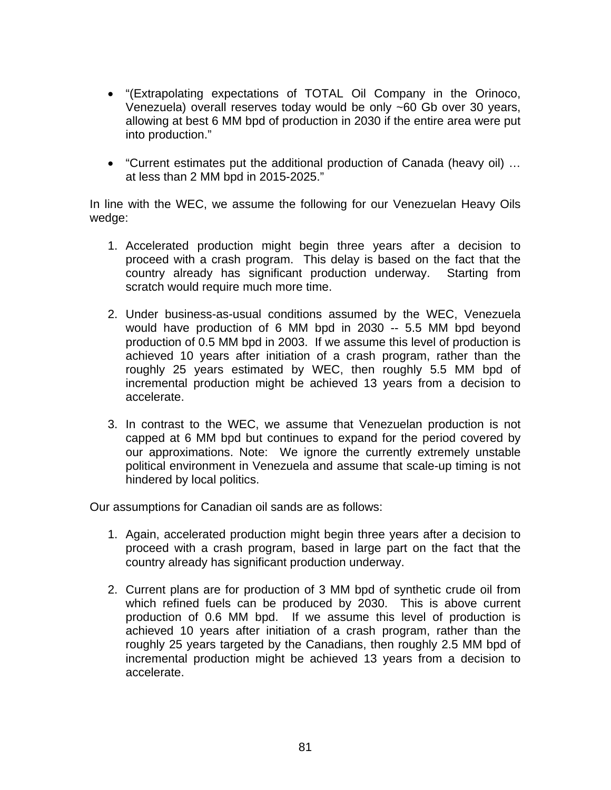- "(Extrapolating expectations of TOTAL Oil Company in the Orinoco, Venezuela) overall reserves today would be only ~60 Gb over 30 years, allowing at best 6 MM bpd of production in 2030 if the entire area were put into production."
- "Current estimates put the additional production of Canada (heavy oil) … at less than 2 MM bpd in 2015-2025."

In line with the WEC, we assume the following for our Venezuelan Heavy Oils wedge:

- 1. Accelerated production might begin three years after a decision to proceed with a crash program. This delay is based on the fact that the country already has significant production underway. Starting from scratch would require much more time.
- 2. Under business-as-usual conditions assumed by the WEC, Venezuela would have production of 6 MM bpd in 2030 -- 5.5 MM bpd beyond production of 0.5 MM bpd in 2003. If we assume this level of production is achieved 10 years after initiation of a crash program, rather than the roughly 25 years estimated by WEC, then roughly 5.5 MM bpd of incremental production might be achieved 13 years from a decision to accelerate.
- 3. In contrast to the WEC, we assume that Venezuelan production is not capped at 6 MM bpd but continues to expand for the period covered by our approximations. Note: We ignore the currently extremely unstable political environment in Venezuela and assume that scale-up timing is not hindered by local politics.

Our assumptions for Canadian oil sands are as follows:

- 1. Again, accelerated production might begin three years after a decision to proceed with a crash program, based in large part on the fact that the country already has significant production underway.
- 2. Current plans are for production of 3 MM bpd of synthetic crude oil from which refined fuels can be produced by 2030. This is above current production of 0.6 MM bpd. If we assume this level of production is achieved 10 years after initiation of a crash program, rather than the roughly 25 years targeted by the Canadians, then roughly 2.5 MM bpd of incremental production might be achieved 13 years from a decision to accelerate.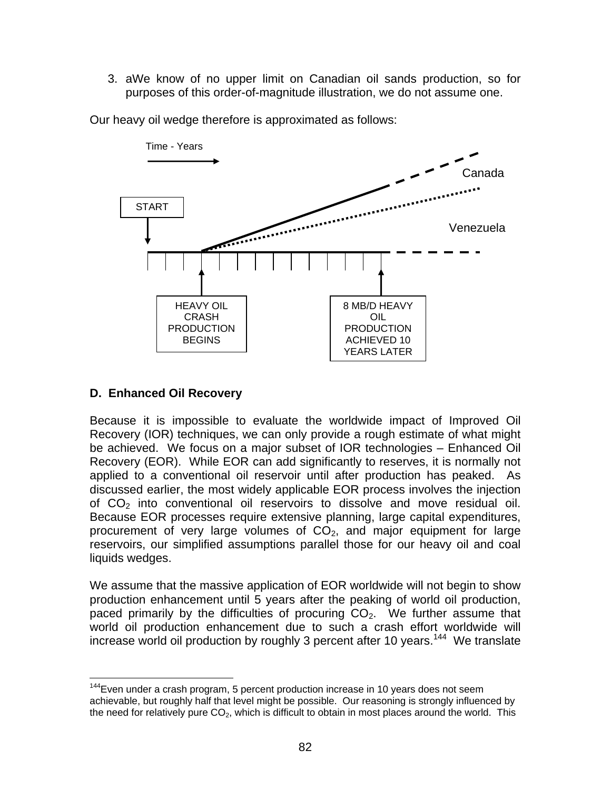3. aWe know of no upper limit on Canadian oil sands production, so for purposes of this order-of-magnitude illustration, we do not assume one.

Our heavy oil wedge therefore is approximated as follows:



#### **D. Enhanced Oil Recovery**

Because it is impossible to evaluate the worldwide impact of Improved Oil Recovery (IOR) techniques, we can only provide a rough estimate of what might be achieved. We focus on a major subset of IOR technologies – Enhanced Oil Recovery (EOR). While EOR can add significantly to reserves, it is normally not applied to a conventional oil reservoir until after production has peaked. As discussed earlier, the most widely applicable EOR process involves the injection of CO<sub>2</sub> into conventional oil reservoirs to dissolve and move residual oil. Because EOR processes require extensive planning, large capital expenditures, procurement of very large volumes of  $CO<sub>2</sub>$ , and major equipment for large reservoirs, our simplified assumptions parallel those for our heavy oil and coal liquids wedges.

We assume that the massive application of EOR worldwide will not begin to show production enhancement until 5 years after the peaking of world oil production, paced primarily by the difficulties of procuring  $CO<sub>2</sub>$ . We further assume that world oil production enhancement due to such a crash effort worldwide will increase world oil production by roughly 3 percent after 10 years.<sup>144</sup> We translate

 $\overline{a}$  $144$ Even under a crash program, 5 percent production increase in 10 years does not seem achievable, but roughly half that level might be possible. Our reasoning is strongly influenced by the need for relatively pure  $CO<sub>2</sub>$ , which is difficult to obtain in most places around the world. This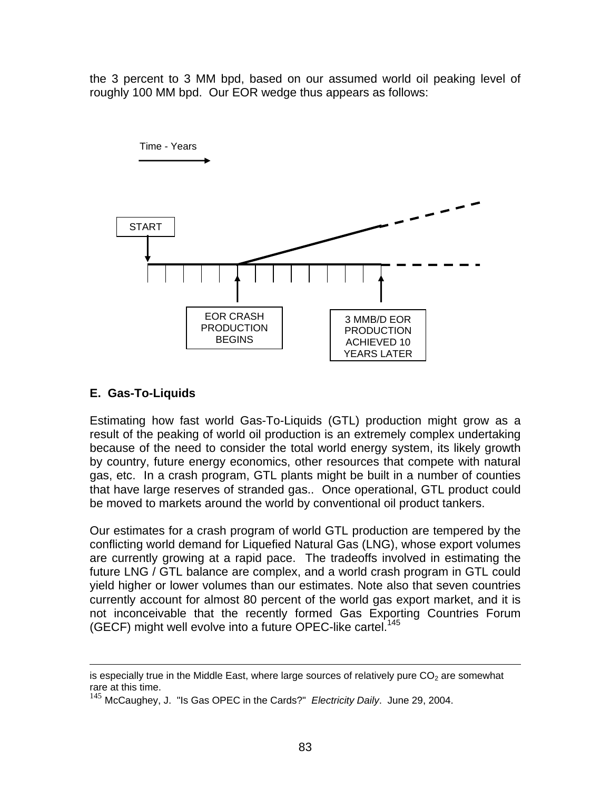the 3 percent to 3 MM bpd, based on our assumed world oil peaking level of roughly 100 MM bpd. Our EOR wedge thus appears as follows:



#### **E. Gas-To-Liquids**

 $\overline{a}$ 

Estimating how fast world Gas-To-Liquids (GTL) production might grow as a result of the peaking of world oil production is an extremely complex undertaking because of the need to consider the total world energy system, its likely growth by country, future energy economics, other resources that compete with natural gas, etc. In a crash program, GTL plants might be built in a number of counties that have large reserves of stranded gas.. Once operational, GTL product could be moved to markets around the world by conventional oil product tankers.

Our estimates for a crash program of world GTL production are tempered by the conflicting world demand for Liquefied Natural Gas (LNG), whose export volumes are currently growing at a rapid pace. The tradeoffs involved in estimating the future LNG / GTL balance are complex, and a world crash program in GTL could yield higher or lower volumes than our estimates. Note also that seven countries currently account for almost 80 percent of the world gas export market, and it is not inconceivable that the recently formed Gas Exporting Countries Forum (GECF) might well evolve into a future OPEC-like cartel.<sup>145</sup>

is especially true in the Middle East, where large sources of relatively pure  $CO<sub>2</sub>$  are somewhat rare at this time.

<sup>145</sup> McCaughey, J. "Is Gas OPEC in the Cards?" *Electricity Daily*. June 29, 2004.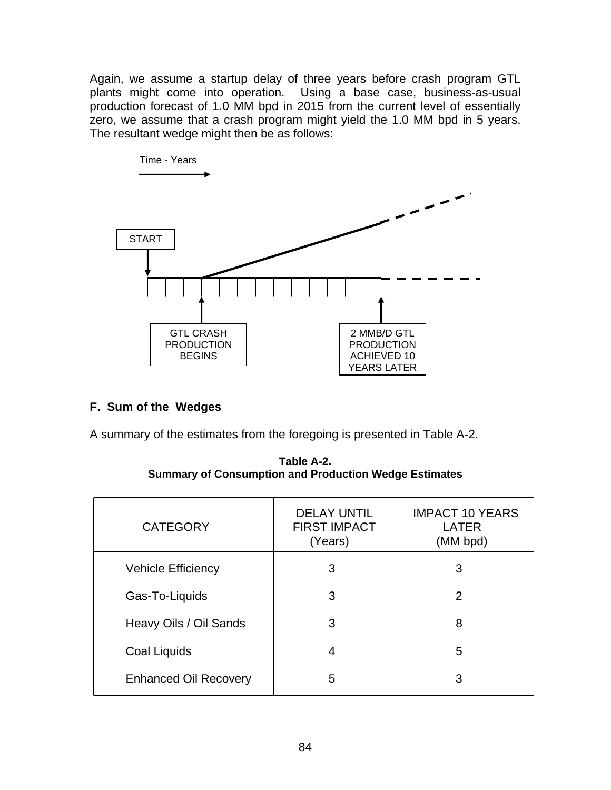Again, we assume a startup delay of three years before crash program GTL plants might come into operation. Using a base case, business-as-usual production forecast of 1.0 MM bpd in 2015 from the current level of essentially zero, we assume that a crash program might yield the 1.0 MM bpd in 5 years. The resultant wedge might then be as follows:



## **F. Sum of the Wedges**

A summary of the estimates from the foregoing is presented in Table A-2.

| <b>CATEGORY</b>              | <b>DELAY UNTIL</b><br><b>FIRST IMPACT</b><br>(Years) | <b>IMPACT 10 YEARS</b><br>LATER<br>(MM bpd) |
|------------------------------|------------------------------------------------------|---------------------------------------------|
| <b>Vehicle Efficiency</b>    | 3                                                    | 3                                           |
| Gas-To-Liquids               | 3                                                    | 2                                           |
| Heavy Oils / Oil Sands       | 3                                                    | 8                                           |
| Coal Liquids                 | 4                                                    | 5                                           |
| <b>Enhanced Oil Recovery</b> | 5                                                    | 3                                           |

**Table A-2. Summary of Consumption and Production Wedge Estimates**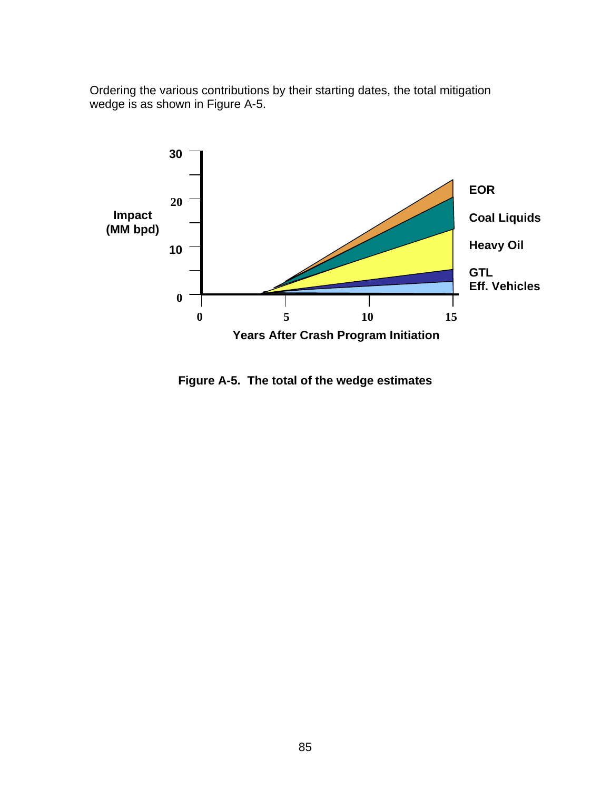Ordering the various contributions by their starting dates, the total mitigation wedge is as shown in Figure A-5.



**Figure A-5. The total of the wedge estimates**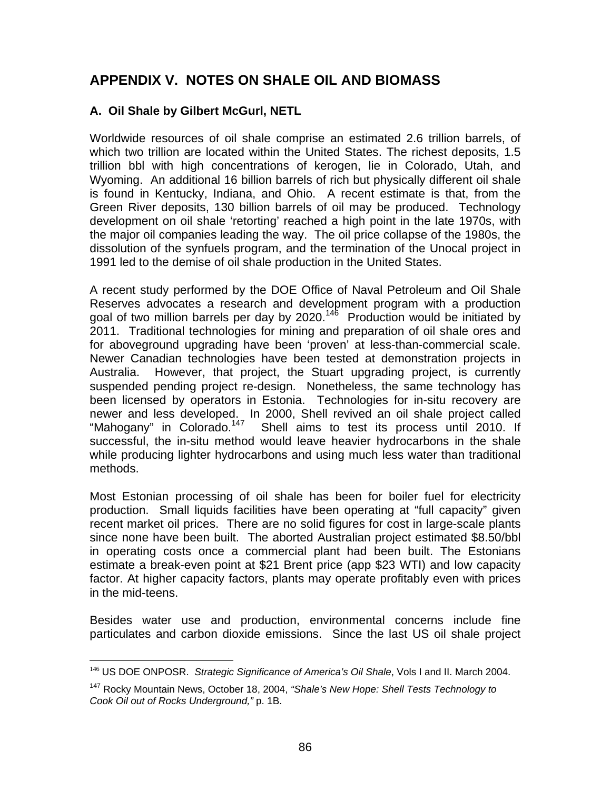# **APPENDIX V. NOTES ON SHALE OIL AND BIOMASS**

## **A. Oil Shale by Gilbert McGurl, NETL**

Worldwide resources of oil shale comprise an estimated 2.6 trillion barrels, of which two trillion are located within the United States. The richest deposits, 1.5 trillion bbl with high concentrations of kerogen, lie in Colorado, Utah, and Wyoming. An additional 16 billion barrels of rich but physically different oil shale is found in Kentucky, Indiana, and Ohio. A recent estimate is that, from the Green River deposits, 130 billion barrels of oil may be produced. Technology development on oil shale 'retorting' reached a high point in the late 1970s, with the major oil companies leading the way. The oil price collapse of the 1980s, the dissolution of the synfuels program, and the termination of the Unocal project in 1991 led to the demise of oil shale production in the United States.

A recent study performed by the DOE Office of Naval Petroleum and Oil Shale Reserves advocates a research and development program with a production goal of two million barrels per day by 2020.<sup>146</sup> Production would be initiated by 2011. Traditional technologies for mining and preparation of oil shale ores and for aboveground upgrading have been 'proven' at less-than-commercial scale. Newer Canadian technologies have been tested at demonstration projects in Australia. However, that project, the Stuart upgrading project, is currently suspended pending project re-design. Nonetheless, the same technology has been licensed by operators in Estonia. Technologies for in-situ recovery are newer and less developed. In 2000, Shell revived an oil shale project called "Mahogany" in Colorado.<sup>147</sup> Shell aims to test its process until 2010. If successful, the in-situ method would leave heavier hydrocarbons in the shale while producing lighter hydrocarbons and using much less water than traditional methods.

Most Estonian processing of oil shale has been for boiler fuel for electricity production. Small liquids facilities have been operating at "full capacity" given recent market oil prices. There are no solid figures for cost in large-scale plants since none have been built. The aborted Australian project estimated \$8.50/bbl in operating costs once a commercial plant had been built. The Estonians estimate a break-even point at \$21 Brent price (app \$23 WTI) and low capacity factor. At higher capacity factors, plants may operate profitably even with prices in the mid-teens.

Besides water use and production, environmental concerns include fine particulates and carbon dioxide emissions. Since the last US oil shale project

 $\overline{a}$ 

<sup>146</sup> US DOE ONPOSR. *Strategic Significance of America's Oil Shale*, Vols I and II. March 2004.

<sup>147</sup> Rocky Mountain News, October 18, 2004, *"Shale's New Hope: Shell Tests Technology to Cook Oil out of Rocks Underground,"* p. 1B.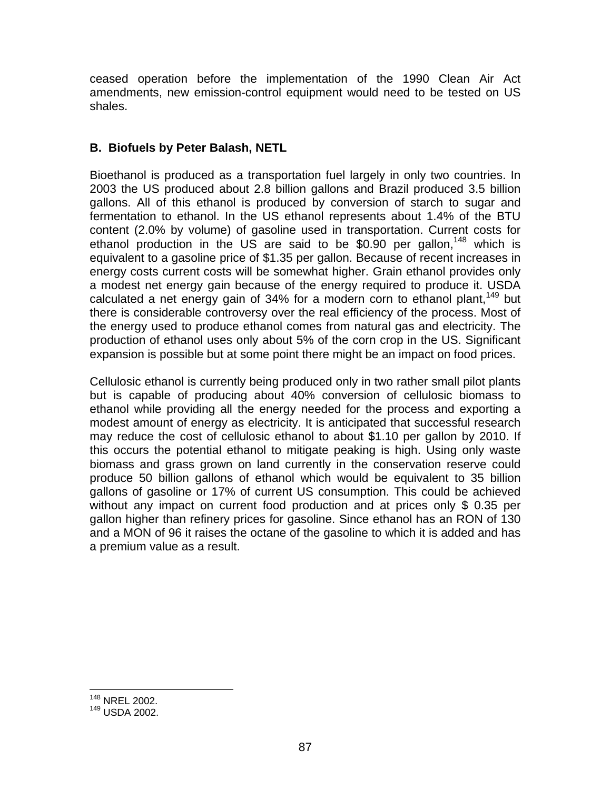ceased operation before the implementation of the 1990 Clean Air Act amendments, new emission-control equipment would need to be tested on US shales.

# **B. Biofuels by Peter Balash, NETL**

Bioethanol is produced as a transportation fuel largely in only two countries. In 2003 the US produced about 2.8 billion gallons and Brazil produced 3.5 billion gallons. All of this ethanol is produced by conversion of starch to sugar and fermentation to ethanol. In the US ethanol represents about 1.4% of the BTU content (2.0% by volume) of gasoline used in transportation. Current costs for ethanol production in the US are said to be \$0.90 per gallon,  $148$  which is equivalent to a gasoline price of \$1.35 per gallon. Because of recent increases in energy costs current costs will be somewhat higher. Grain ethanol provides only a modest net energy gain because of the energy required to produce it. USDA calculated a net energy gain of 34% for a modern corn to ethanol plant,  $149$  but there is considerable controversy over the real efficiency of the process. Most of the energy used to produce ethanol comes from natural gas and electricity. The production of ethanol uses only about 5% of the corn crop in the US. Significant expansion is possible but at some point there might be an impact on food prices.

Cellulosic ethanol is currently being produced only in two rather small pilot plants but is capable of producing about 40% conversion of cellulosic biomass to ethanol while providing all the energy needed for the process and exporting a modest amount of energy as electricity. It is anticipated that successful research may reduce the cost of cellulosic ethanol to about \$1.10 per gallon by 2010. If this occurs the potential ethanol to mitigate peaking is high. Using only waste biomass and grass grown on land currently in the conservation reserve could produce 50 billion gallons of ethanol which would be equivalent to 35 billion gallons of gasoline or 17% of current US consumption. This could be achieved without any impact on current food production and at prices only \$ 0.35 per gallon higher than refinery prices for gasoline. Since ethanol has an RON of 130 and a MON of 96 it raises the octane of the gasoline to which it is added and has a premium value as a result.

 $\overline{a}$ 148 NREL 2002.

<sup>149</sup> USDA 2002.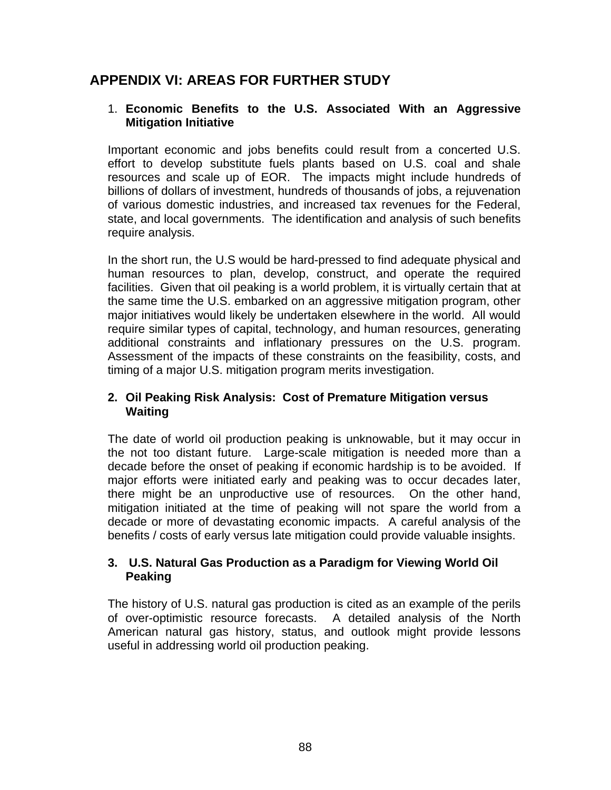# **APPENDIX VI: AREAS FOR FURTHER STUDY**

## 1. **Economic Benefits to the U.S. Associated With an Aggressive Mitigation Initiative**

Important economic and jobs benefits could result from a concerted U.S. effort to develop substitute fuels plants based on U.S. coal and shale resources and scale up of EOR. The impacts might include hundreds of billions of dollars of investment, hundreds of thousands of jobs, a rejuvenation of various domestic industries, and increased tax revenues for the Federal, state, and local governments. The identification and analysis of such benefits require analysis.

In the short run, the U.S would be hard-pressed to find adequate physical and human resources to plan, develop, construct, and operate the required facilities. Given that oil peaking is a world problem, it is virtually certain that at the same time the U.S. embarked on an aggressive mitigation program, other major initiatives would likely be undertaken elsewhere in the world. All would require similar types of capital, technology, and human resources, generating additional constraints and inflationary pressures on the U.S. program. Assessment of the impacts of these constraints on the feasibility, costs, and timing of a major U.S. mitigation program merits investigation.

## **2. Oil Peaking Risk Analysis: Cost of Premature Mitigation versus Waiting**

The date of world oil production peaking is unknowable, but it may occur in the not too distant future. Large-scale mitigation is needed more than a decade before the onset of peaking if economic hardship is to be avoided. If major efforts were initiated early and peaking was to occur decades later, there might be an unproductive use of resources. On the other hand, mitigation initiated at the time of peaking will not spare the world from a decade or more of devastating economic impacts. A careful analysis of the benefits / costs of early versus late mitigation could provide valuable insights.

## **3. U.S. Natural Gas Production as a Paradigm for Viewing World Oil Peaking**

The history of U.S. natural gas production is cited as an example of the perils of over-optimistic resource forecasts. A detailed analysis of the North American natural gas history, status, and outlook might provide lessons useful in addressing world oil production peaking.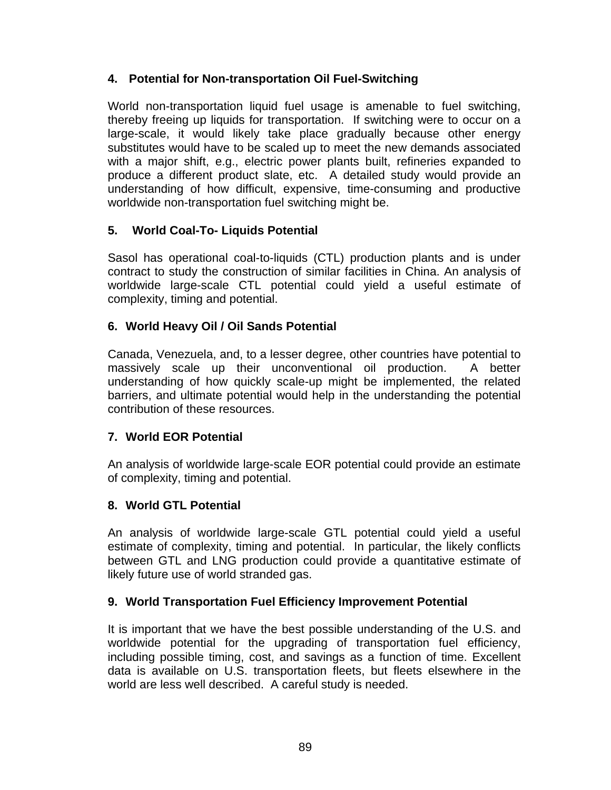## **4. Potential for Non-transportation Oil Fuel-Switching**

World non-transportation liquid fuel usage is amenable to fuel switching, thereby freeing up liquids for transportation. If switching were to occur on a large-scale, it would likely take place gradually because other energy substitutes would have to be scaled up to meet the new demands associated with a major shift, e.g., electric power plants built, refineries expanded to produce a different product slate, etc. A detailed study would provide an understanding of how difficult, expensive, time-consuming and productive worldwide non-transportation fuel switching might be.

## **5. World Coal-To- Liquids Potential**

Sasol has operational coal-to-liquids (CTL) production plants and is under contract to study the construction of similar facilities in China. An analysis of worldwide large-scale CTL potential could yield a useful estimate of complexity, timing and potential.

## **6. World Heavy Oil / Oil Sands Potential**

Canada, Venezuela, and, to a lesser degree, other countries have potential to massively scale up their unconventional oil production. A better understanding of how quickly scale-up might be implemented, the related barriers, and ultimate potential would help in the understanding the potential contribution of these resources.

#### **7. World EOR Potential**

An analysis of worldwide large-scale EOR potential could provide an estimate of complexity, timing and potential.

#### **8. World GTL Potential**

An analysis of worldwide large-scale GTL potential could yield a useful estimate of complexity, timing and potential. In particular, the likely conflicts between GTL and LNG production could provide a quantitative estimate of likely future use of world stranded gas.

#### **9. World Transportation Fuel Efficiency Improvement Potential**

It is important that we have the best possible understanding of the U.S. and worldwide potential for the upgrading of transportation fuel efficiency, including possible timing, cost, and savings as a function of time. Excellent data is available on U.S. transportation fleets, but fleets elsewhere in the world are less well described. A careful study is needed.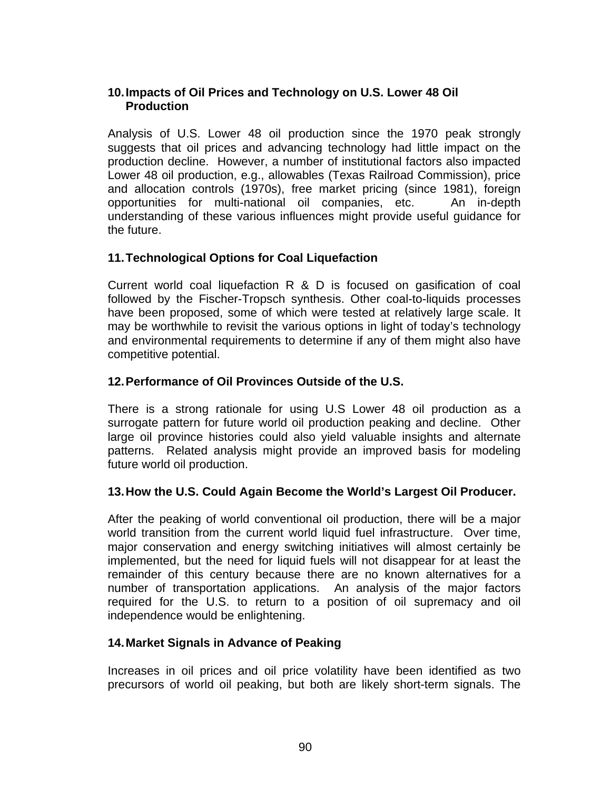## **10. Impacts of Oil Prices and Technology on U.S. Lower 48 Oil Production**

Analysis of U.S. Lower 48 oil production since the 1970 peak strongly suggests that oil prices and advancing technology had little impact on the production decline. However, a number of institutional factors also impacted Lower 48 oil production, e.g., allowables (Texas Railroad Commission), price and allocation controls (1970s), free market pricing (since 1981), foreign opportunities for multi-national oil companies, etc. An in-depth understanding of these various influences might provide useful guidance for the future.

## **11. Technological Options for Coal Liquefaction**

Current world coal liquefaction R & D is focused on gasification of coal followed by the Fischer-Tropsch synthesis. Other coal-to-liquids processes have been proposed, some of which were tested at relatively large scale. It may be worthwhile to revisit the various options in light of today's technology and environmental requirements to determine if any of them might also have competitive potential.

## **12. Performance of Oil Provinces Outside of the U.S.**

There is a strong rationale for using U.S Lower 48 oil production as a surrogate pattern for future world oil production peaking and decline. Other large oil province histories could also yield valuable insights and alternate patterns. Related analysis might provide an improved basis for modeling future world oil production.

#### **13. How the U.S. Could Again Become the World's Largest Oil Producer.**

After the peaking of world conventional oil production, there will be a major world transition from the current world liquid fuel infrastructure. Over time, major conservation and energy switching initiatives will almost certainly be implemented, but the need for liquid fuels will not disappear for at least the remainder of this century because there are no known alternatives for a number of transportation applications. An analysis of the major factors required for the U.S. to return to a position of oil supremacy and oil independence would be enlightening.

#### **14. Market Signals in Advance of Peaking**

Increases in oil prices and oil price volatility have been identified as two precursors of world oil peaking, but both are likely short-term signals. The